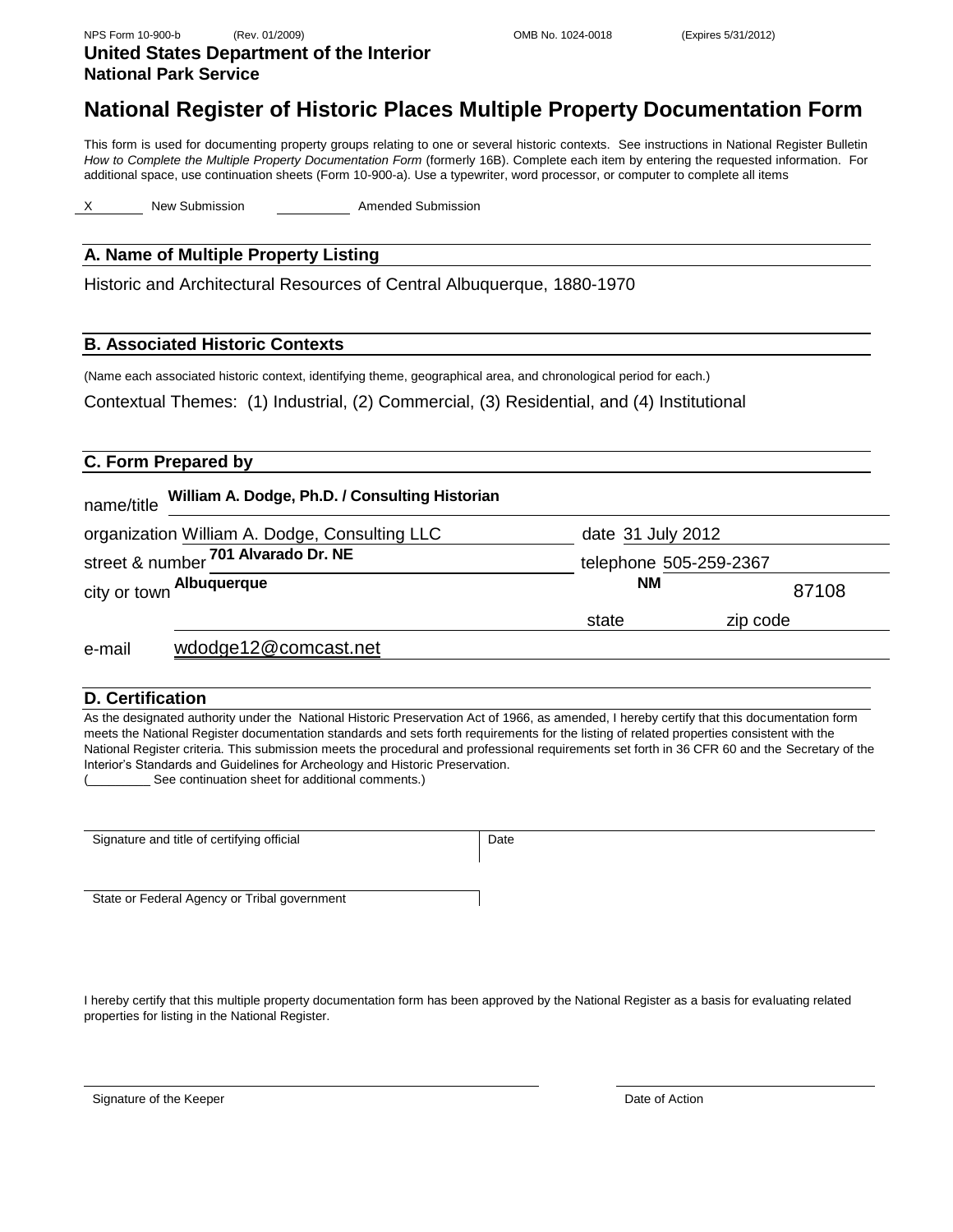**National Park Service**

**United States Department of the Interior**

# **National Register of Historic Places Multiple Property Documentation Form**

This form is used for documenting property groups relating to one or several historic contexts. See instructions in National Register Bulletin *How to Complete the Multiple Property Documentation Form* (formerly 16B). Complete each item by entering the requested information. For additional space, use continuation sheets (Form 10-900-a). Use a typewriter, word processor, or computer to complete all items

New Submission **Amended Submission** 

# **A. Name of Multiple Property Listing**

Historic and Architectural Resources of Central Albuquerque, 1880-1970

## **B. Associated Historic Contexts**

(Name each associated historic context, identifying theme, geographical area, and chronological period for each.)

Contextual Themes: (1) Industrial, (2) Commercial, (3) Residential, and (4) Institutional

# **C. Form Prepared by**

| William A. Dodge, Ph.D. / Consulting Historian<br>name/title |                   |                        |  |
|--------------------------------------------------------------|-------------------|------------------------|--|
| organization William A. Dodge, Consulting LLC                | date 31 July 2012 |                        |  |
| street & number 701 Alvarado Dr. NE                          |                   | telephone 505-259-2367 |  |
| city or town Albuquerque                                     | <b>NM</b>         | 87108                  |  |
|                                                              | state             | zip code               |  |
| wdodge12@comcast.net<br>e-mail                               |                   |                        |  |

#### **D. Certification**

As the designated authority under the National Historic Preservation Act of 1966, as amended, I hereby certify that this documentation form meets the National Register documentation standards and sets forth requirements for the listing of related properties consistent with the National Register criteria. This submission meets the procedural and professional requirements set forth in 36 CFR 60 and the Secretary of the Interior's Standards and Guidelines for Archeology and Historic Preservation. See continuation sheet for additional comments.)

Signature and title of certifying official Date State or Federal Agency or Tribal government

I hereby certify that this multiple property documentation form has been approved by the National Register as a basis for evaluating related properties for listing in the National Register.

Signature of the Keeper

Date of Action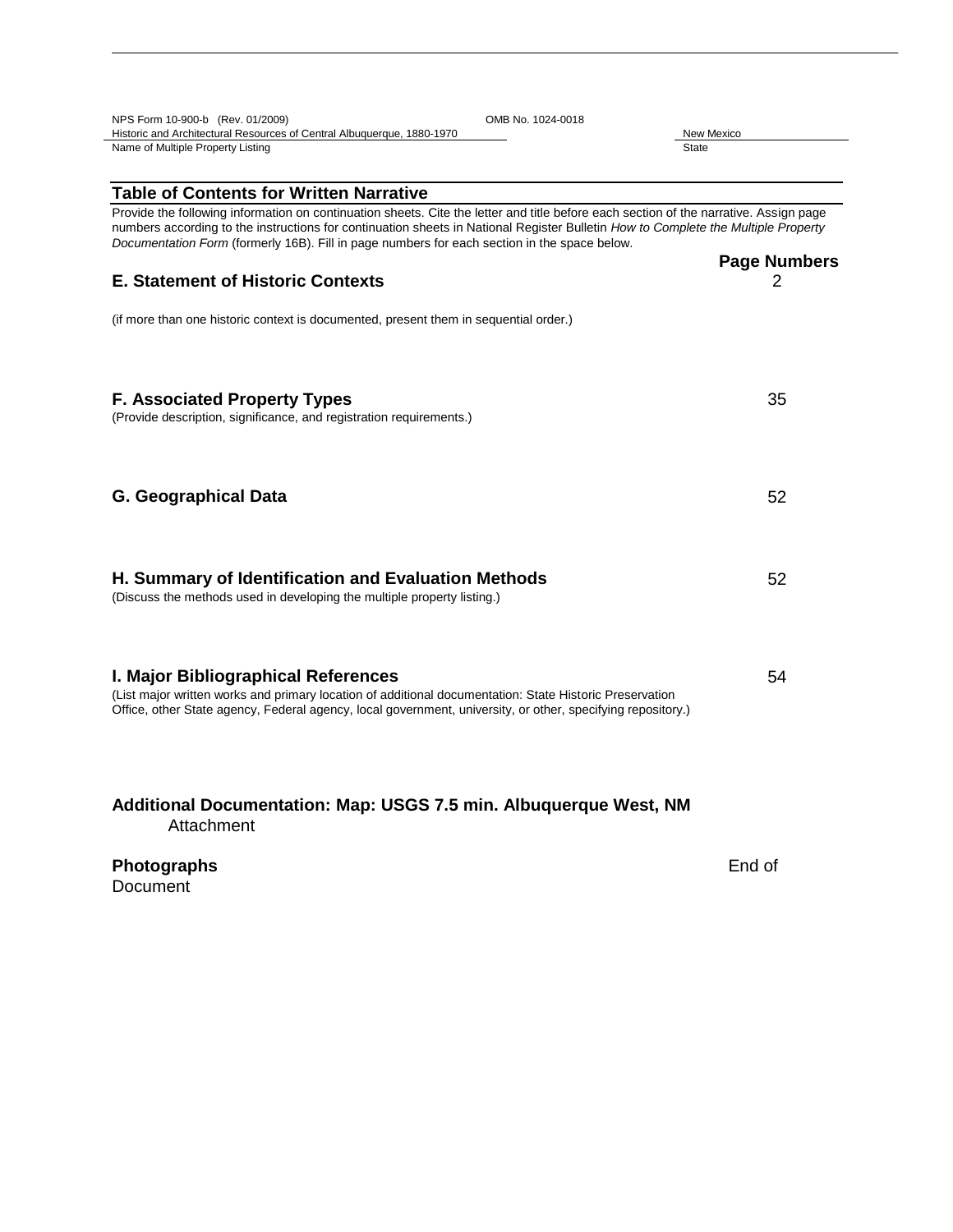| NPS Form 10-900-b (Rev. 01/2009)<br>OMB No. 1024-0018                                                                                                                                                                                                                                                                                                                      |                            |  |
|----------------------------------------------------------------------------------------------------------------------------------------------------------------------------------------------------------------------------------------------------------------------------------------------------------------------------------------------------------------------------|----------------------------|--|
| Historic and Architectural Resources of Central Albuquerque, 1880-1970<br>Name of Multiple Property Listing                                                                                                                                                                                                                                                                | New Mexico<br><b>State</b> |  |
|                                                                                                                                                                                                                                                                                                                                                                            |                            |  |
| <b>Table of Contents for Written Narrative</b>                                                                                                                                                                                                                                                                                                                             |                            |  |
| Provide the following information on continuation sheets. Cite the letter and title before each section of the narrative. Assign page<br>numbers according to the instructions for continuation sheets in National Register Bulletin How to Complete the Multiple Property<br>Documentation Form (formerly 16B). Fill in page numbers for each section in the space below. |                            |  |
|                                                                                                                                                                                                                                                                                                                                                                            | <b>Page Numbers</b>        |  |
| <b>E. Statement of Historic Contexts</b>                                                                                                                                                                                                                                                                                                                                   | 2                          |  |
| (if more than one historic context is documented, present them in sequential order.)                                                                                                                                                                                                                                                                                       |                            |  |
|                                                                                                                                                                                                                                                                                                                                                                            |                            |  |
| <b>F. Associated Property Types</b><br>(Provide description, significance, and registration requirements.)                                                                                                                                                                                                                                                                 | 35                         |  |
|                                                                                                                                                                                                                                                                                                                                                                            |                            |  |
| <b>G. Geographical Data</b>                                                                                                                                                                                                                                                                                                                                                | 52                         |  |
|                                                                                                                                                                                                                                                                                                                                                                            |                            |  |
| H. Summary of Identification and Evaluation Methods<br>(Discuss the methods used in developing the multiple property listing.)                                                                                                                                                                                                                                             | 52                         |  |
|                                                                                                                                                                                                                                                                                                                                                                            |                            |  |
| I. Major Bibliographical References                                                                                                                                                                                                                                                                                                                                        | 54                         |  |
| (List major written works and primary location of additional documentation: State Historic Preservation<br>Office, other State agency, Federal agency, local government, university, or other, specifying repository.)                                                                                                                                                     |                            |  |
|                                                                                                                                                                                                                                                                                                                                                                            |                            |  |
| Additional Documentation: Map: USGS 7.5 min. Albuquerque West, NM<br>Attachment                                                                                                                                                                                                                                                                                            |                            |  |
| Photographs<br>Document                                                                                                                                                                                                                                                                                                                                                    | End of                     |  |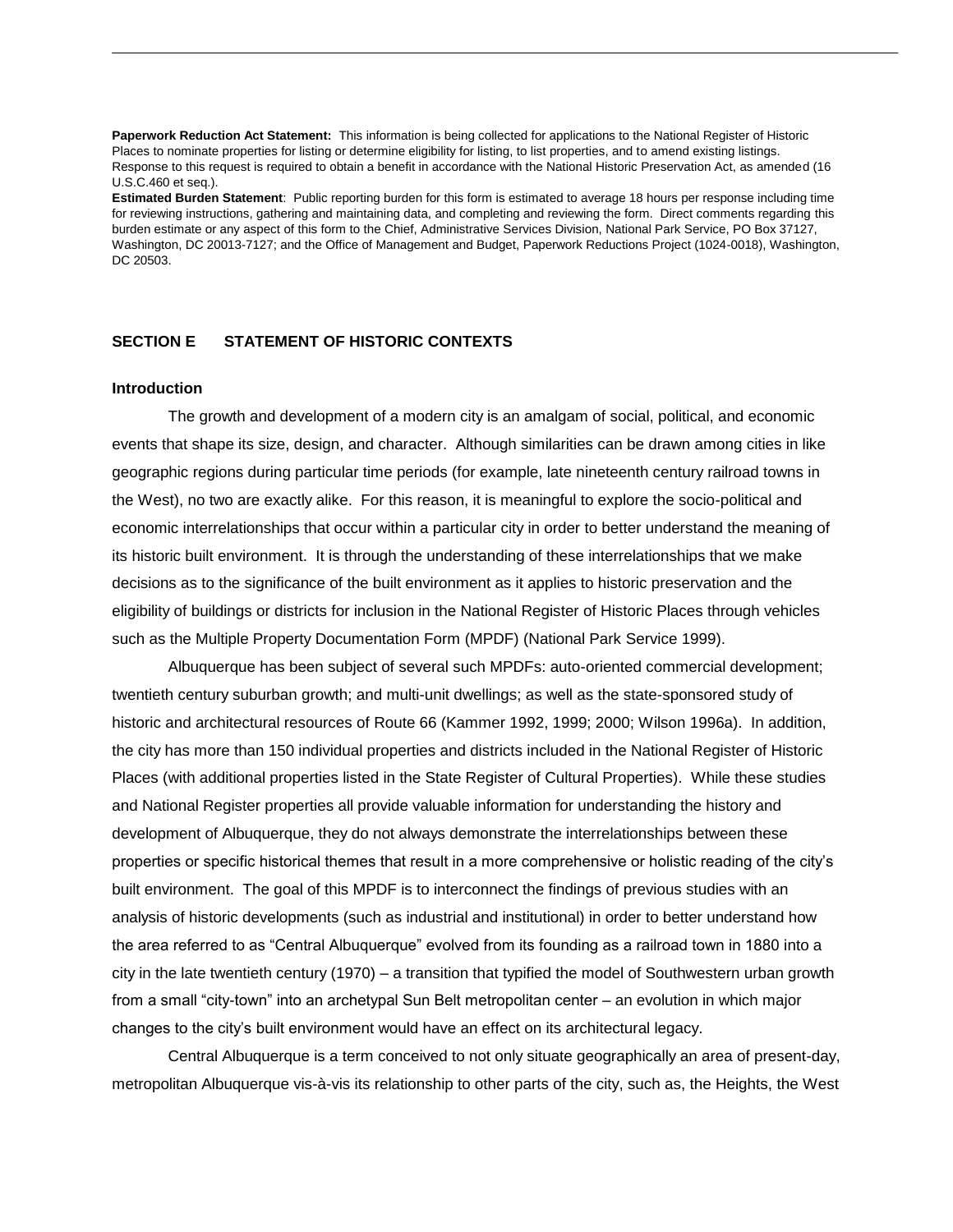**Paperwork Reduction Act Statement:** This information is being collected for applications to the National Register of Historic Places to nominate properties for listing or determine eligibility for listing, to list properties, and to amend existing listings. Response to this request is required to obtain a benefit in accordance with the National Historic Preservation Act, as amended (16 U.S.C.460 et seq.).

**Estimated Burden Statement**: Public reporting burden for this form is estimated to average 18 hours per response including time for reviewing instructions, gathering and maintaining data, and completing and reviewing the form. Direct comments regarding this burden estimate or any aspect of this form to the Chief, Administrative Services Division, National Park Service, PO Box 37127, Washington, DC 20013-7127; and the Office of Management and Budget, Paperwork Reductions Project (1024-0018), Washington, DC 20503.

# **SECTION E STATEMENT OF HISTORIC CONTEXTS**

## **Introduction**

The growth and development of a modern city is an amalgam of social, political, and economic events that shape its size, design, and character. Although similarities can be drawn among cities in like geographic regions during particular time periods (for example, late nineteenth century railroad towns in the West), no two are exactly alike. For this reason, it is meaningful to explore the socio-political and economic interrelationships that occur within a particular city in order to better understand the meaning of its historic built environment. It is through the understanding of these interrelationships that we make decisions as to the significance of the built environment as it applies to historic preservation and the eligibility of buildings or districts for inclusion in the National Register of Historic Places through vehicles such as the Multiple Property Documentation Form (MPDF) (National Park Service 1999).

Albuquerque has been subject of several such MPDFs: auto-oriented commercial development; twentieth century suburban growth; and multi-unit dwellings; as well as the state-sponsored study of historic and architectural resources of Route 66 (Kammer 1992, 1999; 2000; Wilson 1996a). In addition, the city has more than 150 individual properties and districts included in the National Register of Historic Places (with additional properties listed in the State Register of Cultural Properties). While these studies and National Register properties all provide valuable information for understanding the history and development of Albuquerque, they do not always demonstrate the interrelationships between these properties or specific historical themes that result in a more comprehensive or holistic reading of the city's built environment. The goal of this MPDF is to interconnect the findings of previous studies with an analysis of historic developments (such as industrial and institutional) in order to better understand how the area referred to as "Central Albuquerque" evolved from its founding as a railroad town in 1880 into a city in the late twentieth century (1970) – a transition that typified the model of Southwestern urban growth from a small "city-town" into an archetypal Sun Belt metropolitan center – an evolution in which major changes to the city's built environment would have an effect on its architectural legacy.

Central Albuquerque is a term conceived to not only situate geographically an area of present-day, metropolitan Albuquerque vis-à-vis its relationship to other parts of the city, such as, the Heights, the West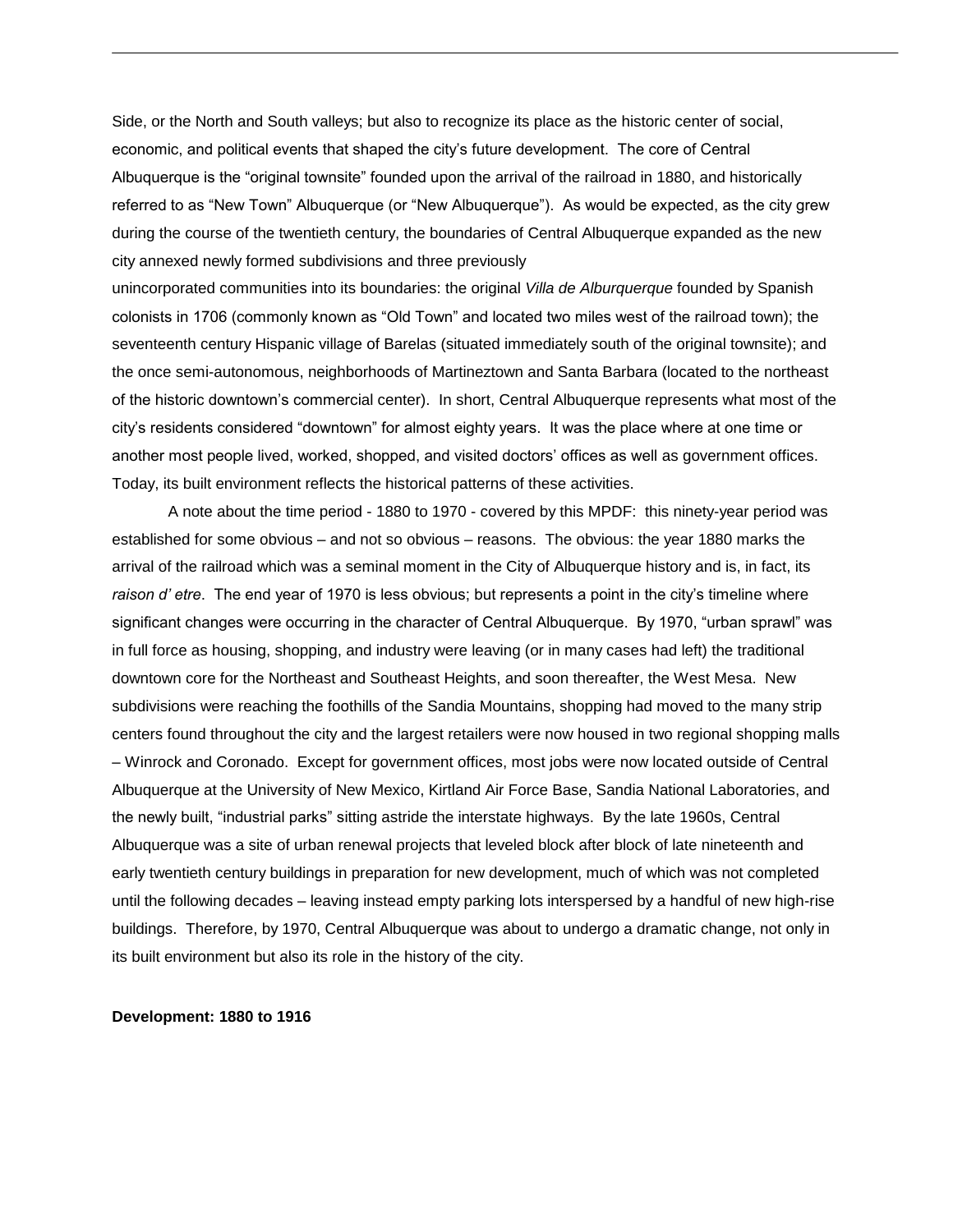Side, or the North and South valleys; but also to recognize its place as the historic center of social, economic, and political events that shaped the city's future development. The core of Central Albuquerque is the "original townsite" founded upon the arrival of the railroad in 1880, and historically referred to as "New Town" Albuquerque (or "New Albuquerque"). As would be expected, as the city grew during the course of the twentieth century, the boundaries of Central Albuquerque expanded as the new city annexed newly formed subdivisions and three previously

unincorporated communities into its boundaries: the original *Villa de Alburquerque* founded by Spanish colonists in 1706 (commonly known as "Old Town" and located two miles west of the railroad town); the seventeenth century Hispanic village of Barelas (situated immediately south of the original townsite); and the once semi-autonomous, neighborhoods of Martineztown and Santa Barbara (located to the northeast of the historic downtown's commercial center). In short, Central Albuquerque represents what most of the city's residents considered "downtown" for almost eighty years. It was the place where at one time or another most people lived, worked, shopped, and visited doctors' offices as well as government offices. Today, its built environment reflects the historical patterns of these activities.

A note about the time period - 1880 to 1970 - covered by this MPDF: this ninety-year period was established for some obvious – and not so obvious – reasons. The obvious: the year 1880 marks the arrival of the railroad which was a seminal moment in the City of Albuquerque history and is, in fact, its *raison d' etre*. The end year of 1970 is less obvious; but represents a point in the city's timeline where significant changes were occurring in the character of Central Albuquerque. By 1970, "urban sprawl" was in full force as housing, shopping, and industry were leaving (or in many cases had left) the traditional downtown core for the Northeast and Southeast Heights, and soon thereafter, the West Mesa. New subdivisions were reaching the foothills of the Sandia Mountains, shopping had moved to the many strip centers found throughout the city and the largest retailers were now housed in two regional shopping malls – Winrock and Coronado. Except for government offices, most jobs were now located outside of Central Albuquerque at the University of New Mexico, Kirtland Air Force Base, Sandia National Laboratories, and the newly built, "industrial parks" sitting astride the interstate highways. By the late 1960s, Central Albuquerque was a site of urban renewal projects that leveled block after block of late nineteenth and early twentieth century buildings in preparation for new development, much of which was not completed until the following decades – leaving instead empty parking lots interspersed by a handful of new high-rise buildings. Therefore, by 1970, Central Albuquerque was about to undergo a dramatic change, not only in its built environment but also its role in the history of the city.

#### **Development: 1880 to 1916**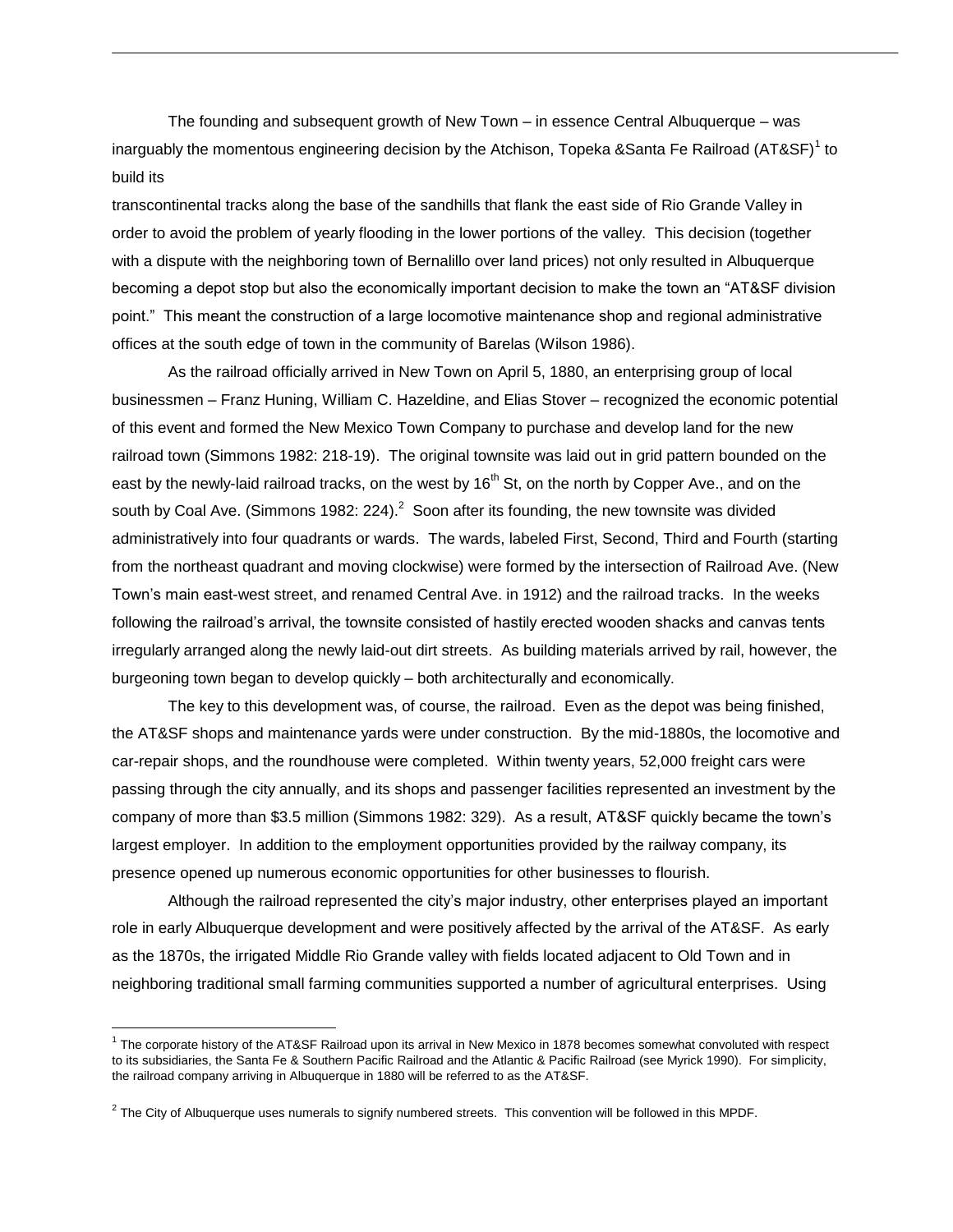The founding and subsequent growth of New Town – in essence Central Albuquerque – was inarguably the momentous engineering decision by the Atchison, Topeka &Santa Fe Railroad (AT&SF) $^{\rm 1}$  to build its

transcontinental tracks along the base of the sandhills that flank the east side of Rio Grande Valley in order to avoid the problem of yearly flooding in the lower portions of the valley. This decision (together with a dispute with the neighboring town of Bernalillo over land prices) not only resulted in Albuquerque becoming a depot stop but also the economically important decision to make the town an "AT&SF division point." This meant the construction of a large locomotive maintenance shop and regional administrative offices at the south edge of town in the community of Barelas (Wilson 1986).

As the railroad officially arrived in New Town on April 5, 1880, an enterprising group of local businessmen – Franz Huning, William C. Hazeldine, and Elias Stover – recognized the economic potential of this event and formed the New Mexico Town Company to purchase and develop land for the new railroad town (Simmons 1982: 218-19). The original townsite was laid out in grid pattern bounded on the east by the newly-laid railroad tracks, on the west by  $16<sup>th</sup>$  St, on the north by Copper Ave., and on the south by Coal Ave. (Simmons 1982: 224). $^2$  Soon after its founding, the new townsite was divided administratively into four quadrants or wards. The wards, labeled First, Second, Third and Fourth (starting from the northeast quadrant and moving clockwise) were formed by the intersection of Railroad Ave. (New Town's main east-west street, and renamed Central Ave. in 1912) and the railroad tracks. In the weeks following the railroad's arrival, the townsite consisted of hastily erected wooden shacks and canvas tents irregularly arranged along the newly laid-out dirt streets. As building materials arrived by rail, however, the burgeoning town began to develop quickly – both architecturally and economically.

The key to this development was, of course, the railroad. Even as the depot was being finished, the AT&SF shops and maintenance yards were under construction. By the mid-1880s, the locomotive and car-repair shops, and the roundhouse were completed. Within twenty years, 52,000 freight cars were passing through the city annually, and its shops and passenger facilities represented an investment by the company of more than \$3.5 million (Simmons 1982: 329). As a result, AT&SF quickly became the town's largest employer. In addition to the employment opportunities provided by the railway company, its presence opened up numerous economic opportunities for other businesses to flourish.

Although the railroad represented the city's major industry, other enterprises played an important role in early Albuquerque development and were positively affected by the arrival of the AT&SF. As early as the 1870s, the irrigated Middle Rio Grande valley with fields located adjacent to Old Town and in neighboring traditional small farming communities supported a number of agricultural enterprises. Using

 $\overline{a}$ 

<sup>&</sup>lt;sup>1</sup> The corporate history of the AT&SF Railroad upon its arrival in New Mexico in 1878 becomes somewhat convoluted with respect to its subsidiaries, the Santa Fe & Southern Pacific Railroad and the Atlantic & Pacific Railroad (see Myrick 1990). For simplicity, the railroad company arriving in Albuquerque in 1880 will be referred to as the AT&SF.

 $^2$  The City of Albuquerque uses numerals to signify numbered streets. This convention will be followed in this MPDF.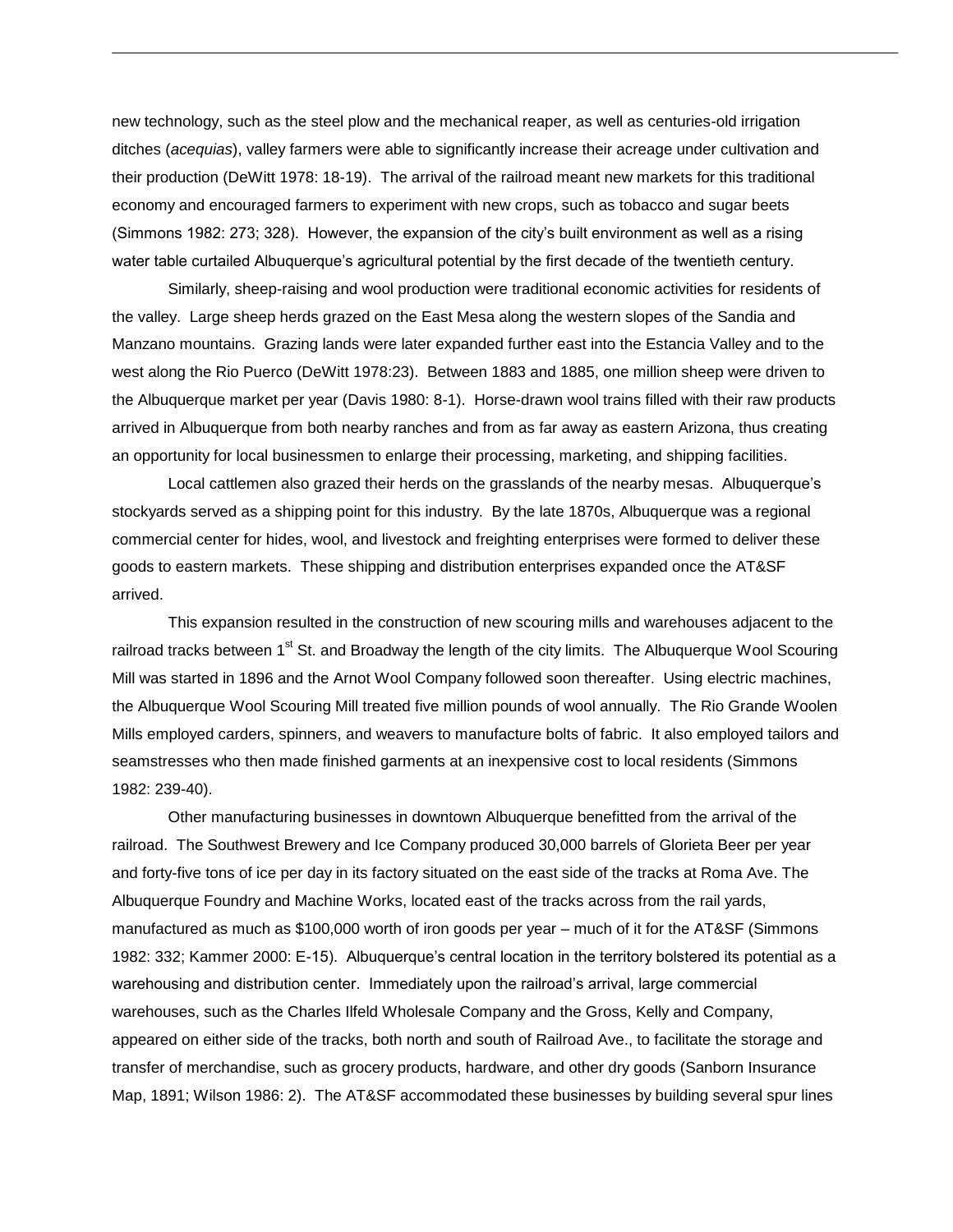new technology, such as the steel plow and the mechanical reaper, as well as centuries-old irrigation ditches (*acequias*), valley farmers were able to significantly increase their acreage under cultivation and their production (DeWitt 1978: 18-19). The arrival of the railroad meant new markets for this traditional economy and encouraged farmers to experiment with new crops, such as tobacco and sugar beets (Simmons 1982: 273; 328). However, the expansion of the city's built environment as well as a rising water table curtailed Albuquerque's agricultural potential by the first decade of the twentieth century.

Similarly, sheep-raising and wool production were traditional economic activities for residents of the valley. Large sheep herds grazed on the East Mesa along the western slopes of the Sandia and Manzano mountains. Grazing lands were later expanded further east into the Estancia Valley and to the west along the Rio Puerco (DeWitt 1978:23). Between 1883 and 1885, one million sheep were driven to the Albuquerque market per year (Davis 1980: 8-1). Horse-drawn wool trains filled with their raw products arrived in Albuquerque from both nearby ranches and from as far away as eastern Arizona, thus creating an opportunity for local businessmen to enlarge their processing, marketing, and shipping facilities.

Local cattlemen also grazed their herds on the grasslands of the nearby mesas. Albuquerque's stockyards served as a shipping point for this industry. By the late 1870s, Albuquerque was a regional commercial center for hides, wool, and livestock and freighting enterprises were formed to deliver these goods to eastern markets. These shipping and distribution enterprises expanded once the AT&SF arrived.

This expansion resulted in the construction of new scouring mills and warehouses adjacent to the railroad tracks between 1<sup>st</sup> St. and Broadway the length of the city limits. The Albuquerque Wool Scouring Mill was started in 1896 and the Arnot Wool Company followed soon thereafter. Using electric machines, the Albuquerque Wool Scouring Mill treated five million pounds of wool annually. The Rio Grande Woolen Mills employed carders, spinners, and weavers to manufacture bolts of fabric. It also employed tailors and seamstresses who then made finished garments at an inexpensive cost to local residents (Simmons 1982: 239-40).

Other manufacturing businesses in downtown Albuquerque benefitted from the arrival of the railroad. The Southwest Brewery and Ice Company produced 30,000 barrels of Glorieta Beer per year and forty-five tons of ice per day in its factory situated on the east side of the tracks at Roma Ave. The Albuquerque Foundry and Machine Works, located east of the tracks across from the rail yards, manufactured as much as \$100,000 worth of iron goods per year – much of it for the AT&SF (Simmons 1982: 332; Kammer 2000: E-15). Albuquerque's central location in the territory bolstered its potential as a warehousing and distribution center. Immediately upon the railroad's arrival, large commercial warehouses, such as the Charles Ilfeld Wholesale Company and the Gross, Kelly and Company, appeared on either side of the tracks, both north and south of Railroad Ave., to facilitate the storage and transfer of merchandise, such as grocery products, hardware, and other dry goods (Sanborn Insurance Map, 1891; Wilson 1986: 2). The AT&SF accommodated these businesses by building several spur lines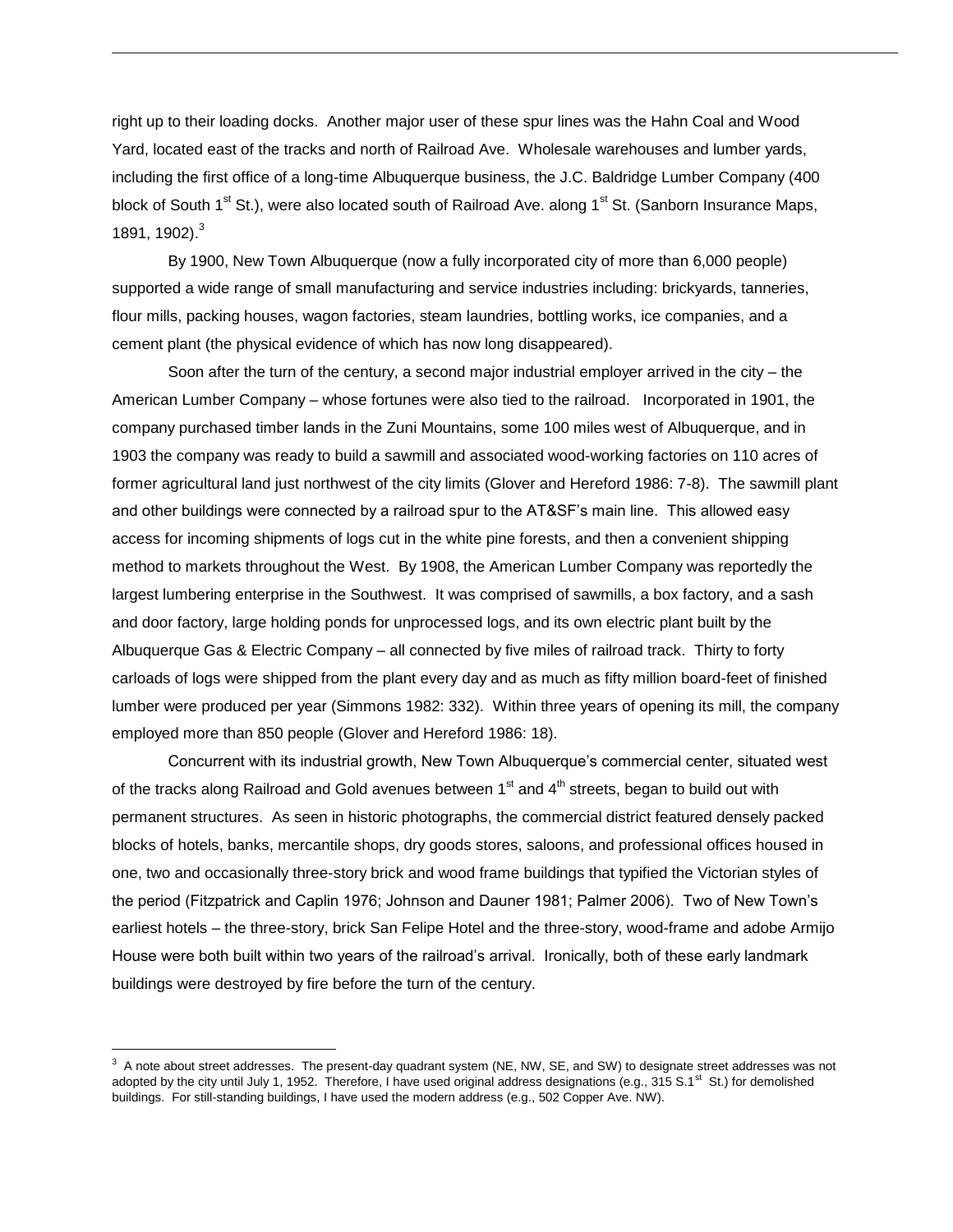right up to their loading docks. Another major user of these spur lines was the Hahn Coal and Wood Yard, located east of the tracks and north of Railroad Ave. Wholesale warehouses and lumber yards, including the first office of a long-time Albuquerque business, the J.C. Baldridge Lumber Company (400 block of South 1<sup>st</sup> St.), were also located south of Railroad Ave. along 1<sup>st</sup> St. (Sanborn Insurance Maps, 1891, 1902).<sup>3</sup>

By 1900, New Town Albuquerque (now a fully incorporated city of more than 6,000 people) supported a wide range of small manufacturing and service industries including: brickyards, tanneries, flour mills, packing houses, wagon factories, steam laundries, bottling works, ice companies, and a cement plant (the physical evidence of which has now long disappeared).

Soon after the turn of the century, a second major industrial employer arrived in the city – the American Lumber Company – whose fortunes were also tied to the railroad. Incorporated in 1901, the company purchased timber lands in the Zuni Mountains, some 100 miles west of Albuquerque, and in 1903 the company was ready to build a sawmill and associated wood-working factories on 110 acres of former agricultural land just northwest of the city limits (Glover and Hereford 1986: 7-8). The sawmill plant and other buildings were connected by a railroad spur to the AT&SF's main line. This allowed easy access for incoming shipments of logs cut in the white pine forests, and then a convenient shipping method to markets throughout the West. By 1908, the American Lumber Company was reportedly the largest lumbering enterprise in the Southwest. It was comprised of sawmills, a box factory, and a sash and door factory, large holding ponds for unprocessed logs, and its own electric plant built by the Albuquerque Gas & Electric Company – all connected by five miles of railroad track. Thirty to forty carloads of logs were shipped from the plant every day and as much as fifty million board-feet of finished lumber were produced per year (Simmons 1982: 332). Within three years of opening its mill, the company employed more than 850 people (Glover and Hereford 1986: 18).

Concurrent with its industrial growth, New Town Albuquerque's commercial center, situated west of the tracks along Railroad and Gold avenues between  $1<sup>st</sup>$  and  $4<sup>th</sup>$  streets, began to build out with permanent structures. As seen in historic photographs, the commercial district featured densely packed blocks of hotels, banks, mercantile shops, dry goods stores, saloons, and professional offices housed in one, two and occasionally three-story brick and wood frame buildings that typified the Victorian styles of the period (Fitzpatrick and Caplin 1976; Johnson and Dauner 1981; Palmer 2006). Two of New Town's earliest hotels – the three-story, brick San Felipe Hotel and the three-story, wood-frame and adobe Armijo House were both built within two years of the railroad's arrival. Ironically, both of these early landmark buildings were destroyed by fire before the turn of the century.

 $\overline{a}$ 

 $3$  A note about street addresses. The present-day quadrant system (NE, NW, SE, and SW) to designate street addresses was not adopted by the city until July 1, 1952. Therefore, I have used original address designations (e.g., 315 S.1<sup>st</sup> St.) for demolished buildings. For still-standing buildings, I have used the modern address (e.g., 502 Copper Ave. NW).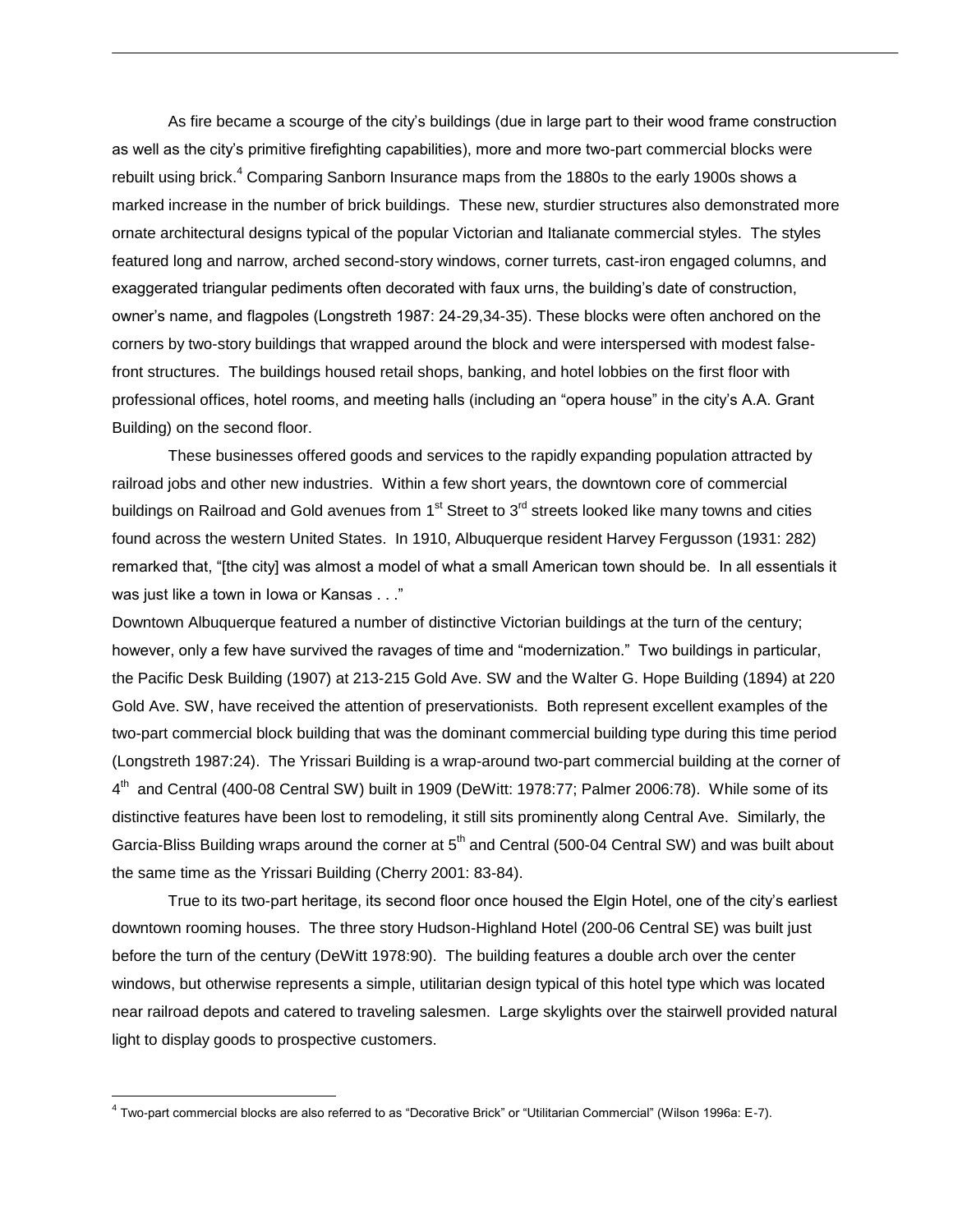As fire became a scourge of the city's buildings (due in large part to their wood frame construction as well as the city's primitive firefighting capabilities), more and more two-part commercial blocks were rebuilt using brick.<sup>4</sup> Comparing Sanborn Insurance maps from the 1880s to the early 1900s shows a marked increase in the number of brick buildings. These new, sturdier structures also demonstrated more ornate architectural designs typical of the popular Victorian and Italianate commercial styles. The styles featured long and narrow, arched second-story windows, corner turrets, cast-iron engaged columns, and exaggerated triangular pediments often decorated with faux urns, the building's date of construction, owner's name, and flagpoles (Longstreth 1987: 24-29,34-35). These blocks were often anchored on the corners by two-story buildings that wrapped around the block and were interspersed with modest falsefront structures. The buildings housed retail shops, banking, and hotel lobbies on the first floor with professional offices, hotel rooms, and meeting halls (including an "opera house" in the city's A.A. Grant Building) on the second floor.

These businesses offered goods and services to the rapidly expanding population attracted by railroad jobs and other new industries. Within a few short years, the downtown core of commercial buildings on Railroad and Gold avenues from  $1<sup>st</sup>$  Street to  $3<sup>rd</sup>$  streets looked like many towns and cities found across the western United States. In 1910, Albuquerque resident Harvey Fergusson (1931: 282) remarked that, "[the city] was almost a model of what a small American town should be. In all essentials it was just like a town in Iowa or Kansas . . ."

Downtown Albuquerque featured a number of distinctive Victorian buildings at the turn of the century; however, only a few have survived the ravages of time and "modernization." Two buildings in particular, the Pacific Desk Building (1907) at 213-215 Gold Ave. SW and the Walter G. Hope Building (1894) at 220 Gold Ave. SW, have received the attention of preservationists. Both represent excellent examples of the two-part commercial block building that was the dominant commercial building type during this time period (Longstreth 1987:24). The Yrissari Building is a wrap-around two-part commercial building at the corner of 4<sup>th</sup> and Central (400-08 Central SW) built in 1909 (DeWitt: 1978:77; Palmer 2006:78). While some of its distinctive features have been lost to remodeling, it still sits prominently along Central Ave. Similarly, the Garcia-Bliss Building wraps around the corner at  $5<sup>th</sup>$  and Central (500-04 Central SW) and was built about the same time as the Yrissari Building (Cherry 2001: 83-84).

True to its two-part heritage, its second floor once housed the Elgin Hotel, one of the city's earliest downtown rooming houses. The three story Hudson-Highland Hotel (200-06 Central SE) was built just before the turn of the century (DeWitt 1978:90). The building features a double arch over the center windows, but otherwise represents a simple, utilitarian design typical of this hotel type which was located near railroad depots and catered to traveling salesmen. Large skylights over the stairwell provided natural light to display goods to prospective customers.

 $\overline{a}$ 

<sup>4</sup> Two-part commercial blocks are also referred to as "Decorative Brick" or "Utilitarian Commercial" (Wilson 1996a: E-7).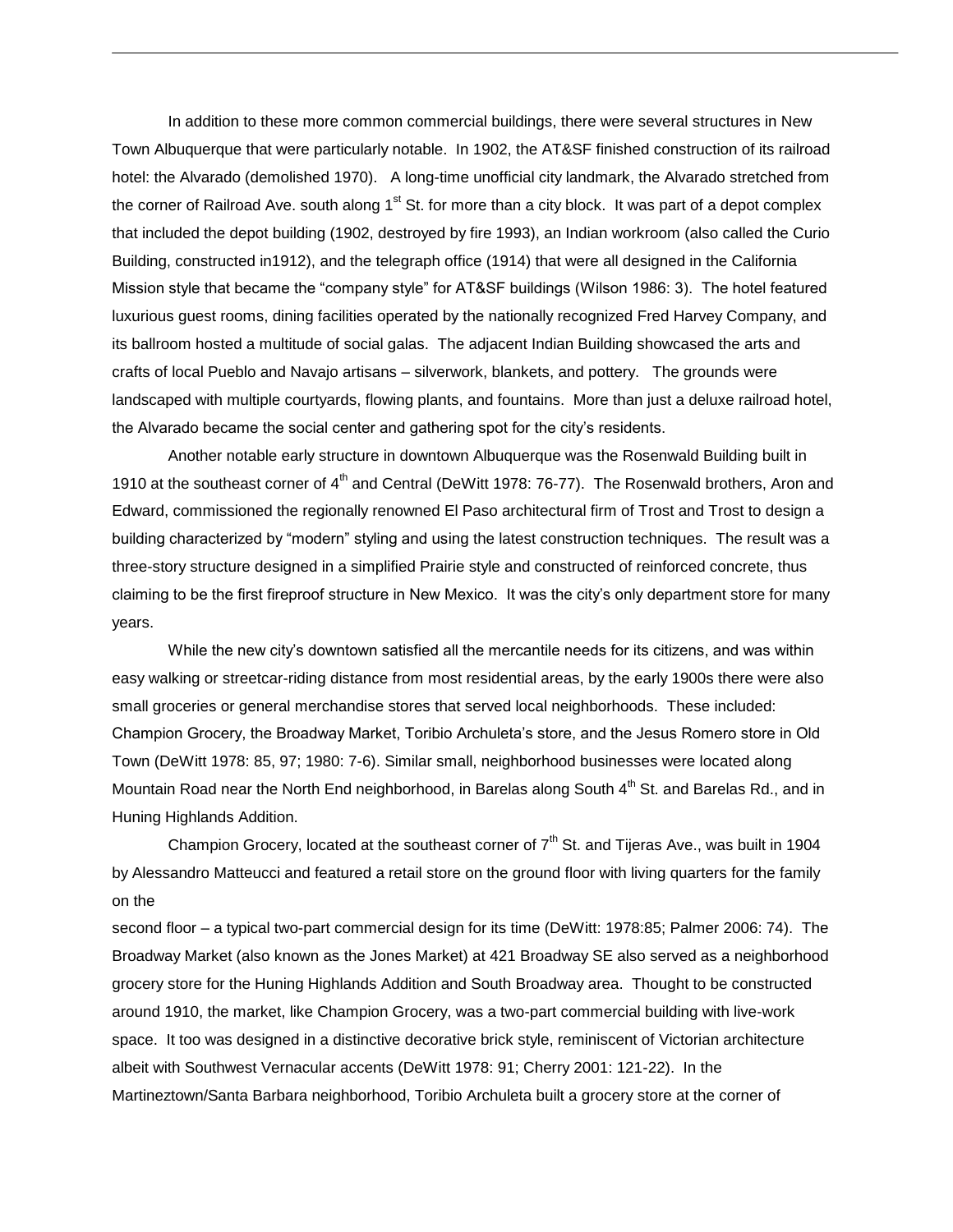In addition to these more common commercial buildings, there were several structures in New Town Albuquerque that were particularly notable. In 1902, the AT&SF finished construction of its railroad hotel: the Alvarado (demolished 1970). A long-time unofficial city landmark, the Alvarado stretched from the corner of Railroad Ave. south along  $1<sup>st</sup>$  St. for more than a city block. It was part of a depot complex that included the depot building (1902, destroyed by fire 1993), an Indian workroom (also called the Curio Building, constructed in1912), and the telegraph office (1914) that were all designed in the California Mission style that became the "company style" for AT&SF buildings (Wilson 1986: 3). The hotel featured luxurious guest rooms, dining facilities operated by the nationally recognized Fred Harvey Company, and its ballroom hosted a multitude of social galas. The adjacent Indian Building showcased the arts and crafts of local Pueblo and Navajo artisans – silverwork, blankets, and pottery. The grounds were landscaped with multiple courtyards, flowing plants, and fountains. More than just a deluxe railroad hotel, the Alvarado became the social center and gathering spot for the city's residents.

Another notable early structure in downtown Albuquerque was the Rosenwald Building built in 1910 at the southeast corner of 4<sup>th</sup> and Central (DeWitt 1978: 76-77). The Rosenwald brothers, Aron and Edward, commissioned the regionally renowned El Paso architectural firm of Trost and Trost to design a building characterized by "modern" styling and using the latest construction techniques. The result was a three-story structure designed in a simplified Prairie style and constructed of reinforced concrete, thus claiming to be the first fireproof structure in New Mexico. It was the city's only department store for many years.

While the new city's downtown satisfied all the mercantile needs for its citizens, and was within easy walking or streetcar-riding distance from most residential areas, by the early 1900s there were also small groceries or general merchandise stores that served local neighborhoods. These included: Champion Grocery, the Broadway Market, Toribio Archuleta's store, and the Jesus Romero store in Old Town (DeWitt 1978: 85, 97; 1980: 7-6). Similar small, neighborhood businesses were located along Mountain Road near the North End neighborhood, in Barelas along South 4<sup>th</sup> St. and Barelas Rd., and in Huning Highlands Addition.

Champion Grocery, located at the southeast corner of  $7<sup>th</sup>$  St. and Tijeras Ave., was built in 1904 by Alessandro Matteucci and featured a retail store on the ground floor with living quarters for the family on the

second floor – a typical two-part commercial design for its time (DeWitt: 1978:85; Palmer 2006: 74). The Broadway Market (also known as the Jones Market) at 421 Broadway SE also served as a neighborhood grocery store for the Huning Highlands Addition and South Broadway area. Thought to be constructed around 1910, the market, like Champion Grocery, was a two-part commercial building with live-work space. It too was designed in a distinctive decorative brick style, reminiscent of Victorian architecture albeit with Southwest Vernacular accents (DeWitt 1978: 91; Cherry 2001: 121-22). In the Martineztown/Santa Barbara neighborhood, Toribio Archuleta built a grocery store at the corner of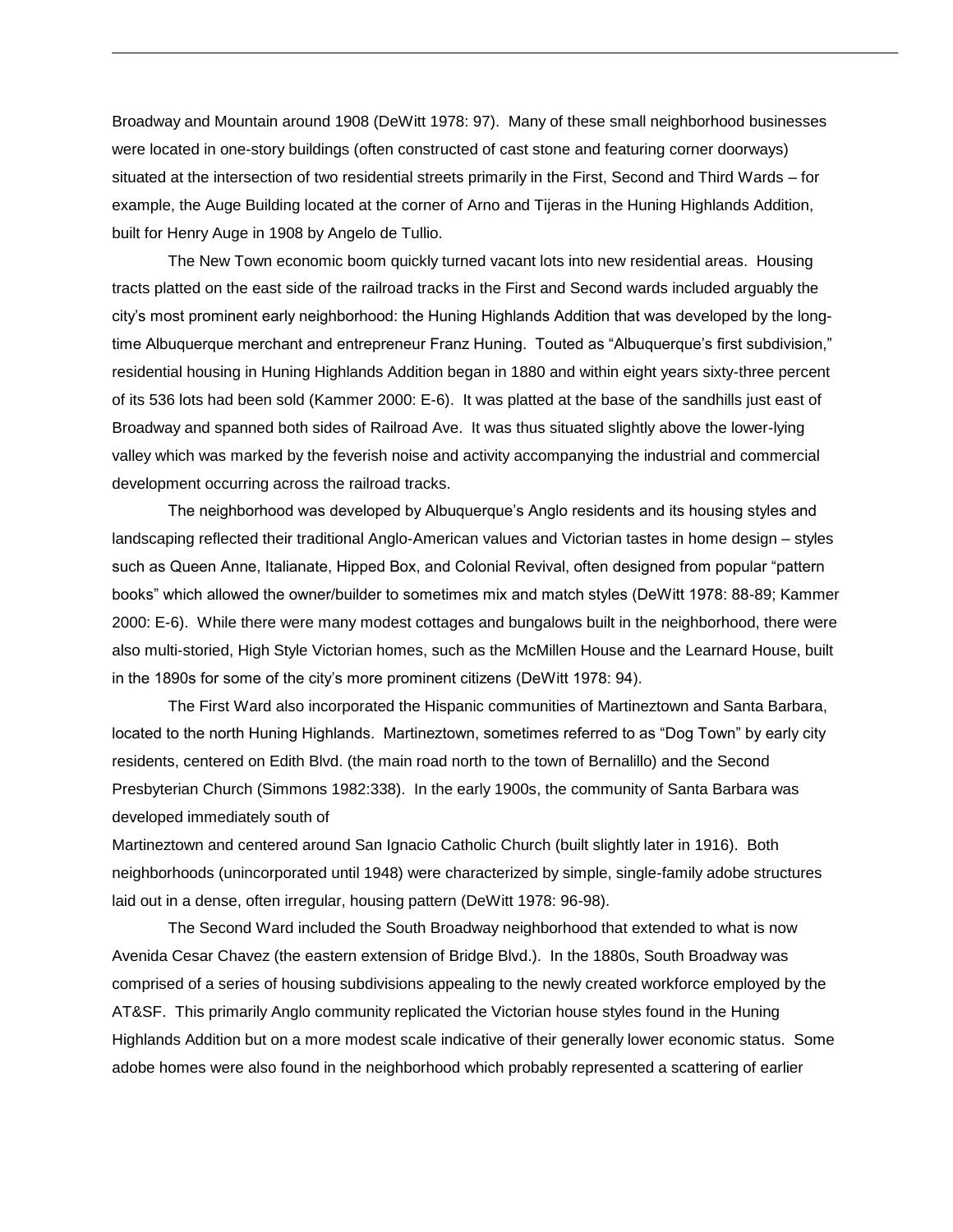Broadway and Mountain around 1908 (DeWitt 1978: 97). Many of these small neighborhood businesses were located in one-story buildings (often constructed of cast stone and featuring corner doorways) situated at the intersection of two residential streets primarily in the First, Second and Third Wards – for example, the Auge Building located at the corner of Arno and Tijeras in the Huning Highlands Addition, built for Henry Auge in 1908 by Angelo de Tullio.

The New Town economic boom quickly turned vacant lots into new residential areas. Housing tracts platted on the east side of the railroad tracks in the First and Second wards included arguably the city's most prominent early neighborhood: the Huning Highlands Addition that was developed by the longtime Albuquerque merchant and entrepreneur Franz Huning. Touted as "Albuquerque's first subdivision," residential housing in Huning Highlands Addition began in 1880 and within eight years sixty-three percent of its 536 lots had been sold (Kammer 2000: E-6). It was platted at the base of the sandhills just east of Broadway and spanned both sides of Railroad Ave. It was thus situated slightly above the lower-lying valley which was marked by the feverish noise and activity accompanying the industrial and commercial development occurring across the railroad tracks.

The neighborhood was developed by Albuquerque's Anglo residents and its housing styles and landscaping reflected their traditional Anglo-American values and Victorian tastes in home design – styles such as Queen Anne, Italianate, Hipped Box, and Colonial Revival, often designed from popular "pattern books" which allowed the owner/builder to sometimes mix and match styles (DeWitt 1978: 88-89; Kammer 2000: E-6). While there were many modest cottages and bungalows built in the neighborhood, there were also multi-storied, High Style Victorian homes, such as the McMillen House and the Learnard House, built in the 1890s for some of the city's more prominent citizens (DeWitt 1978: 94).

The First Ward also incorporated the Hispanic communities of Martineztown and Santa Barbara, located to the north Huning Highlands. Martineztown, sometimes referred to as "Dog Town" by early city residents, centered on Edith Blvd. (the main road north to the town of Bernalillo) and the Second Presbyterian Church (Simmons 1982:338). In the early 1900s, the community of Santa Barbara was developed immediately south of

Martineztown and centered around San Ignacio Catholic Church (built slightly later in 1916). Both neighborhoods (unincorporated until 1948) were characterized by simple, single-family adobe structures laid out in a dense, often irregular, housing pattern (DeWitt 1978: 96-98).

The Second Ward included the South Broadway neighborhood that extended to what is now Avenida Cesar Chavez (the eastern extension of Bridge Blvd.). In the 1880s, South Broadway was comprised of a series of housing subdivisions appealing to the newly created workforce employed by the AT&SF. This primarily Anglo community replicated the Victorian house styles found in the Huning Highlands Addition but on a more modest scale indicative of their generally lower economic status. Some adobe homes were also found in the neighborhood which probably represented a scattering of earlier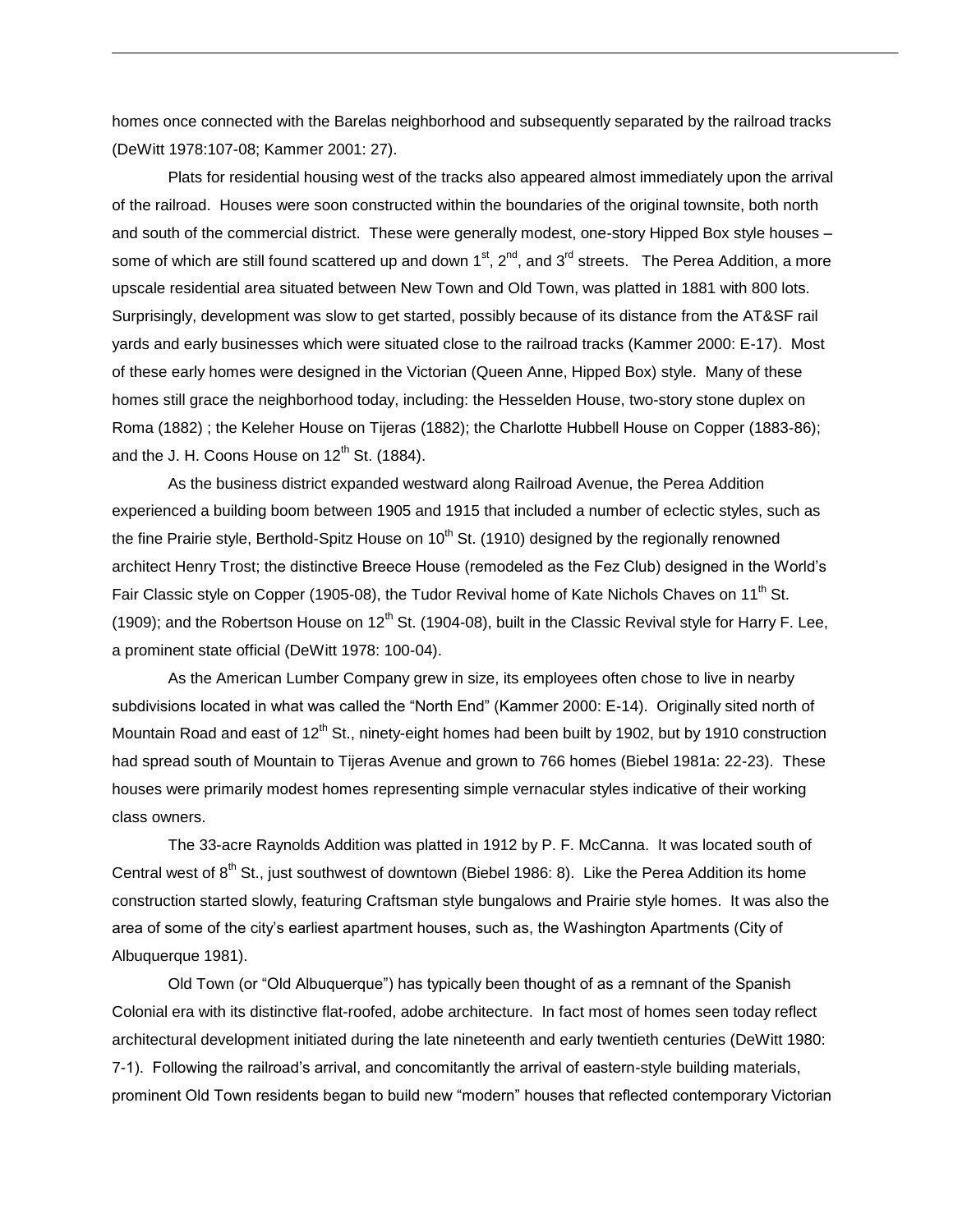homes once connected with the Barelas neighborhood and subsequently separated by the railroad tracks (DeWitt 1978:107-08; Kammer 2001: 27).

Plats for residential housing west of the tracks also appeared almost immediately upon the arrival of the railroad. Houses were soon constructed within the boundaries of the original townsite, both north and south of the commercial district. These were generally modest, one-story Hipped Box style houses – some of which are still found scattered up and down  $1<sup>st</sup>$ ,  $2<sup>nd</sup>$ , and  $3<sup>rd</sup>$  streets. The Perea Addition, a more upscale residential area situated between New Town and Old Town, was platted in 1881 with 800 lots. Surprisingly, development was slow to get started, possibly because of its distance from the AT&SF rail yards and early businesses which were situated close to the railroad tracks (Kammer 2000: E-17). Most of these early homes were designed in the Victorian (Queen Anne, Hipped Box) style. Many of these homes still grace the neighborhood today, including: the Hesselden House, two-story stone duplex on Roma (1882) ; the Keleher House on Tijeras (1882); the Charlotte Hubbell House on Copper (1883-86); and the J. H. Coons House on  $12<sup>th</sup>$  St. (1884).

As the business district expanded westward along Railroad Avenue, the Perea Addition experienced a building boom between 1905 and 1915 that included a number of eclectic styles, such as the fine Prairie style, Berthold-Spitz House on  $10^{th}$  St. (1910) designed by the regionally renowned architect Henry Trost; the distinctive Breece House (remodeled as the Fez Club) designed in the World's Fair Classic style on Copper (1905-08), the Tudor Revival home of Kate Nichols Chaves on 11<sup>th</sup> St. (1909); and the Robertson House on  $12^{th}$  St. (1904-08), built in the Classic Revival style for Harry F. Lee, a prominent state official (DeWitt 1978: 100-04).

As the American Lumber Company grew in size, its employees often chose to live in nearby subdivisions located in what was called the "North End" (Kammer 2000: E-14). Originally sited north of Mountain Road and east of 12<sup>th</sup> St., ninety-eight homes had been built by 1902, but by 1910 construction had spread south of Mountain to Tijeras Avenue and grown to 766 homes (Biebel 1981a: 22-23). These houses were primarily modest homes representing simple vernacular styles indicative of their working class owners.

The 33-acre Raynolds Addition was platted in 1912 by P. F. McCanna. It was located south of Central west of  $8<sup>th</sup>$  St., just southwest of downtown (Biebel 1986: 8). Like the Perea Addition its home construction started slowly, featuring Craftsman style bungalows and Prairie style homes. It was also the area of some of the city's earliest apartment houses, such as, the Washington Apartments (City of Albuquerque 1981).

Old Town (or "Old Albuquerque") has typically been thought of as a remnant of the Spanish Colonial era with its distinctive flat-roofed, adobe architecture. In fact most of homes seen today reflect architectural development initiated during the late nineteenth and early twentieth centuries (DeWitt 1980: 7-1). Following the railroad's arrival, and concomitantly the arrival of eastern-style building materials, prominent Old Town residents began to build new "modern" houses that reflected contemporary Victorian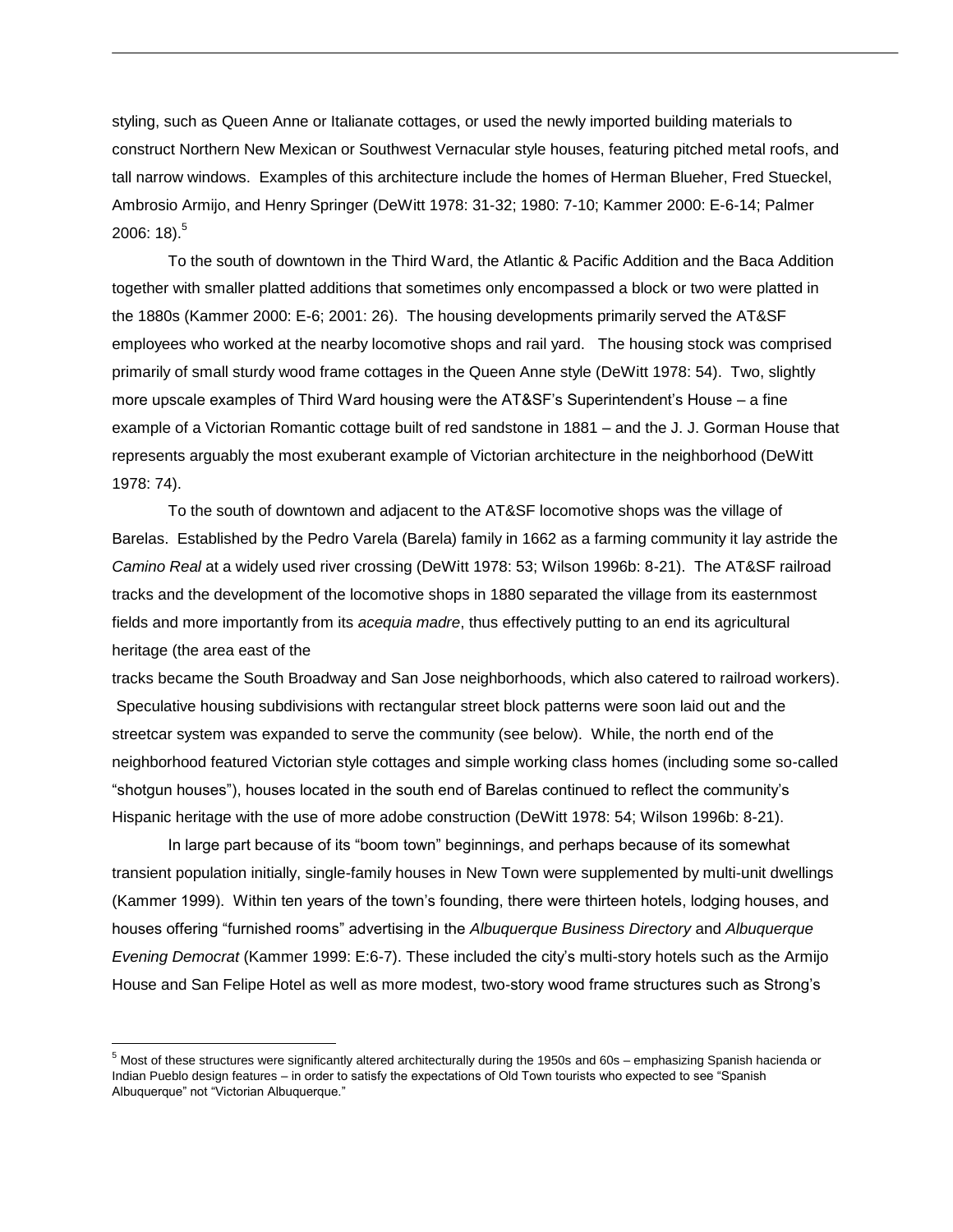styling, such as Queen Anne or Italianate cottages, or used the newly imported building materials to construct Northern New Mexican or Southwest Vernacular style houses, featuring pitched metal roofs, and tall narrow windows. Examples of this architecture include the homes of Herman Blueher, Fred Stueckel, Ambrosio Armijo, and Henry Springer (DeWitt 1978: 31-32; 1980: 7-10; Kammer 2000: E-6-14; Palmer 2006: 18). $^5$ 

To the south of downtown in the Third Ward, the Atlantic & Pacific Addition and the Baca Addition together with smaller platted additions that sometimes only encompassed a block or two were platted in the 1880s (Kammer 2000: E-6; 2001: 26). The housing developments primarily served the AT&SF employees who worked at the nearby locomotive shops and rail yard. The housing stock was comprised primarily of small sturdy wood frame cottages in the Queen Anne style (DeWitt 1978: 54). Two, slightly more upscale examples of Third Ward housing were the AT&SF's Superintendent's House – a fine example of a Victorian Romantic cottage built of red sandstone in 1881 – and the J. J. Gorman House that represents arguably the most exuberant example of Victorian architecture in the neighborhood (DeWitt 1978: 74).

To the south of downtown and adjacent to the AT&SF locomotive shops was the village of Barelas. Established by the Pedro Varela (Barela) family in 1662 as a farming community it lay astride the *Camino Real* at a widely used river crossing (DeWitt 1978: 53; Wilson 1996b: 8-21). The AT&SF railroad tracks and the development of the locomotive shops in 1880 separated the village from its easternmost fields and more importantly from its *acequia madre*, thus effectively putting to an end its agricultural heritage (the area east of the

tracks became the South Broadway and San Jose neighborhoods, which also catered to railroad workers). Speculative housing subdivisions with rectangular street block patterns were soon laid out and the streetcar system was expanded to serve the community (see below). While, the north end of the neighborhood featured Victorian style cottages and simple working class homes (including some so-called "shotgun houses"), houses located in the south end of Barelas continued to reflect the community's Hispanic heritage with the use of more adobe construction (DeWitt 1978: 54; Wilson 1996b: 8-21).

In large part because of its "boom town" beginnings, and perhaps because of its somewhat transient population initially, single-family houses in New Town were supplemented by multi-unit dwellings (Kammer 1999). Within ten years of the town's founding, there were thirteen hotels, lodging houses, and houses offering "furnished rooms" advertising in the *Albuquerque Business Directory* and *Albuquerque Evening Democrat* (Kammer 1999: E:6-7). These included the city's multi-story hotels such as the Armijo House and San Felipe Hotel as well as more modest, two-story wood frame structures such as Strong's

 $\overline{a}$ 

<sup>5</sup> Most of these structures were significantly altered architecturally during the 1950s and 60s – emphasizing Spanish hacienda or Indian Pueblo design features – in order to satisfy the expectations of Old Town tourists who expected to see "Spanish Albuquerque" not "Victorian Albuquerque."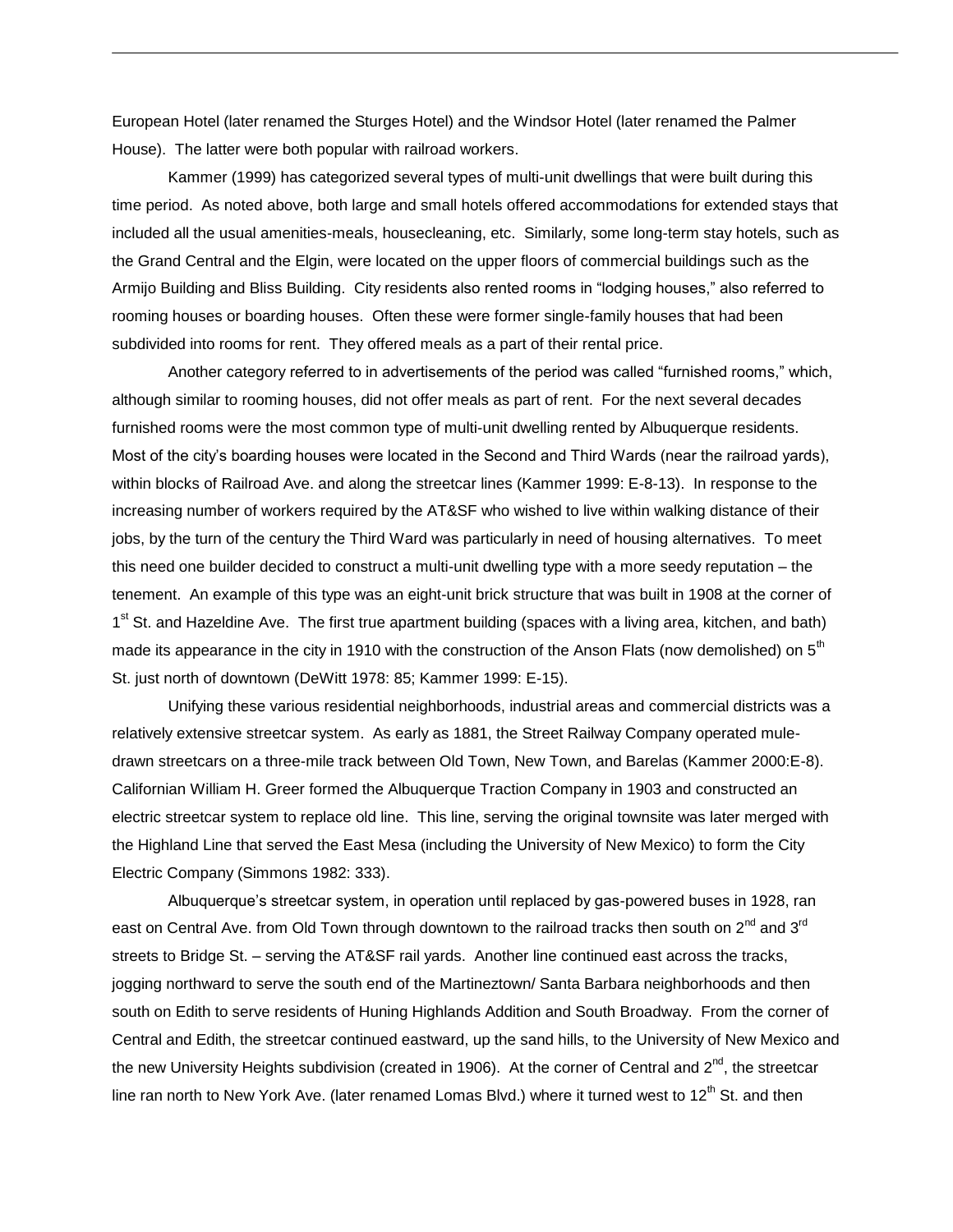European Hotel (later renamed the Sturges Hotel) and the Windsor Hotel (later renamed the Palmer House). The latter were both popular with railroad workers.

Kammer (1999) has categorized several types of multi-unit dwellings that were built during this time period. As noted above, both large and small hotels offered accommodations for extended stays that included all the usual amenities-meals, housecleaning, etc. Similarly, some long-term stay hotels, such as the Grand Central and the Elgin, were located on the upper floors of commercial buildings such as the Armijo Building and Bliss Building. City residents also rented rooms in "lodging houses," also referred to rooming houses or boarding houses. Often these were former single-family houses that had been subdivided into rooms for rent. They offered meals as a part of their rental price.

Another category referred to in advertisements of the period was called "furnished rooms," which, although similar to rooming houses, did not offer meals as part of rent. For the next several decades furnished rooms were the most common type of multi-unit dwelling rented by Albuquerque residents. Most of the city's boarding houses were located in the Second and Third Wards (near the railroad yards), within blocks of Railroad Ave. and along the streetcar lines (Kammer 1999: E-8-13). In response to the increasing number of workers required by the AT&SF who wished to live within walking distance of their jobs, by the turn of the century the Third Ward was particularly in need of housing alternatives. To meet this need one builder decided to construct a multi-unit dwelling type with a more seedy reputation – the tenement. An example of this type was an eight-unit brick structure that was built in 1908 at the corner of 1<sup>st</sup> St. and Hazeldine Ave. The first true apartment building (spaces with a living area, kitchen, and bath) made its appearance in the city in 1910 with the construction of the Anson Flats (now demolished) on 5<sup>th</sup> St. just north of downtown (DeWitt 1978: 85; Kammer 1999: E-15).

Unifying these various residential neighborhoods, industrial areas and commercial districts was a relatively extensive streetcar system. As early as 1881, the Street Railway Company operated muledrawn streetcars on a three-mile track between Old Town, New Town, and Barelas (Kammer 2000:E-8). Californian William H. Greer formed the Albuquerque Traction Company in 1903 and constructed an electric streetcar system to replace old line. This line, serving the original townsite was later merged with the Highland Line that served the East Mesa (including the University of New Mexico) to form the City Electric Company (Simmons 1982: 333).

Albuquerque's streetcar system, in operation until replaced by gas-powered buses in 1928, ran east on Central Ave. from Old Town through downtown to the railroad tracks then south on 2<sup>nd</sup> and 3<sup>rd</sup> streets to Bridge St. – serving the AT&SF rail yards. Another line continued east across the tracks, jogging northward to serve the south end of the Martineztown/ Santa Barbara neighborhoods and then south on Edith to serve residents of Huning Highlands Addition and South Broadway. From the corner of Central and Edith, the streetcar continued eastward, up the sand hills, to the University of New Mexico and the new University Heights subdivision (created in 1906). At the corner of Central and  $2^{nd}$ , the streetcar line ran north to New York Ave. (later renamed Lomas Blvd.) where it turned west to  $12<sup>th</sup>$  St. and then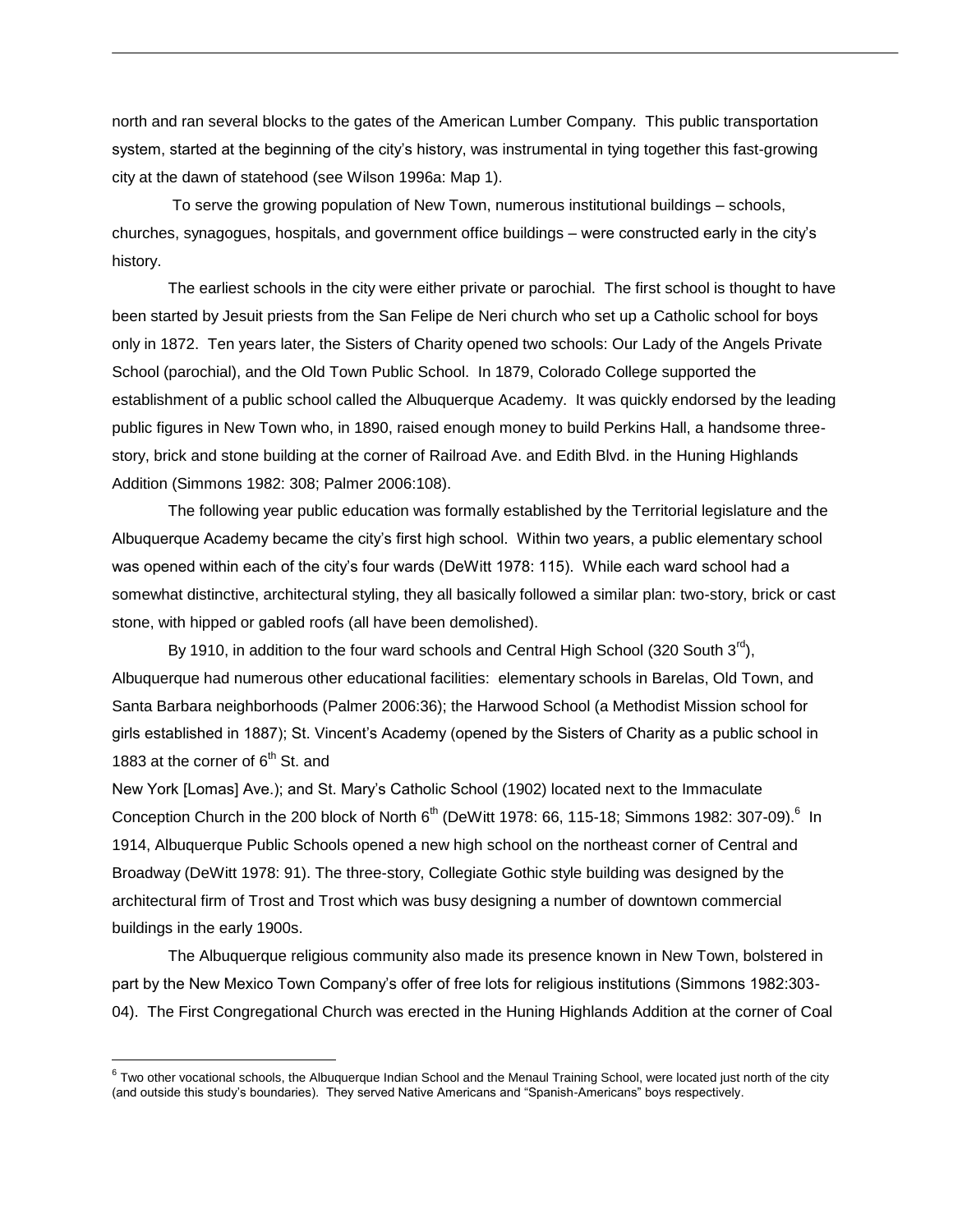north and ran several blocks to the gates of the American Lumber Company. This public transportation system, started at the beginning of the city's history, was instrumental in tying together this fast-growing city at the dawn of statehood (see Wilson 1996a: Map 1).

To serve the growing population of New Town, numerous institutional buildings – schools, churches, synagogues, hospitals, and government office buildings – were constructed early in the city's history.

The earliest schools in the city were either private or parochial. The first school is thought to have been started by Jesuit priests from the San Felipe de Neri church who set up a Catholic school for boys only in 1872. Ten years later, the Sisters of Charity opened two schools: Our Lady of the Angels Private School (parochial), and the Old Town Public School. In 1879, Colorado College supported the establishment of a public school called the Albuquerque Academy. It was quickly endorsed by the leading public figures in New Town who, in 1890, raised enough money to build Perkins Hall, a handsome threestory, brick and stone building at the corner of Railroad Ave. and Edith Blvd. in the Huning Highlands Addition (Simmons 1982: 308; Palmer 2006:108).

The following year public education was formally established by the Territorial legislature and the Albuquerque Academy became the city's first high school. Within two years, a public elementary school was opened within each of the city's four wards (DeWitt 1978: 115). While each ward school had a somewhat distinctive, architectural styling, they all basically followed a similar plan: two-story, brick or cast stone, with hipped or gabled roofs (all have been demolished).

By 1910, in addition to the four ward schools and Central High School (320 South  $3<sup>rd</sup>$ ), Albuquerque had numerous other educational facilities: elementary schools in Barelas, Old Town, and Santa Barbara neighborhoods (Palmer 2006:36); the Harwood School (a Methodist Mission school for girls established in 1887); St. Vincent's Academy (opened by the Sisters of Charity as a public school in 1883 at the corner of  $6<sup>th</sup>$  St. and

New York [Lomas] Ave.); and St. Mary's Catholic School (1902) located next to the Immaculate Conception Church in the 200 block of North 6<sup>th</sup> (DeWitt 1978: 66, 115-18; Simmons 1982: 307-09).<sup>6</sup> In 1914, Albuquerque Public Schools opened a new high school on the northeast corner of Central and Broadway (DeWitt 1978: 91). The three-story, Collegiate Gothic style building was designed by the architectural firm of Trost and Trost which was busy designing a number of downtown commercial buildings in the early 1900s.

The Albuquerque religious community also made its presence known in New Town, bolstered in part by the New Mexico Town Company's offer of free lots for religious institutions (Simmons 1982:303- 04). The First Congregational Church was erected in the Huning Highlands Addition at the corner of Coal

 $\overline{a}$ 

 $^6$  Two other vocational schools, the Albuquerque Indian School and the Menaul Training School, were located just north of the city (and outside this study's boundaries). They served Native Americans and "Spanish-Americans" boys respectively.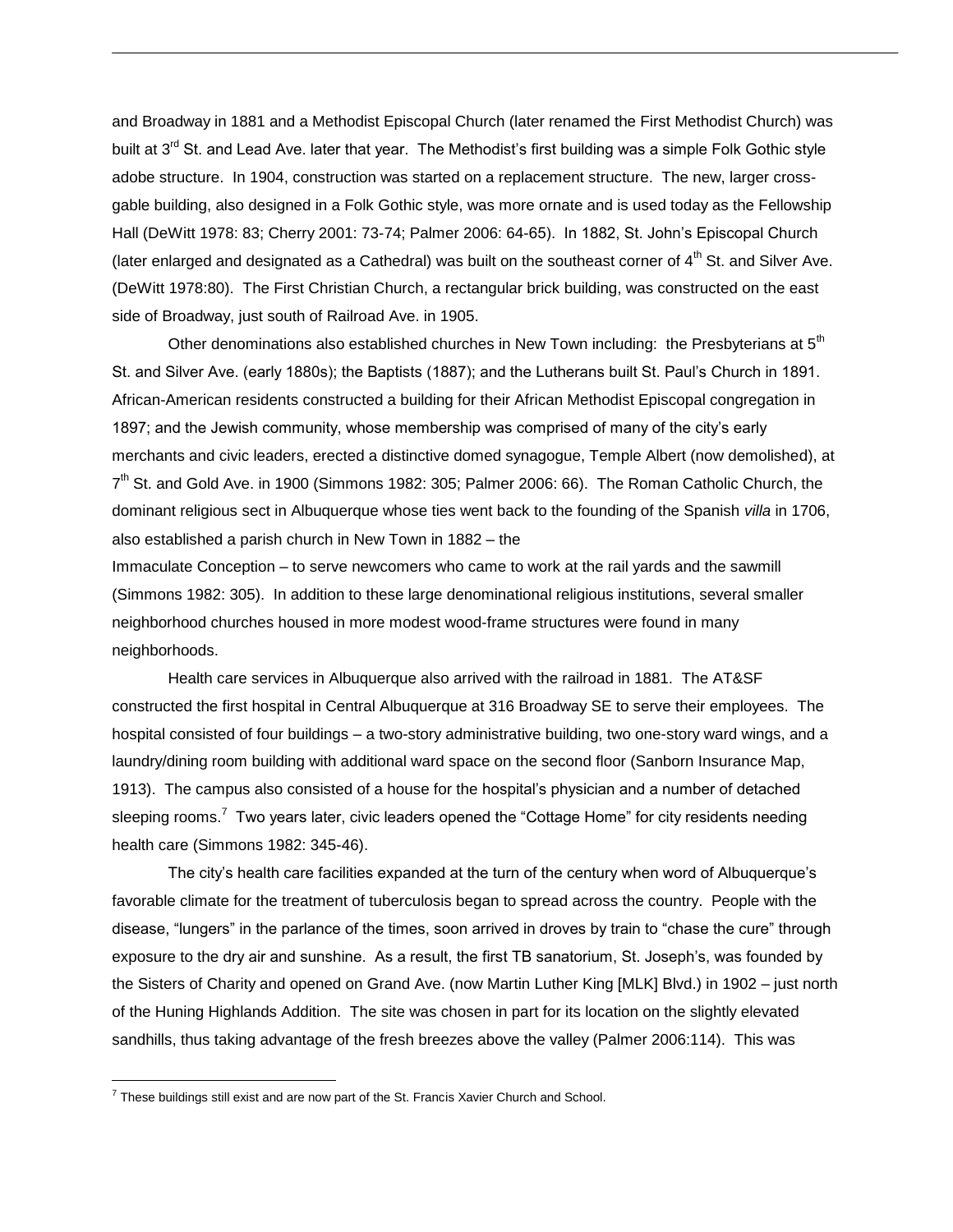and Broadway in 1881 and a Methodist Episcopal Church (later renamed the First Methodist Church) was built at 3<sup>rd</sup> St. and Lead Ave. later that year. The Methodist's first building was a simple Folk Gothic style adobe structure. In 1904, construction was started on a replacement structure. The new, larger crossgable building, also designed in a Folk Gothic style, was more ornate and is used today as the Fellowship Hall (DeWitt 1978: 83; Cherry 2001: 73-74; Palmer 2006: 64-65). In 1882, St. John's Episcopal Church (later enlarged and designated as a Cathedral) was built on the southeast corner of  $4<sup>th</sup>$  St. and Silver Ave. (DeWitt 1978:80). The First Christian Church, a rectangular brick building, was constructed on the east side of Broadway, just south of Railroad Ave. in 1905.

Other denominations also established churches in New Town including: the Presbyterians at  $5<sup>th</sup>$ St. and Silver Ave. (early 1880s); the Baptists (1887); and the Lutherans built St. Paul's Church in 1891. African-American residents constructed a building for their African Methodist Episcopal congregation in 1897; and the Jewish community, whose membership was comprised of many of the city's early merchants and civic leaders, erected a distinctive domed synagogue, Temple Albert (now demolished), at 7<sup>th</sup> St. and Gold Ave. in 1900 (Simmons 1982: 305; Palmer 2006: 66). The Roman Catholic Church, the dominant religious sect in Albuquerque whose ties went back to the founding of the Spanish *villa* in 1706, also established a parish church in New Town in 1882 – the

Immaculate Conception – to serve newcomers who came to work at the rail yards and the sawmill (Simmons 1982: 305). In addition to these large denominational religious institutions, several smaller neighborhood churches housed in more modest wood-frame structures were found in many neighborhoods.

Health care services in Albuquerque also arrived with the railroad in 1881. The AT&SF constructed the first hospital in Central Albuquerque at 316 Broadway SE to serve their employees. The hospital consisted of four buildings – a two-story administrative building, two one-story ward wings, and a laundry/dining room building with additional ward space on the second floor (Sanborn Insurance Map, 1913). The campus also consisted of a house for the hospital's physician and a number of detached sleeping rooms.<sup>7</sup> Two years later, civic leaders opened the "Cottage Home" for city residents needing health care (Simmons 1982: 345-46).

The city's health care facilities expanded at the turn of the century when word of Albuquerque's favorable climate for the treatment of tuberculosis began to spread across the country. People with the disease, "lungers" in the parlance of the times, soon arrived in droves by train to "chase the cure" through exposure to the dry air and sunshine. As a result, the first TB sanatorium, St. Joseph's, was founded by the Sisters of Charity and opened on Grand Ave. (now Martin Luther King [MLK] Blvd.) in 1902 – just north of the Huning Highlands Addition. The site was chosen in part for its location on the slightly elevated sandhills, thus taking advantage of the fresh breezes above the valley (Palmer 2006:114). This was

 $\overline{a}$ 

 $<sup>7</sup>$  These buildings still exist and are now part of the St. Francis Xavier Church and School.</sup>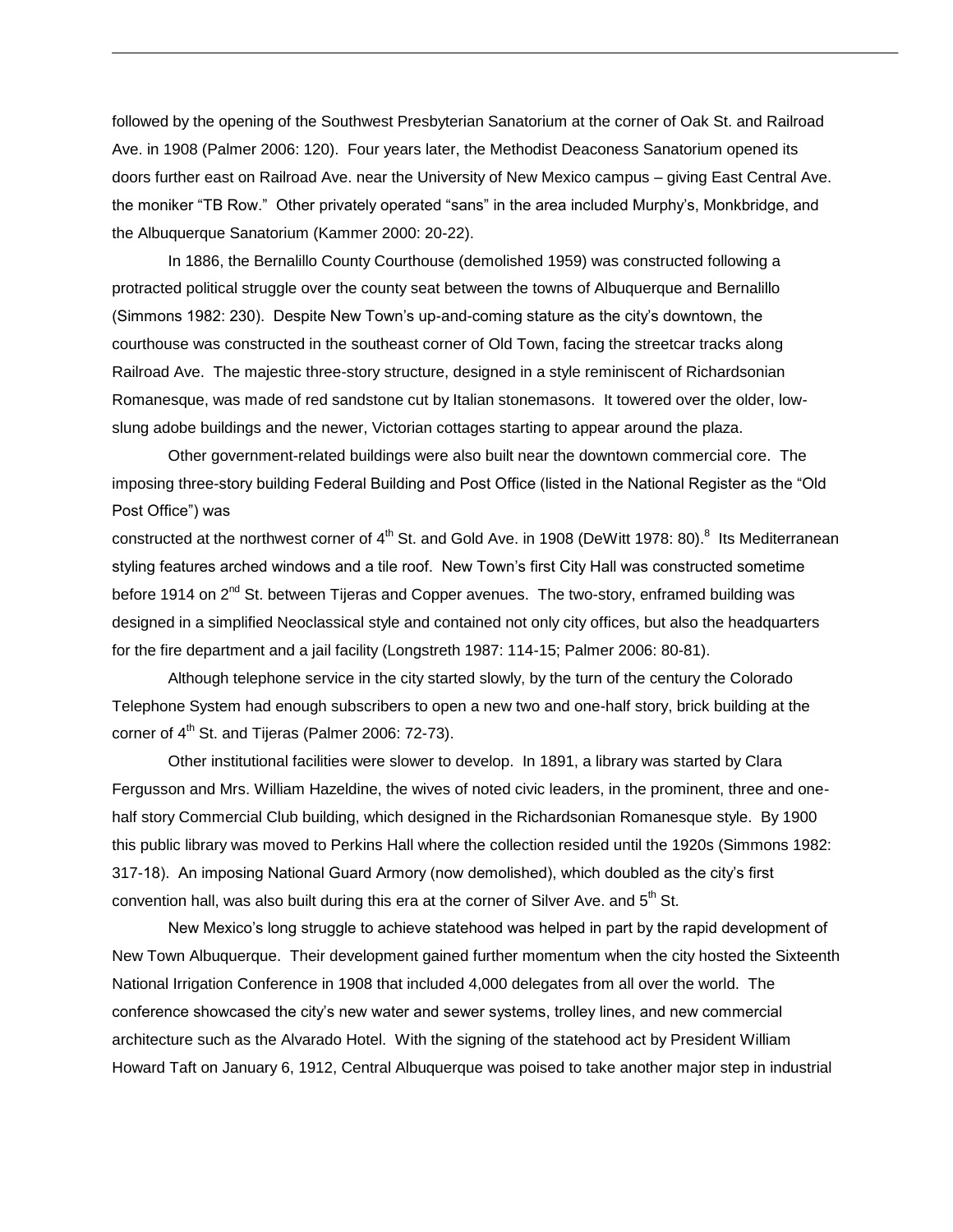followed by the opening of the Southwest Presbyterian Sanatorium at the corner of Oak St. and Railroad Ave. in 1908 (Palmer 2006: 120). Four years later, the Methodist Deaconess Sanatorium opened its doors further east on Railroad Ave. near the University of New Mexico campus – giving East Central Ave. the moniker "TB Row." Other privately operated "sans" in the area included Murphy's, Monkbridge, and the Albuquerque Sanatorium (Kammer 2000: 20-22).

In 1886, the Bernalillo County Courthouse (demolished 1959) was constructed following a protracted political struggle over the county seat between the towns of Albuquerque and Bernalillo (Simmons 1982: 230). Despite New Town's up-and-coming stature as the city's downtown, the courthouse was constructed in the southeast corner of Old Town, facing the streetcar tracks along Railroad Ave. The majestic three-story structure, designed in a style reminiscent of Richardsonian Romanesque, was made of red sandstone cut by Italian stonemasons. It towered over the older, lowslung adobe buildings and the newer, Victorian cottages starting to appear around the plaza.

Other government-related buildings were also built near the downtown commercial core. The imposing three-story building Federal Building and Post Office (listed in the National Register as the "Old Post Office") was

constructed at the northwest corner of 4<sup>th</sup> St. and Gold Ave. in 1908 (DeWitt 1978: 80).<sup>8</sup> Its Mediterranean styling features arched windows and a tile roof. New Town's first City Hall was constructed sometime before 1914 on  $2^{nd}$  St. between Tijeras and Copper avenues. The two-story, enframed building was designed in a simplified Neoclassical style and contained not only city offices, but also the headquarters for the fire department and a jail facility (Longstreth 1987: 114-15; Palmer 2006: 80-81).

Although telephone service in the city started slowly, by the turn of the century the Colorado Telephone System had enough subscribers to open a new two and one-half story, brick building at the corner of  $4<sup>th</sup>$  St. and Tijeras (Palmer 2006: 72-73).

Other institutional facilities were slower to develop. In 1891, a library was started by Clara Fergusson and Mrs. William Hazeldine, the wives of noted civic leaders, in the prominent, three and onehalf story Commercial Club building, which designed in the Richardsonian Romanesque style. By 1900 this public library was moved to Perkins Hall where the collection resided until the 1920s (Simmons 1982: 317-18). An imposing National Guard Armory (now demolished), which doubled as the city's first convention hall, was also built during this era at the corner of Silver Ave. and  $5<sup>th</sup>$  St.

New Mexico's long struggle to achieve statehood was helped in part by the rapid development of New Town Albuquerque. Their development gained further momentum when the city hosted the Sixteenth National Irrigation Conference in 1908 that included 4,000 delegates from all over the world. The conference showcased the city's new water and sewer systems, trolley lines, and new commercial architecture such as the Alvarado Hotel. With the signing of the statehood act by President William Howard Taft on January 6, 1912, Central Albuquerque was poised to take another major step in industrial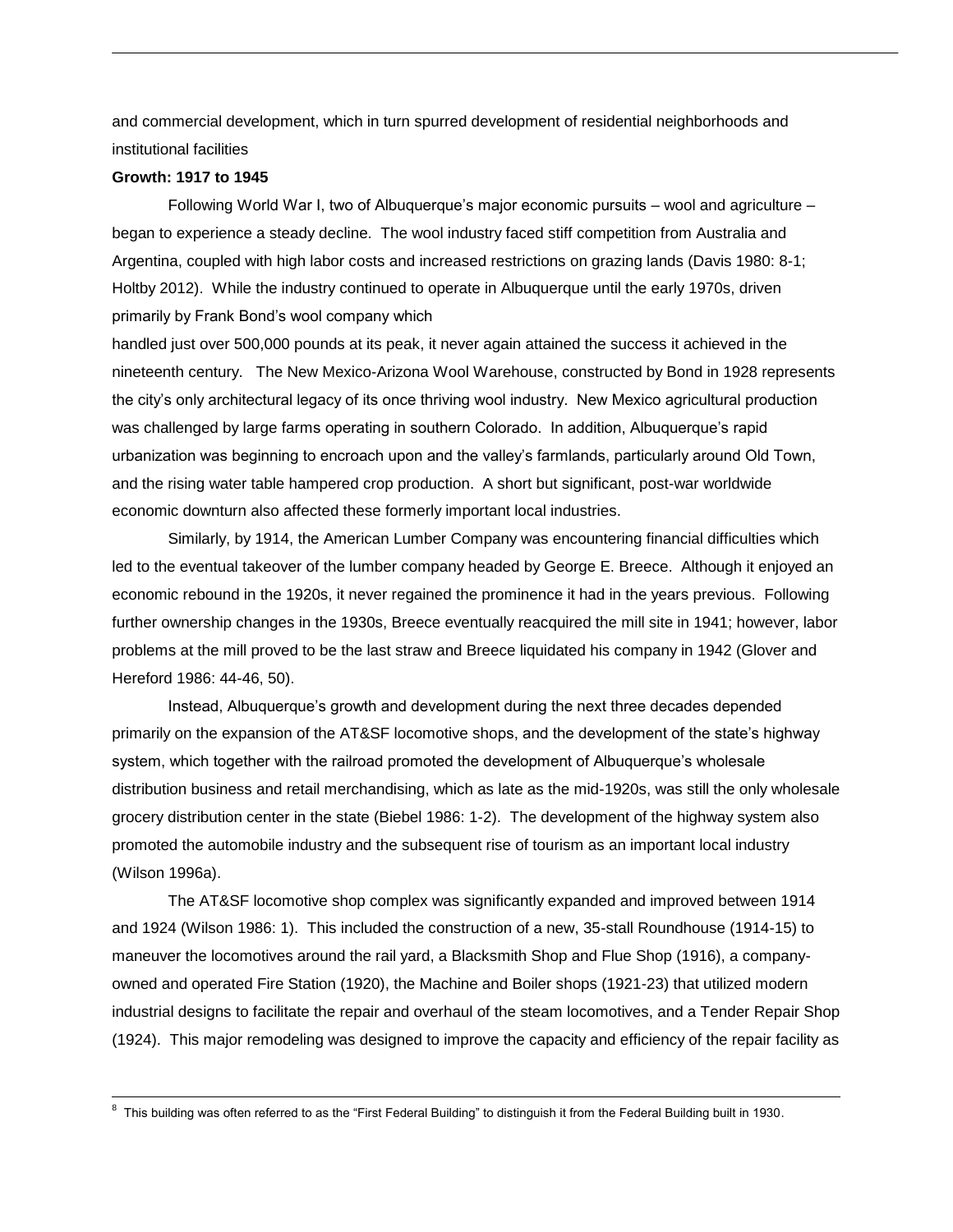and commercial development, which in turn spurred development of residential neighborhoods and institutional facilities

#### **Growth: 1917 to 1945**

 $\overline{\phantom{a}}$ 

Following World War I, two of Albuquerque's major economic pursuits – wool and agriculture – began to experience a steady decline. The wool industry faced stiff competition from Australia and Argentina, coupled with high labor costs and increased restrictions on grazing lands (Davis 1980: 8-1; Holtby 2012). While the industry continued to operate in Albuquerque until the early 1970s, driven primarily by Frank Bond's wool company which

handled just over 500,000 pounds at its peak, it never again attained the success it achieved in the nineteenth century. The New Mexico-Arizona Wool Warehouse, constructed by Bond in 1928 represents the city's only architectural legacy of its once thriving wool industry. New Mexico agricultural production was challenged by large farms operating in southern Colorado. In addition, Albuquerque's rapid urbanization was beginning to encroach upon and the valley's farmlands, particularly around Old Town, and the rising water table hampered crop production. A short but significant, post-war worldwide economic downturn also affected these formerly important local industries.

Similarly, by 1914, the American Lumber Company was encountering financial difficulties which led to the eventual takeover of the lumber company headed by George E. Breece. Although it enjoyed an economic rebound in the 1920s, it never regained the prominence it had in the years previous. Following further ownership changes in the 1930s, Breece eventually reacquired the mill site in 1941; however, labor problems at the mill proved to be the last straw and Breece liquidated his company in 1942 (Glover and Hereford 1986: 44-46, 50).

Instead, Albuquerque's growth and development during the next three decades depended primarily on the expansion of the AT&SF locomotive shops, and the development of the state's highway system, which together with the railroad promoted the development of Albuquerque's wholesale distribution business and retail merchandising, which as late as the mid-1920s, was still the only wholesale grocery distribution center in the state (Biebel 1986: 1-2). The development of the highway system also promoted the automobile industry and the subsequent rise of tourism as an important local industry (Wilson 1996a).

The AT&SF locomotive shop complex was significantly expanded and improved between 1914 and 1924 (Wilson 1986: 1). This included the construction of a new, 35-stall Roundhouse (1914-15) to maneuver the locomotives around the rail yard, a Blacksmith Shop and Flue Shop (1916), a companyowned and operated Fire Station (1920), the Machine and Boiler shops (1921-23) that utilized modern industrial designs to facilitate the repair and overhaul of the steam locomotives, and a Tender Repair Shop (1924). This major remodeling was designed to improve the capacity and efficiency of the repair facility as

 $^8$  This building was often referred to as the "First Federal Building" to distinguish it from the Federal Building built in 1930.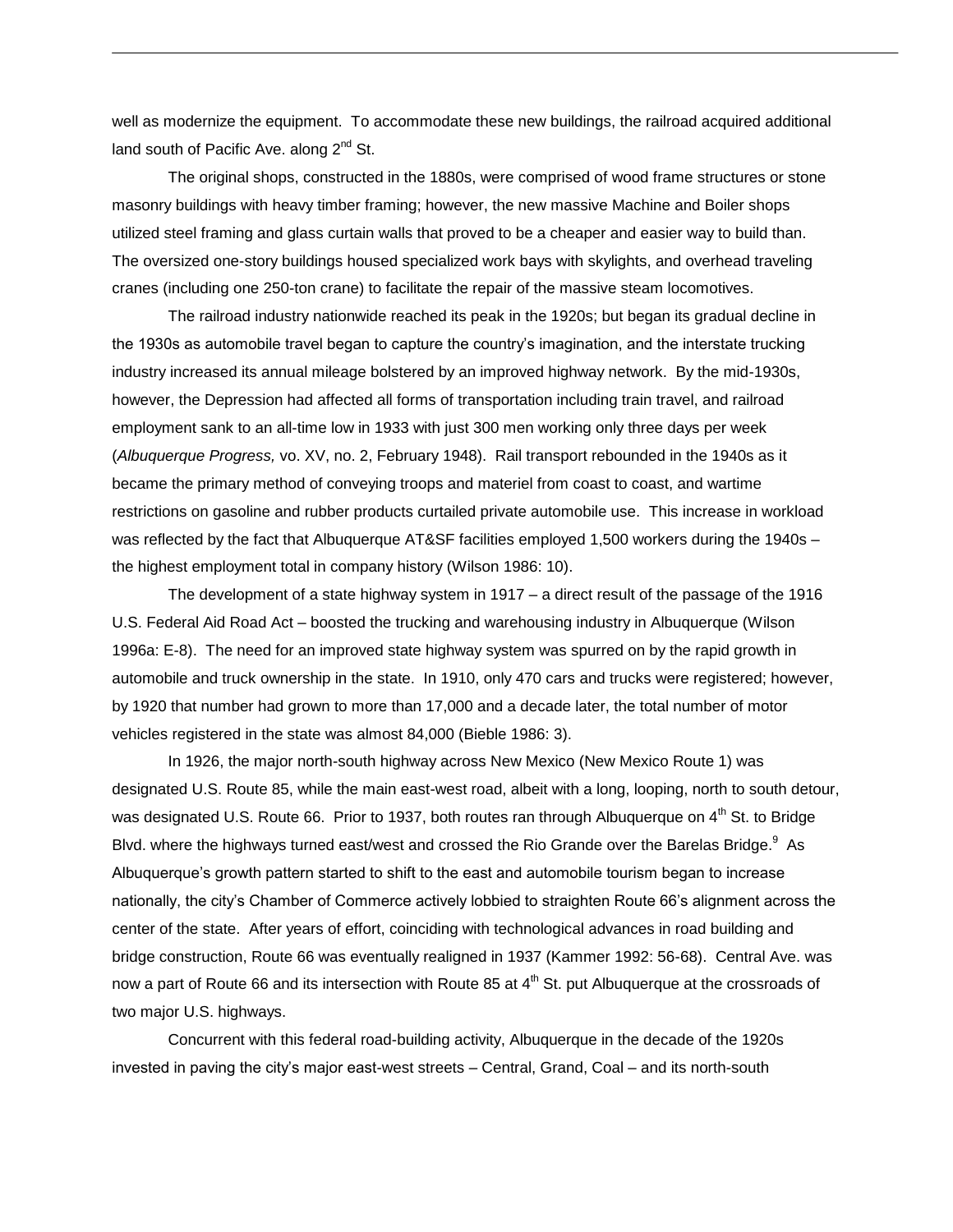well as modernize the equipment. To accommodate these new buildings, the railroad acquired additional land south of Pacific Ave. along  $2^{nd}$  St.

The original shops, constructed in the 1880s, were comprised of wood frame structures or stone masonry buildings with heavy timber framing; however, the new massive Machine and Boiler shops utilized steel framing and glass curtain walls that proved to be a cheaper and easier way to build than. The oversized one-story buildings housed specialized work bays with skylights, and overhead traveling cranes (including one 250-ton crane) to facilitate the repair of the massive steam locomotives.

The railroad industry nationwide reached its peak in the 1920s; but began its gradual decline in the 1930s as automobile travel began to capture the country's imagination, and the interstate trucking industry increased its annual mileage bolstered by an improved highway network. By the mid-1930s, however, the Depression had affected all forms of transportation including train travel, and railroad employment sank to an all-time low in 1933 with just 300 men working only three days per week (*Albuquerque Progress,* vo. XV, no. 2, February 1948). Rail transport rebounded in the 1940s as it became the primary method of conveying troops and materiel from coast to coast, and wartime restrictions on gasoline and rubber products curtailed private automobile use. This increase in workload was reflected by the fact that Albuquerque AT&SF facilities employed 1,500 workers during the 1940s the highest employment total in company history (Wilson 1986: 10).

The development of a state highway system in 1917 – a direct result of the passage of the 1916 U.S. Federal Aid Road Act – boosted the trucking and warehousing industry in Albuquerque (Wilson 1996a: E-8). The need for an improved state highway system was spurred on by the rapid growth in automobile and truck ownership in the state. In 1910, only 470 cars and trucks were registered; however, by 1920 that number had grown to more than 17,000 and a decade later, the total number of motor vehicles registered in the state was almost 84,000 (Bieble 1986: 3).

In 1926, the major north-south highway across New Mexico (New Mexico Route 1) was designated U.S. Route 85, while the main east-west road, albeit with a long, looping, north to south detour, was designated U.S. Route 66. Prior to 1937, both routes ran through Albuquerque on 4<sup>th</sup> St. to Bridge Blvd. where the highways turned east/west and crossed the Rio Grande over the Barelas Bridge. $^9$  As Albuquerque's growth pattern started to shift to the east and automobile tourism began to increase nationally, the city's Chamber of Commerce actively lobbied to straighten Route 66's alignment across the center of the state. After years of effort, coinciding with technological advances in road building and bridge construction, Route 66 was eventually realigned in 1937 (Kammer 1992: 56-68). Central Ave. was now a part of Route 66 and its intersection with Route 85 at  $4<sup>th</sup>$  St. put Albuquerque at the crossroads of two major U.S. highways.

Concurrent with this federal road-building activity, Albuquerque in the decade of the 1920s invested in paving the city's major east-west streets – Central, Grand, Coal – and its north-south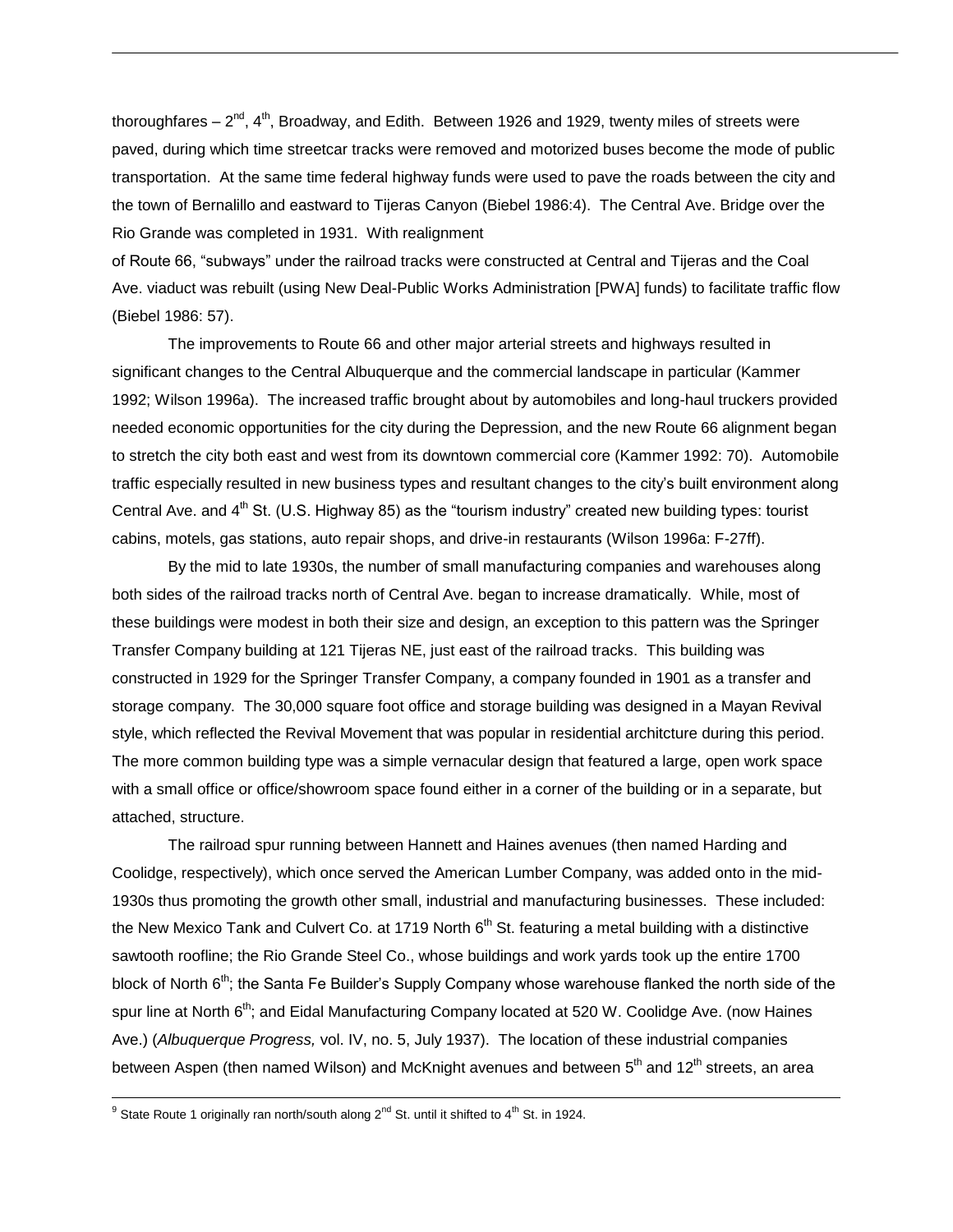thoroughfares – 2<sup>nd</sup>, 4<sup>th</sup>, Broadway, and Edith. Between 1926 and 1929, twenty miles of streets were paved, during which time streetcar tracks were removed and motorized buses become the mode of public transportation. At the same time federal highway funds were used to pave the roads between the city and the town of Bernalillo and eastward to Tijeras Canyon (Biebel 1986:4). The Central Ave. Bridge over the Rio Grande was completed in 1931. With realignment

of Route 66, "subways" under the railroad tracks were constructed at Central and Tijeras and the Coal Ave. viaduct was rebuilt (using New Deal-Public Works Administration [PWA] funds) to facilitate traffic flow (Biebel 1986: 57).

The improvements to Route 66 and other major arterial streets and highways resulted in significant changes to the Central Albuquerque and the commercial landscape in particular (Kammer 1992; Wilson 1996a). The increased traffic brought about by automobiles and long-haul truckers provided needed economic opportunities for the city during the Depression, and the new Route 66 alignment began to stretch the city both east and west from its downtown commercial core (Kammer 1992: 70). Automobile traffic especially resulted in new business types and resultant changes to the city's built environment along Central Ave. and  $4<sup>th</sup>$  St. (U.S. Highway 85) as the "tourism industry" created new building types: tourist cabins, motels, gas stations, auto repair shops, and drive-in restaurants (Wilson 1996a: F-27ff).

By the mid to late 1930s, the number of small manufacturing companies and warehouses along both sides of the railroad tracks north of Central Ave. began to increase dramatically. While, most of these buildings were modest in both their size and design, an exception to this pattern was the Springer Transfer Company building at 121 Tijeras NE, just east of the railroad tracks. This building was constructed in 1929 for the Springer Transfer Company, a company founded in 1901 as a transfer and storage company. The 30,000 square foot office and storage building was designed in a Mayan Revival style, which reflected the Revival Movement that was popular in residential architcture during this period. The more common building type was a simple vernacular design that featured a large, open work space with a small office or office/showroom space found either in a corner of the building or in a separate, but attached, structure.

The railroad spur running between Hannett and Haines avenues (then named Harding and Coolidge, respectively), which once served the American Lumber Company, was added onto in the mid-1930s thus promoting the growth other small, industrial and manufacturing businesses. These included: the New Mexico Tank and Culvert Co. at 1719 North  $6<sup>th</sup>$  St. featuring a metal building with a distinctive sawtooth roofline; the Rio Grande Steel Co., whose buildings and work yards took up the entire 1700 block of North 6<sup>th</sup>; the Santa Fe Builder's Supply Company whose warehouse flanked the north side of the spur line at North 6<sup>th</sup>; and Eidal Manufacturing Company located at 520 W. Coolidge Ave. (now Haines Ave.) (*Albuquerque Progress,* vol. IV, no. 5, July 1937). The location of these industrial companies between Aspen (then named Wilson) and McKnight avenues and between 5<sup>th</sup> and 12<sup>th</sup> streets, an area

l

<sup>&</sup>lt;sup>9</sup> State Route 1 originally ran north/south along  $2^{nd}$  St. until it shifted to  $4^{th}$  St. in 1924.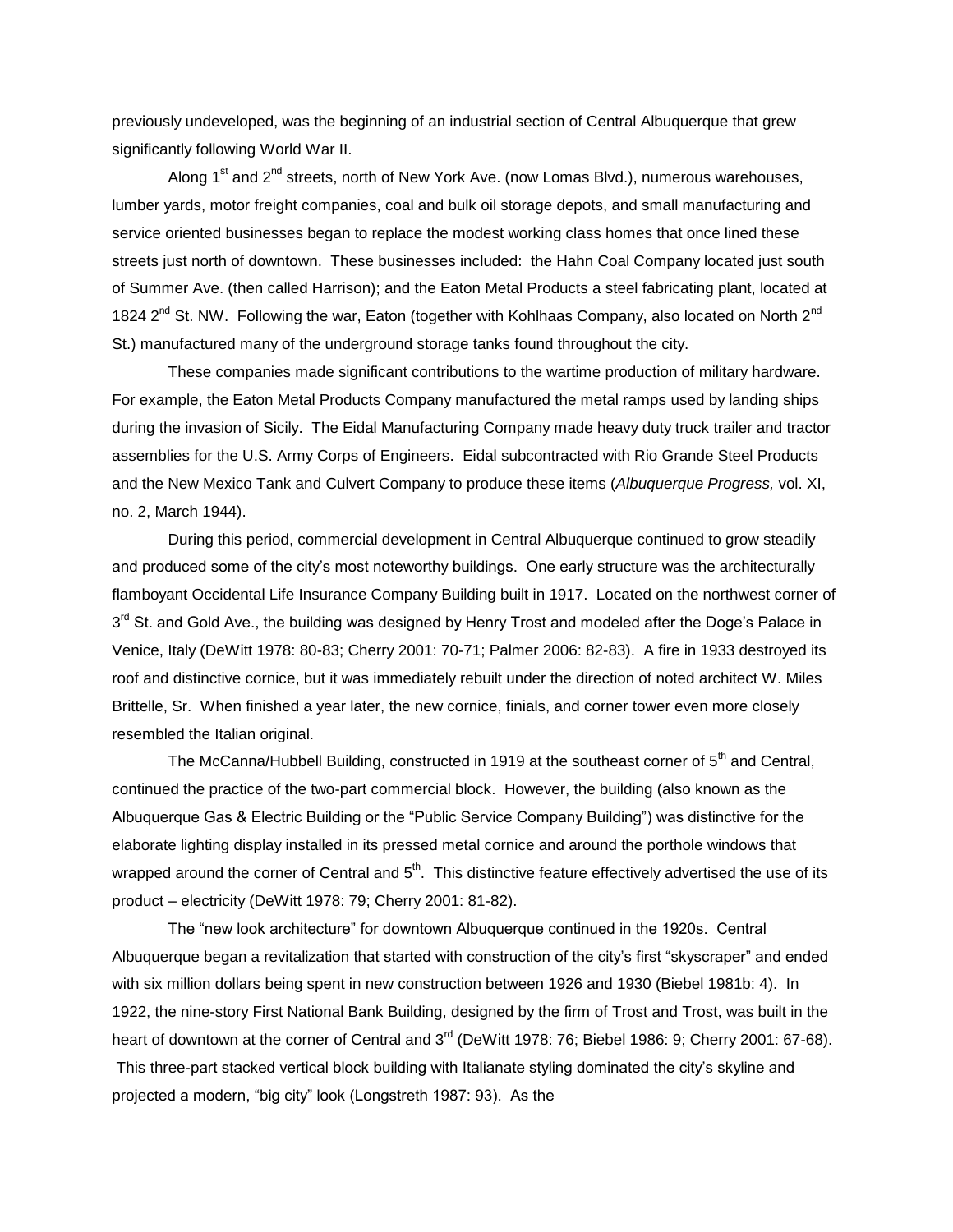previously undeveloped, was the beginning of an industrial section of Central Albuquerque that grew significantly following World War II.

Along  $1^{st}$  and  $2^{nd}$  streets, north of New York Ave. (now Lomas Blvd.), numerous warehouses, lumber yards, motor freight companies, coal and bulk oil storage depots, and small manufacturing and service oriented businesses began to replace the modest working class homes that once lined these streets just north of downtown. These businesses included: the Hahn Coal Company located just south of Summer Ave. (then called Harrison); and the Eaton Metal Products a steel fabricating plant, located at 1824 2<sup>nd</sup> St. NW. Following the war, Eaton (together with Kohlhaas Company, also located on North 2<sup>nd</sup> St.) manufactured many of the underground storage tanks found throughout the city.

These companies made significant contributions to the wartime production of military hardware. For example, the Eaton Metal Products Company manufactured the metal ramps used by landing ships during the invasion of Sicily. The Eidal Manufacturing Company made heavy duty truck trailer and tractor assemblies for the U.S. Army Corps of Engineers. Eidal subcontracted with Rio Grande Steel Products and the New Mexico Tank and Culvert Company to produce these items (*Albuquerque Progress,* vol. XI, no. 2, March 1944).

During this period, commercial development in Central Albuquerque continued to grow steadily and produced some of the city's most noteworthy buildings. One early structure was the architecturally flamboyant Occidental Life Insurance Company Building built in 1917. Located on the northwest corner of 3<sup>rd</sup> St. and Gold Ave., the building was designed by Henry Trost and modeled after the Doge's Palace in Venice, Italy (DeWitt 1978: 80-83; Cherry 2001: 70-71; Palmer 2006: 82-83). A fire in 1933 destroyed its roof and distinctive cornice, but it was immediately rebuilt under the direction of noted architect W. Miles Brittelle, Sr. When finished a year later, the new cornice, finials, and corner tower even more closely resembled the Italian original.

The McCanna/Hubbell Building, constructed in 1919 at the southeast corner of  $5<sup>th</sup>$  and Central, continued the practice of the two-part commercial block. However, the building (also known as the Albuquerque Gas & Electric Building or the "Public Service Company Building") was distinctive for the elaborate lighting display installed in its pressed metal cornice and around the porthole windows that wrapped around the corner of Central and  $5<sup>th</sup>$ . This distinctive feature effectively advertised the use of its product – electricity (DeWitt 1978: 79; Cherry 2001: 81-82).

The "new look architecture" for downtown Albuquerque continued in the 1920s. Central Albuquerque began a revitalization that started with construction of the city's first "skyscraper" and ended with six million dollars being spent in new construction between 1926 and 1930 (Biebel 1981b: 4). In 1922, the nine-story First National Bank Building, designed by the firm of Trost and Trost, was built in the heart of downtown at the corner of Central and 3<sup>rd</sup> (DeWitt 1978: 76; Biebel 1986: 9; Cherry 2001: 67-68). This three-part stacked vertical block building with Italianate styling dominated the city's skyline and projected a modern, "big city" look (Longstreth 1987: 93). As the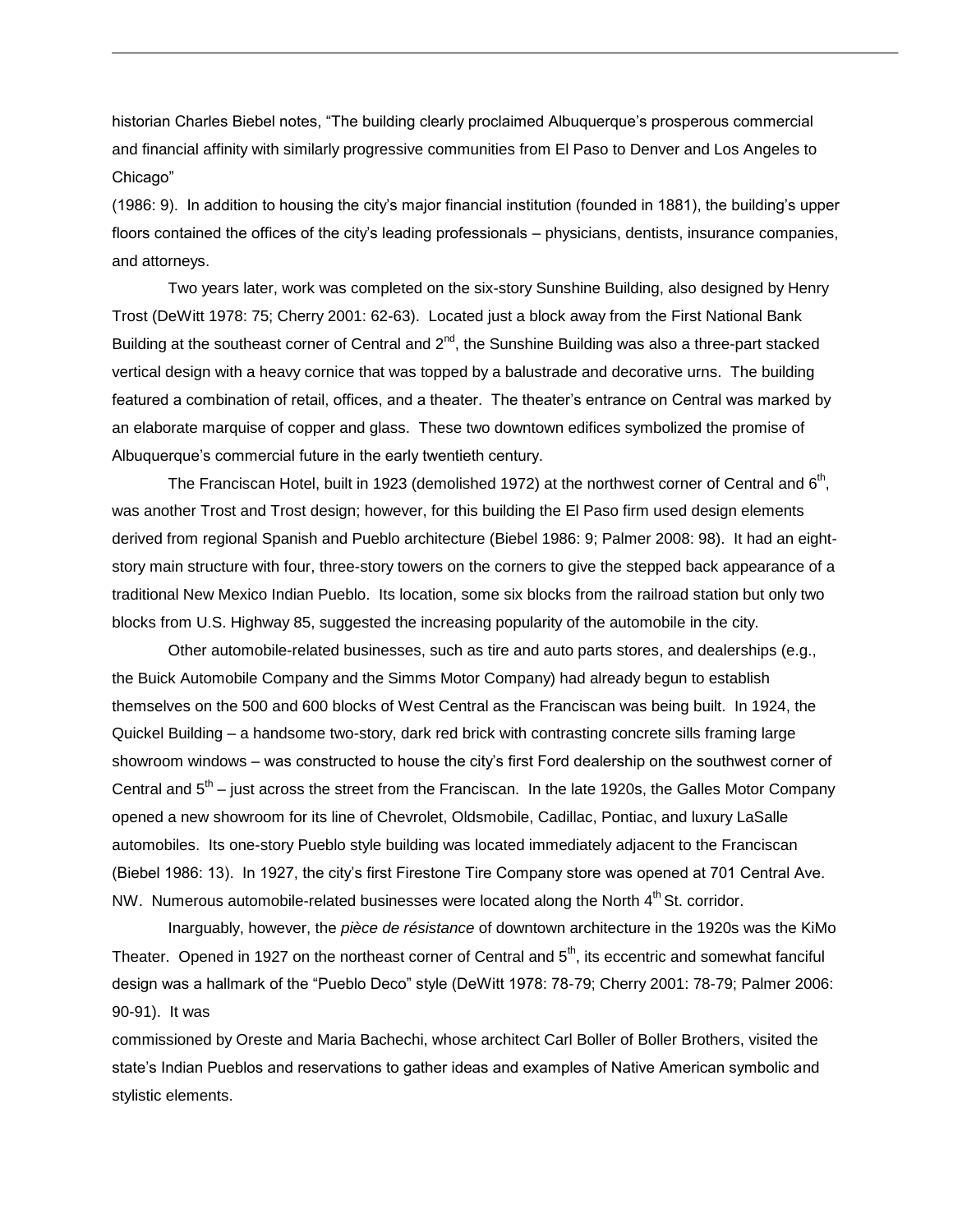historian Charles Biebel notes, "The building clearly proclaimed Albuquerque's prosperous commercial and financial affinity with similarly progressive communities from El Paso to Denver and Los Angeles to Chicago"

(1986: 9). In addition to housing the city's major financial institution (founded in 1881), the building's upper floors contained the offices of the city's leading professionals – physicians, dentists, insurance companies, and attorneys.

Two years later, work was completed on the six-story Sunshine Building, also designed by Henry Trost (DeWitt 1978: 75; Cherry 2001: 62-63). Located just a block away from the First National Bank Building at the southeast corner of Central and  $2^{nd}$ , the Sunshine Building was also a three-part stacked vertical design with a heavy cornice that was topped by a balustrade and decorative urns. The building featured a combination of retail, offices, and a theater. The theater's entrance on Central was marked by an elaborate marquise of copper and glass. These two downtown edifices symbolized the promise of Albuquerque's commercial future in the early twentieth century.

The Franciscan Hotel, built in 1923 (demolished 1972) at the northwest corner of Central and 6<sup>th</sup>, was another Trost and Trost design; however, for this building the El Paso firm used design elements derived from regional Spanish and Pueblo architecture (Biebel 1986: 9; Palmer 2008: 98). It had an eightstory main structure with four, three-story towers on the corners to give the stepped back appearance of a traditional New Mexico Indian Pueblo. Its location, some six blocks from the railroad station but only two blocks from U.S. Highway 85, suggested the increasing popularity of the automobile in the city.

Other automobile-related businesses, such as tire and auto parts stores, and dealerships (e.g., the Buick Automobile Company and the Simms Motor Company) had already begun to establish themselves on the 500 and 600 blocks of West Central as the Franciscan was being built. In 1924, the Quickel Building – a handsome two-story, dark red brick with contrasting concrete sills framing large showroom windows – was constructed to house the city's first Ford dealership on the southwest corner of Central and  $5<sup>th</sup>$  – just across the street from the Franciscan. In the late 1920s, the Galles Motor Company opened a new showroom for its line of Chevrolet, Oldsmobile, Cadillac, Pontiac, and luxury LaSalle automobiles. Its one-story Pueblo style building was located immediately adjacent to the Franciscan (Biebel 1986: 13). In 1927, the city's first Firestone Tire Company store was opened at 701 Central Ave. NW. Numerous automobile-related businesses were located along the North 4<sup>th</sup> St. corridor.

Inarguably, however, the *pièce de résistance* of downtown architecture in the 1920s was the KiMo Theater. Opened in 1927 on the northeast corner of Central and  $5<sup>th</sup>$ , its eccentric and somewhat fanciful design was a hallmark of the "Pueblo Deco" style (DeWitt 1978: 78-79; Cherry 2001: 78-79; Palmer 2006: 90-91). It was

commissioned by Oreste and Maria Bachechi, whose architect Carl Boller of Boller Brothers, visited the state's Indian Pueblos and reservations to gather ideas and examples of Native American symbolic and stylistic elements.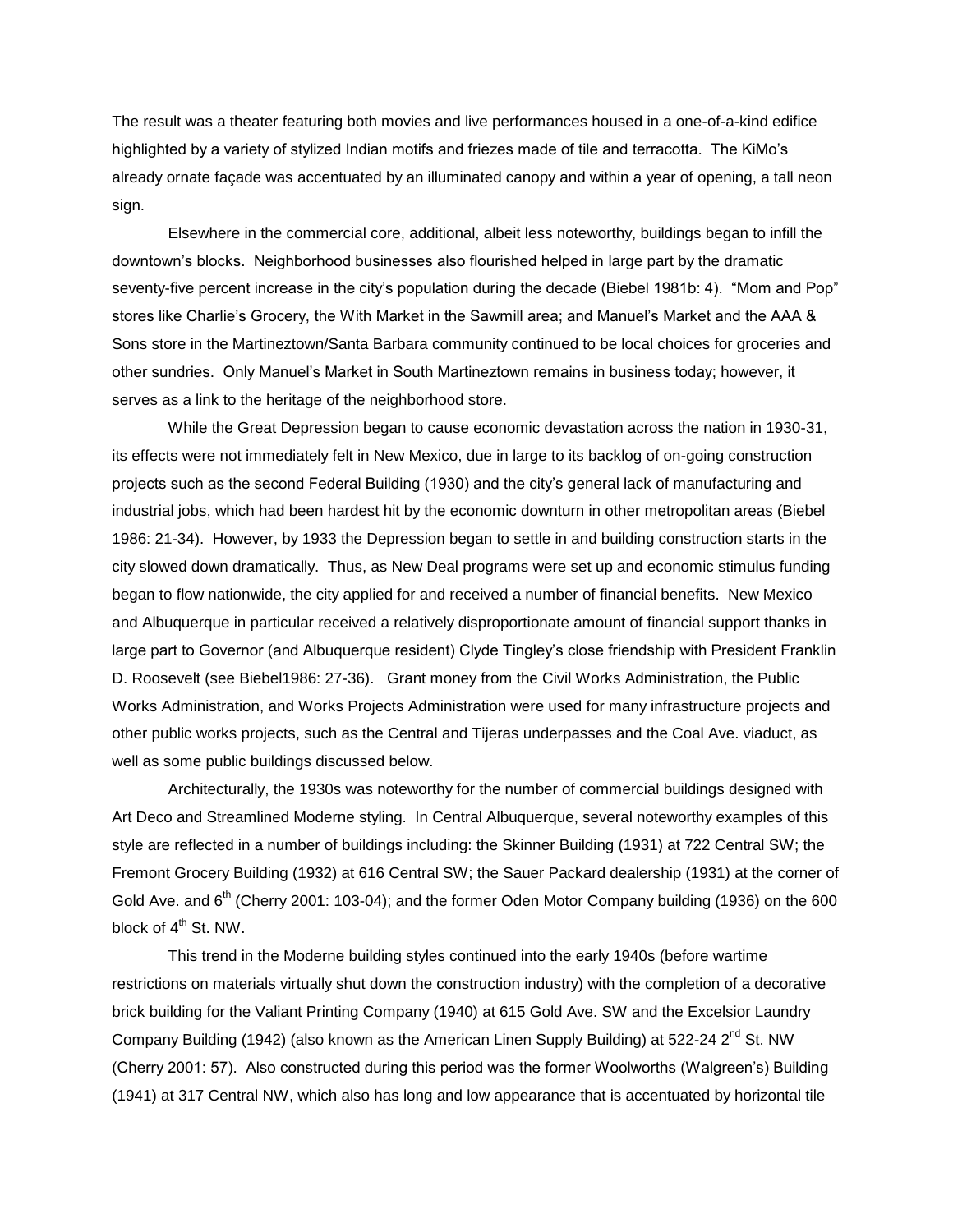The result was a theater featuring both movies and live performances housed in a one-of-a-kind edifice highlighted by a variety of stylized Indian motifs and friezes made of tile and terracotta. The KiMo's already ornate façade was accentuated by an illuminated canopy and within a year of opening, a tall neon sign.

Elsewhere in the commercial core, additional, albeit less noteworthy, buildings began to infill the downtown's blocks. Neighborhood businesses also flourished helped in large part by the dramatic seventy-five percent increase in the city's population during the decade (Biebel 1981b: 4). "Mom and Pop" stores like Charlie's Grocery, the With Market in the Sawmill area; and Manuel's Market and the AAA & Sons store in the Martineztown/Santa Barbara community continued to be local choices for groceries and other sundries. Only Manuel's Market in South Martineztown remains in business today; however, it serves as a link to the heritage of the neighborhood store.

While the Great Depression began to cause economic devastation across the nation in 1930-31, its effects were not immediately felt in New Mexico, due in large to its backlog of on-going construction projects such as the second Federal Building (1930) and the city's general lack of manufacturing and industrial jobs, which had been hardest hit by the economic downturn in other metropolitan areas (Biebel 1986: 21-34). However, by 1933 the Depression began to settle in and building construction starts in the city slowed down dramatically. Thus, as New Deal programs were set up and economic stimulus funding began to flow nationwide, the city applied for and received a number of financial benefits. New Mexico and Albuquerque in particular received a relatively disproportionate amount of financial support thanks in large part to Governor (and Albuquerque resident) Clyde Tingley's close friendship with President Franklin D. Roosevelt (see Biebel1986: 27-36). Grant money from the Civil Works Administration, the Public Works Administration, and Works Projects Administration were used for many infrastructure projects and other public works projects, such as the Central and Tijeras underpasses and the Coal Ave. viaduct, as well as some public buildings discussed below.

Architecturally, the 1930s was noteworthy for the number of commercial buildings designed with Art Deco and Streamlined Moderne styling. In Central Albuquerque, several noteworthy examples of this style are reflected in a number of buildings including: the Skinner Building (1931) at 722 Central SW; the Fremont Grocery Building (1932) at 616 Central SW; the Sauer Packard dealership (1931) at the corner of Gold Ave. and  $6<sup>th</sup>$  (Cherry 2001: 103-04); and the former Oden Motor Company building (1936) on the 600 block of 4<sup>th</sup> St. NW.

This trend in the Moderne building styles continued into the early 1940s (before wartime restrictions on materials virtually shut down the construction industry) with the completion of a decorative brick building for the Valiant Printing Company (1940) at 615 Gold Ave. SW and the Excelsior Laundry Company Building (1942) (also known as the American Linen Supply Building) at 522-24  $2^{nd}$  St. NW (Cherry 2001: 57). Also constructed during this period was the former Woolworths (Walgreen's) Building (1941) at 317 Central NW, which also has long and low appearance that is accentuated by horizontal tile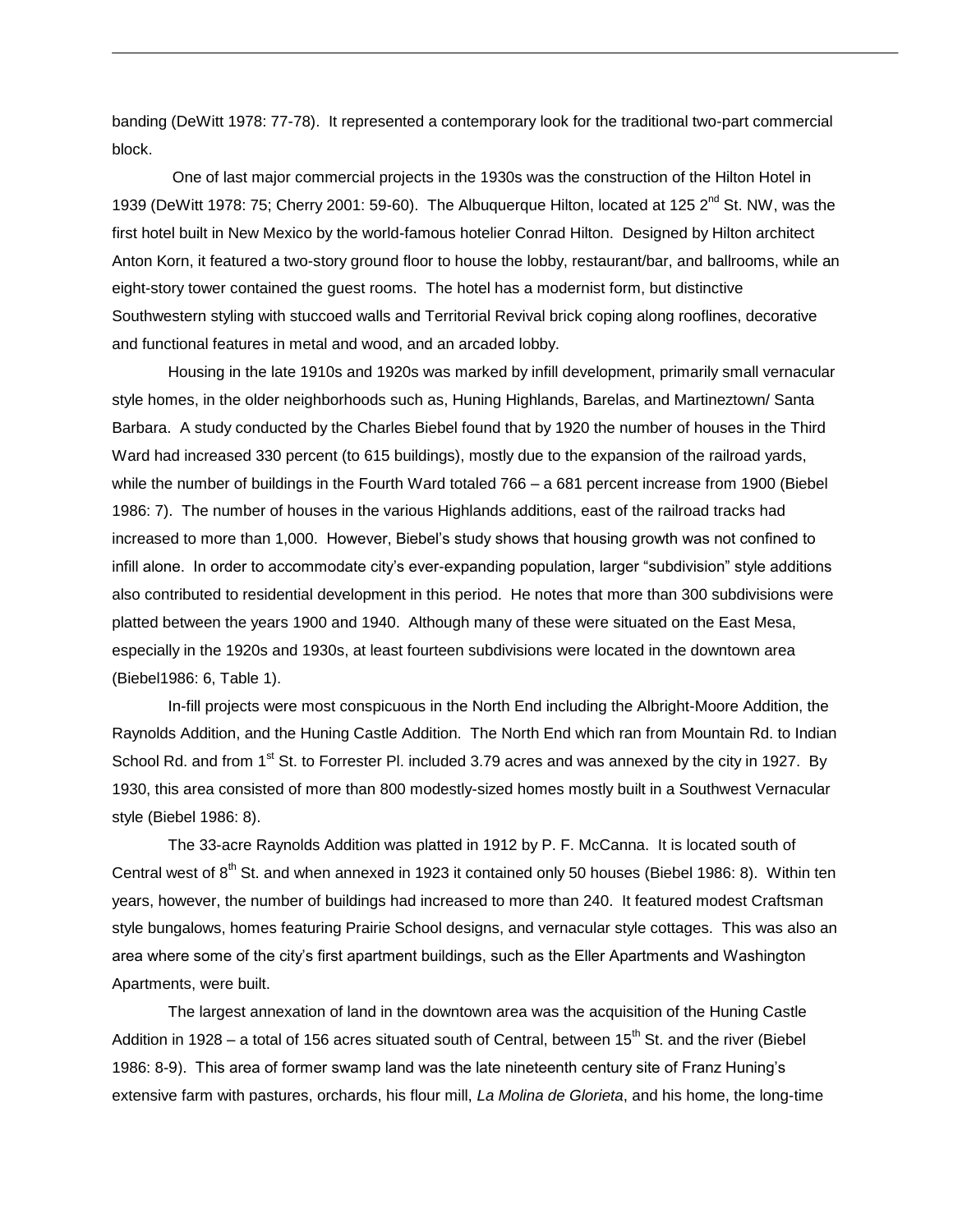banding (DeWitt 1978: 77-78). It represented a contemporary look for the traditional two-part commercial block.

One of last major commercial projects in the 1930s was the construction of the Hilton Hotel in 1939 (DeWitt 1978: 75; Cherry 2001: 59-60). The Albuquerque Hilton, located at 125  $2^{nd}$  St. NW, was the first hotel built in New Mexico by the world-famous hotelier Conrad Hilton. Designed by Hilton architect Anton Korn, it featured a two-story ground floor to house the lobby, restaurant/bar, and ballrooms, while an eight-story tower contained the guest rooms. The hotel has a modernist form, but distinctive Southwestern styling with stuccoed walls and Territorial Revival brick coping along rooflines, decorative and functional features in metal and wood, and an arcaded lobby.

Housing in the late 1910s and 1920s was marked by infill development, primarily small vernacular style homes, in the older neighborhoods such as, Huning Highlands, Barelas, and Martineztown/ Santa Barbara. A study conducted by the Charles Biebel found that by 1920 the number of houses in the Third Ward had increased 330 percent (to 615 buildings), mostly due to the expansion of the railroad yards, while the number of buildings in the Fourth Ward totaled 766 – a 681 percent increase from 1900 (Biebel 1986: 7). The number of houses in the various Highlands additions, east of the railroad tracks had increased to more than 1,000. However, Biebel's study shows that housing growth was not confined to infill alone. In order to accommodate city's ever-expanding population, larger "subdivision" style additions also contributed to residential development in this period. He notes that more than 300 subdivisions were platted between the years 1900 and 1940. Although many of these were situated on the East Mesa, especially in the 1920s and 1930s, at least fourteen subdivisions were located in the downtown area (Biebel1986: 6, Table 1).

In-fill projects were most conspicuous in the North End including the Albright-Moore Addition, the Raynolds Addition, and the Huning Castle Addition. The North End which ran from Mountain Rd. to Indian School Rd. and from 1<sup>st</sup> St. to Forrester PI. included 3.79 acres and was annexed by the city in 1927. By 1930, this area consisted of more than 800 modestly-sized homes mostly built in a Southwest Vernacular style (Biebel 1986: 8).

The 33-acre Raynolds Addition was platted in 1912 by P. F. McCanna. It is located south of Central west of 8<sup>th</sup> St. and when annexed in 1923 it contained only 50 houses (Biebel 1986: 8). Within ten years, however, the number of buildings had increased to more than 240. It featured modest Craftsman style bungalows, homes featuring Prairie School designs, and vernacular style cottages. This was also an area where some of the city's first apartment buildings, such as the Eller Apartments and Washington Apartments, were built.

The largest annexation of land in the downtown area was the acquisition of the Huning Castle Addition in 1928 – a total of 156 acres situated south of Central, between 15<sup>th</sup> St. and the river (Biebel 1986: 8-9). This area of former swamp land was the late nineteenth century site of Franz Huning's extensive farm with pastures, orchards, his flour mill, *La Molina de Glorieta*, and his home, the long-time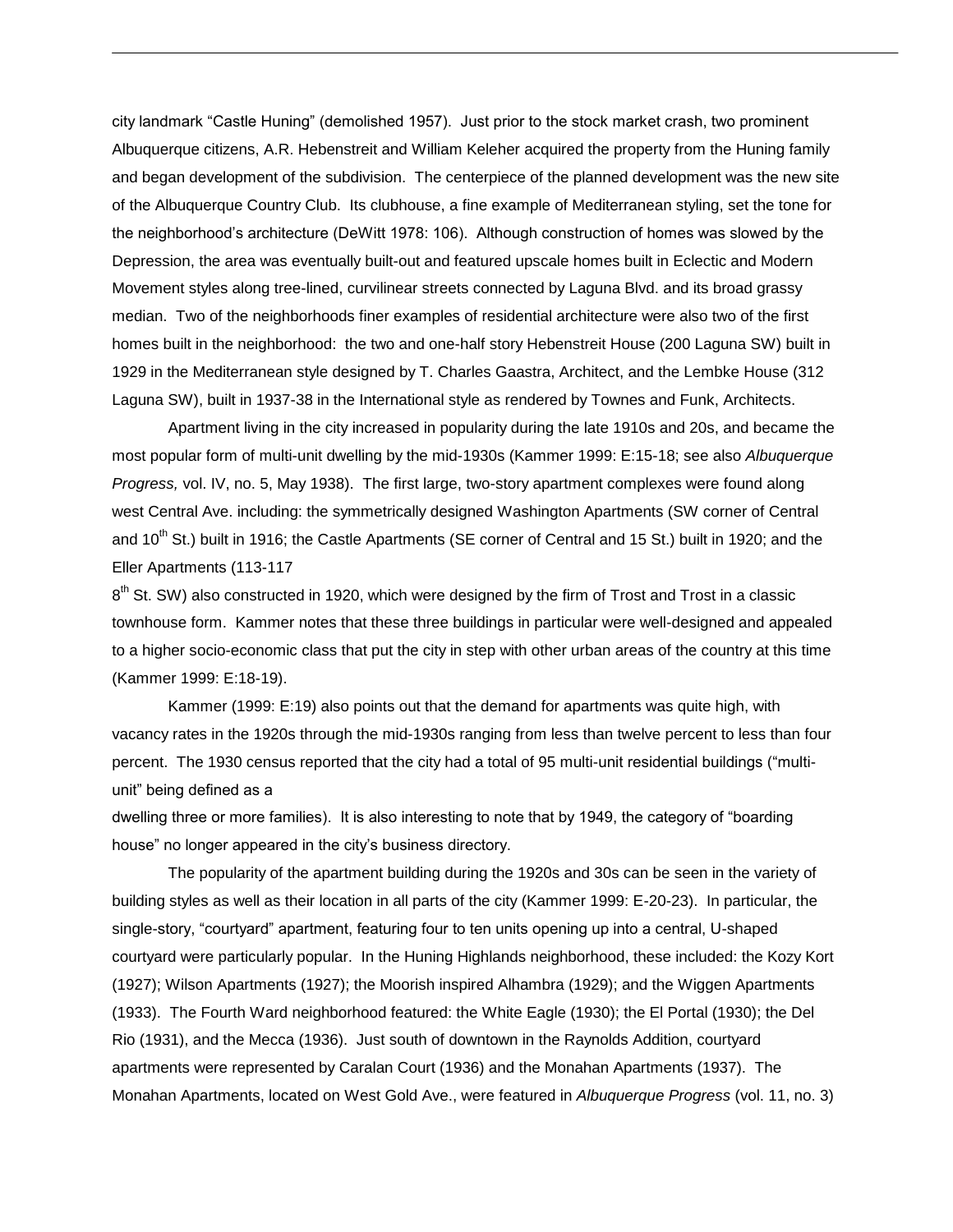city landmark "Castle Huning" (demolished 1957). Just prior to the stock market crash, two prominent Albuquerque citizens, A.R. Hebenstreit and William Keleher acquired the property from the Huning family and began development of the subdivision. The centerpiece of the planned development was the new site of the Albuquerque Country Club. Its clubhouse, a fine example of Mediterranean styling, set the tone for the neighborhood's architecture (DeWitt 1978: 106). Although construction of homes was slowed by the Depression, the area was eventually built-out and featured upscale homes built in Eclectic and Modern Movement styles along tree-lined, curvilinear streets connected by Laguna Blvd. and its broad grassy median. Two of the neighborhoods finer examples of residential architecture were also two of the first homes built in the neighborhood: the two and one-half story Hebenstreit House (200 Laguna SW) built in 1929 in the Mediterranean style designed by T. Charles Gaastra, Architect, and the Lembke House (312 Laguna SW), built in 1937-38 in the International style as rendered by Townes and Funk, Architects.

Apartment living in the city increased in popularity during the late 1910s and 20s, and became the most popular form of multi-unit dwelling by the mid-1930s (Kammer 1999: E:15-18; see also *Albuquerque Progress,* vol. IV, no. 5, May 1938). The first large, two-story apartment complexes were found along west Central Ave. including: the symmetrically designed Washington Apartments (SW corner of Central and 10<sup>th</sup> St.) built in 1916; the Castle Apartments (SE corner of Central and 15 St.) built in 1920; and the Eller Apartments (113-117

8<sup>th</sup> St. SW) also constructed in 1920, which were designed by the firm of Trost and Trost in a classic townhouse form. Kammer notes that these three buildings in particular were well-designed and appealed to a higher socio-economic class that put the city in step with other urban areas of the country at this time (Kammer 1999: E:18-19).

Kammer (1999: E:19) also points out that the demand for apartments was quite high, with vacancy rates in the 1920s through the mid-1930s ranging from less than twelve percent to less than four percent. The 1930 census reported that the city had a total of 95 multi-unit residential buildings ("multiunit" being defined as a

dwelling three or more families). It is also interesting to note that by 1949, the category of "boarding house" no longer appeared in the city's business directory.

The popularity of the apartment building during the 1920s and 30s can be seen in the variety of building styles as well as their location in all parts of the city (Kammer 1999: E-20-23). In particular, the single-story, "courtyard" apartment, featuring four to ten units opening up into a central, U-shaped courtyard were particularly popular. In the Huning Highlands neighborhood, these included: the Kozy Kort (1927); Wilson Apartments (1927); the Moorish inspired Alhambra (1929); and the Wiggen Apartments (1933). The Fourth Ward neighborhood featured: the White Eagle (1930); the El Portal (1930); the Del Rio (1931), and the Mecca (1936). Just south of downtown in the Raynolds Addition, courtyard apartments were represented by Caralan Court (1936) and the Monahan Apartments (1937). The Monahan Apartments, located on West Gold Ave., were featured in *Albuquerque Progress* (vol. 11, no. 3)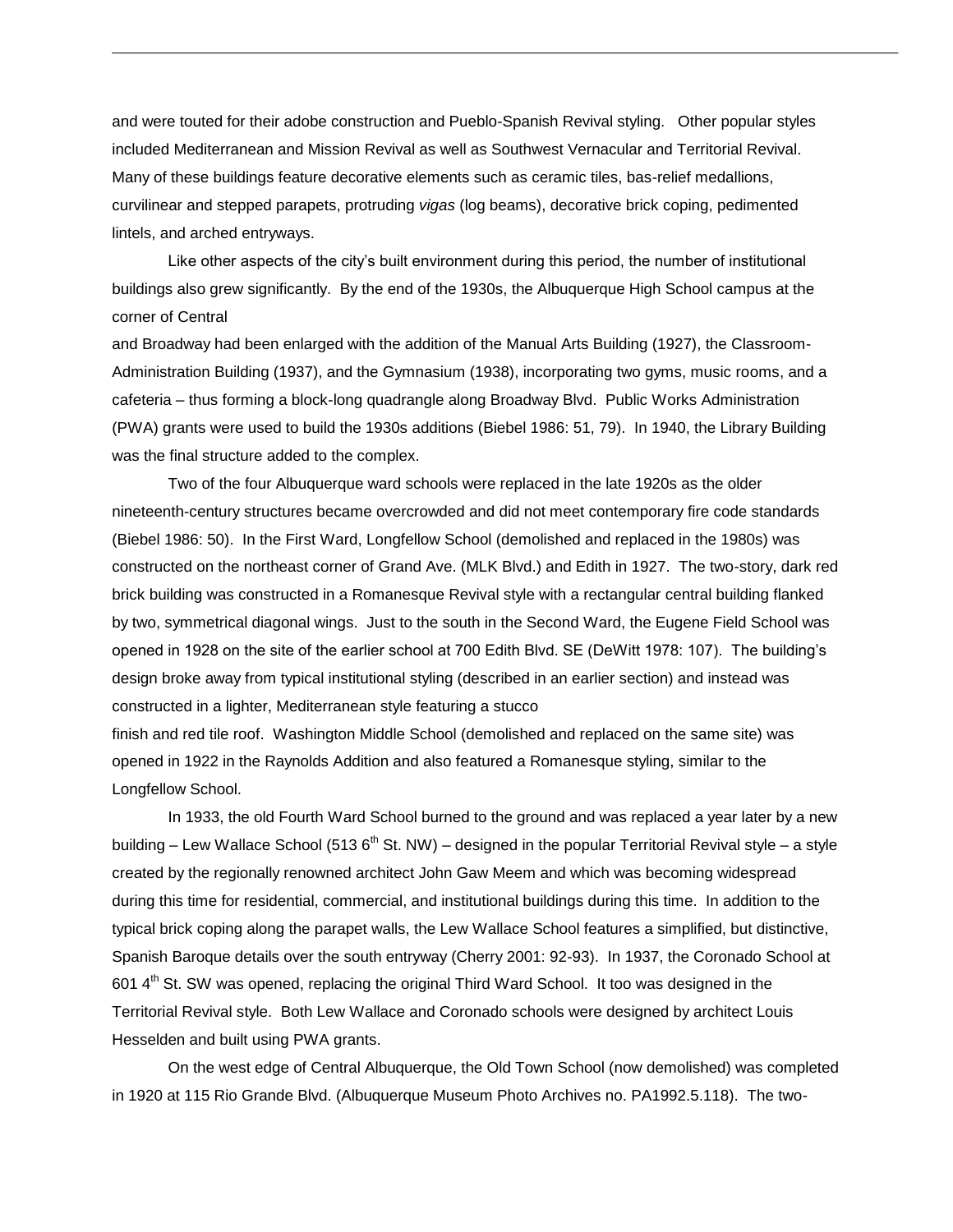and were touted for their adobe construction and Pueblo-Spanish Revival styling. Other popular styles included Mediterranean and Mission Revival as well as Southwest Vernacular and Territorial Revival. Many of these buildings feature decorative elements such as ceramic tiles, bas-relief medallions, curvilinear and stepped parapets, protruding *vigas* (log beams), decorative brick coping, pedimented lintels, and arched entryways.

Like other aspects of the city's built environment during this period, the number of institutional buildings also grew significantly. By the end of the 1930s, the Albuquerque High School campus at the corner of Central

and Broadway had been enlarged with the addition of the Manual Arts Building (1927), the Classroom-Administration Building (1937), and the Gymnasium (1938), incorporating two gyms, music rooms, and a cafeteria – thus forming a block-long quadrangle along Broadway Blvd. Public Works Administration (PWA) grants were used to build the 1930s additions (Biebel 1986: 51, 79). In 1940, the Library Building was the final structure added to the complex.

Two of the four Albuquerque ward schools were replaced in the late 1920s as the older nineteenth-century structures became overcrowded and did not meet contemporary fire code standards (Biebel 1986: 50). In the First Ward, Longfellow School (demolished and replaced in the 1980s) was constructed on the northeast corner of Grand Ave. (MLK Blvd.) and Edith in 1927. The two-story, dark red brick building was constructed in a Romanesque Revival style with a rectangular central building flanked by two, symmetrical diagonal wings. Just to the south in the Second Ward, the Eugene Field School was opened in 1928 on the site of the earlier school at 700 Edith Blvd. SE (DeWitt 1978: 107). The building's design broke away from typical institutional styling (described in an earlier section) and instead was constructed in a lighter, Mediterranean style featuring a stucco

finish and red tile roof. Washington Middle School (demolished and replaced on the same site) was opened in 1922 in the Raynolds Addition and also featured a Romanesque styling, similar to the Longfellow School.

In 1933, the old Fourth Ward School burned to the ground and was replaced a year later by a new building – Lew Wallace School (513 6<sup>th</sup> St. NW) – designed in the popular Territorial Revival style – a style created by the regionally renowned architect John Gaw Meem and which was becoming widespread during this time for residential, commercial, and institutional buildings during this time. In addition to the typical brick coping along the parapet walls, the Lew Wallace School features a simplified, but distinctive, Spanish Baroque details over the south entryway (Cherry 2001: 92-93). In 1937, the Coronado School at 601 4<sup>th</sup> St. SW was opened, replacing the original Third Ward School. It too was designed in the Territorial Revival style. Both Lew Wallace and Coronado schools were designed by architect Louis Hesselden and built using PWA grants.

On the west edge of Central Albuquerque, the Old Town School (now demolished) was completed in 1920 at 115 Rio Grande Blvd. (Albuquerque Museum Photo Archives no. PA1992.5.118). The two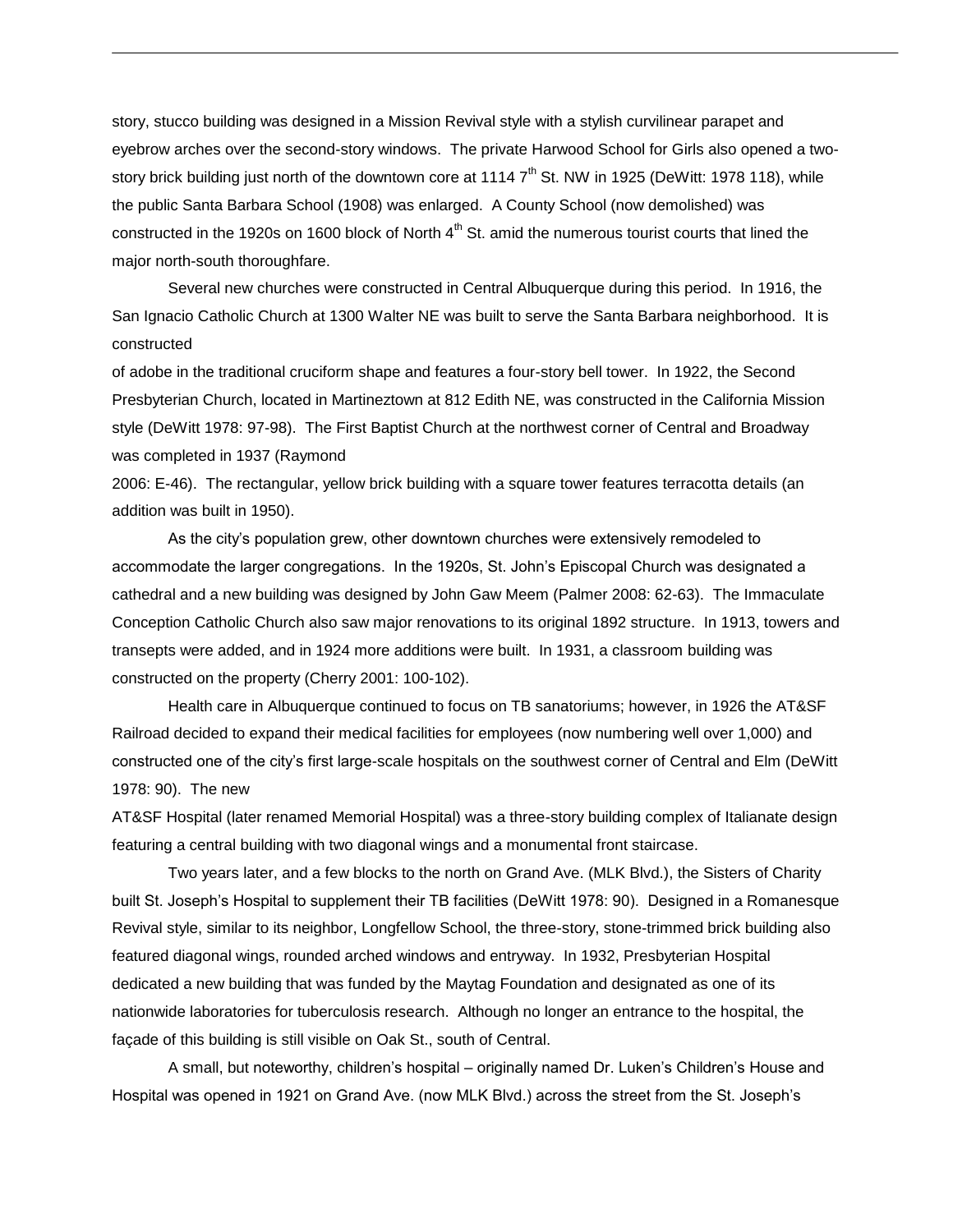story, stucco building was designed in a Mission Revival style with a stylish curvilinear parapet and eyebrow arches over the second-story windows. The private Harwood School for Girls also opened a twostory brick building just north of the downtown core at 1114  $7<sup>th</sup>$  St. NW in 1925 (DeWitt: 1978 118), while the public Santa Barbara School (1908) was enlarged. A County School (now demolished) was constructed in the 1920s on 1600 block of North  $4<sup>th</sup>$  St. amid the numerous tourist courts that lined the major north-south thoroughfare.

Several new churches were constructed in Central Albuquerque during this period. In 1916, the San Ignacio Catholic Church at 1300 Walter NE was built to serve the Santa Barbara neighborhood. It is constructed

of adobe in the traditional cruciform shape and features a four-story bell tower. In 1922, the Second Presbyterian Church, located in Martineztown at 812 Edith NE, was constructed in the California Mission style (DeWitt 1978: 97-98). The First Baptist Church at the northwest corner of Central and Broadway was completed in 1937 (Raymond

2006: E-46). The rectangular, yellow brick building with a square tower features terracotta details (an addition was built in 1950).

As the city's population grew, other downtown churches were extensively remodeled to accommodate the larger congregations. In the 1920s, St. John's Episcopal Church was designated a cathedral and a new building was designed by John Gaw Meem (Palmer 2008: 62-63). The Immaculate Conception Catholic Church also saw major renovations to its original 1892 structure. In 1913, towers and transepts were added, and in 1924 more additions were built. In 1931, a classroom building was constructed on the property (Cherry 2001: 100-102).

Health care in Albuquerque continued to focus on TB sanatoriums; however, in 1926 the AT&SF Railroad decided to expand their medical facilities for employees (now numbering well over 1,000) and constructed one of the city's first large-scale hospitals on the southwest corner of Central and Elm (DeWitt 1978: 90). The new

AT&SF Hospital (later renamed Memorial Hospital) was a three-story building complex of Italianate design featuring a central building with two diagonal wings and a monumental front staircase.

Two years later, and a few blocks to the north on Grand Ave. (MLK Blvd.), the Sisters of Charity built St. Joseph's Hospital to supplement their TB facilities (DeWitt 1978: 90). Designed in a Romanesque Revival style, similar to its neighbor, Longfellow School, the three-story, stone-trimmed brick building also featured diagonal wings, rounded arched windows and entryway. In 1932, Presbyterian Hospital dedicated a new building that was funded by the Maytag Foundation and designated as one of its nationwide laboratories for tuberculosis research. Although no longer an entrance to the hospital, the façade of this building is still visible on Oak St., south of Central.

 A small, but noteworthy, children's hospital – originally named Dr. Luken's Children's House and Hospital was opened in 1921 on Grand Ave. (now MLK Blvd.) across the street from the St. Joseph's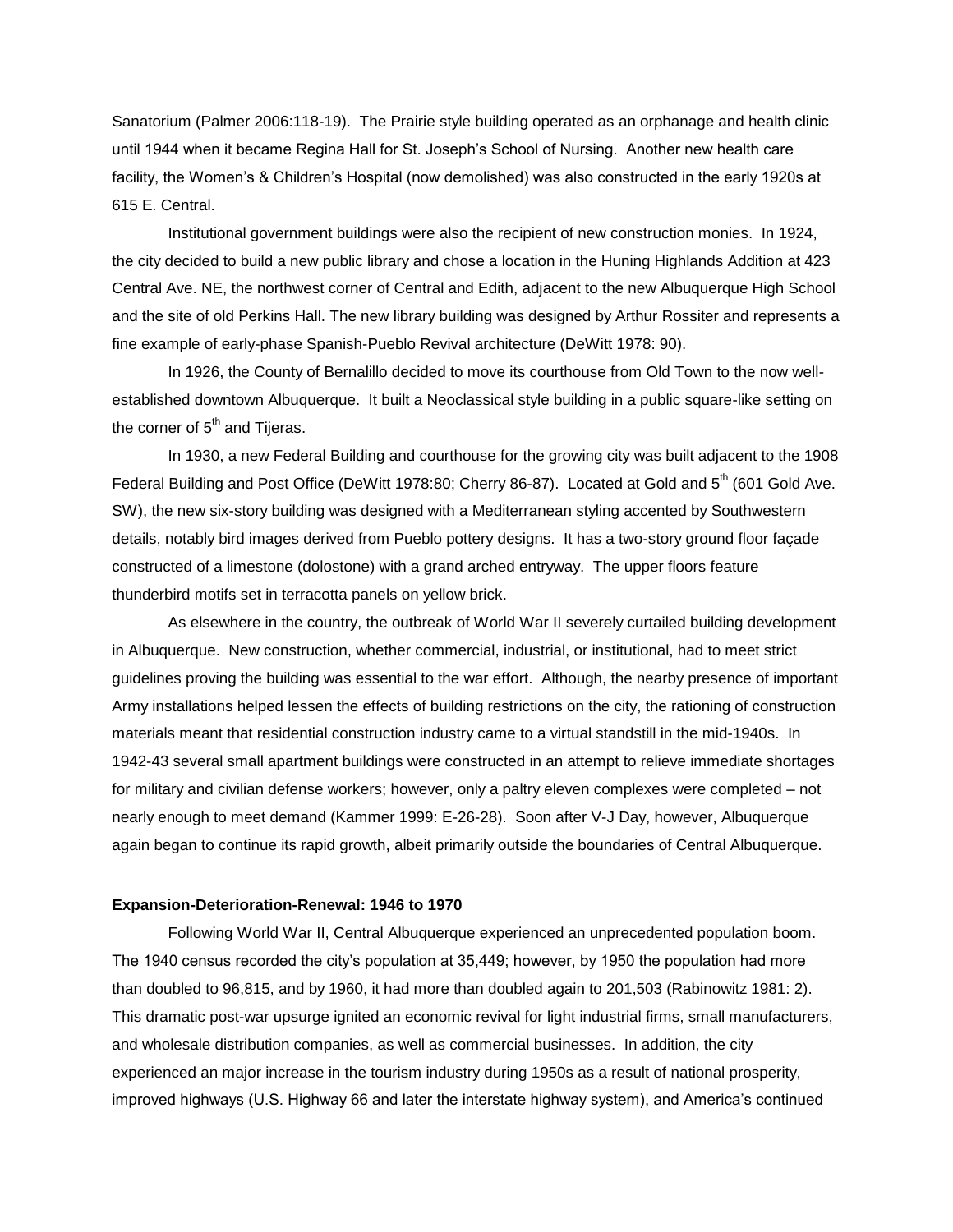Sanatorium (Palmer 2006:118-19). The Prairie style building operated as an orphanage and health clinic until 1944 when it became Regina Hall for St. Joseph's School of Nursing. Another new health care facility, the Women's & Children's Hospital (now demolished) was also constructed in the early 1920s at 615 E. Central.

 Institutional government buildings were also the recipient of new construction monies. In 1924, the city decided to build a new public library and chose a location in the Huning Highlands Addition at 423 Central Ave. NE, the northwest corner of Central and Edith, adjacent to the new Albuquerque High School and the site of old Perkins Hall. The new library building was designed by Arthur Rossiter and represents a fine example of early-phase Spanish-Pueblo Revival architecture (DeWitt 1978: 90).

In 1926, the County of Bernalillo decided to move its courthouse from Old Town to the now wellestablished downtown Albuquerque. It built a Neoclassical style building in a public square-like setting on the corner of  $5<sup>th</sup>$  and Tijeras.

In 1930, a new Federal Building and courthouse for the growing city was built adjacent to the 1908 Federal Building and Post Office (DeWitt 1978:80; Cherry 86-87). Located at Gold and 5<sup>th</sup> (601 Gold Ave. SW), the new six-story building was designed with a Mediterranean styling accented by Southwestern details, notably bird images derived from Pueblo pottery designs. It has a two-story ground floor façade constructed of a limestone (dolostone) with a grand arched entryway. The upper floors feature thunderbird motifs set in terracotta panels on yellow brick.

As elsewhere in the country, the outbreak of World War II severely curtailed building development in Albuquerque. New construction, whether commercial, industrial, or institutional, had to meet strict guidelines proving the building was essential to the war effort. Although, the nearby presence of important Army installations helped lessen the effects of building restrictions on the city, the rationing of construction materials meant that residential construction industry came to a virtual standstill in the mid-1940s. In 1942-43 several small apartment buildings were constructed in an attempt to relieve immediate shortages for military and civilian defense workers; however, only a paltry eleven complexes were completed – not nearly enough to meet demand (Kammer 1999: E-26-28). Soon after V-J Day, however, Albuquerque again began to continue its rapid growth, albeit primarily outside the boundaries of Central Albuquerque.

#### **Expansion-Deterioration-Renewal: 1946 to 1970**

Following World War II, Central Albuquerque experienced an unprecedented population boom. The 1940 census recorded the city's population at 35,449; however, by 1950 the population had more than doubled to 96,815, and by 1960, it had more than doubled again to 201,503 (Rabinowitz 1981: 2). This dramatic post-war upsurge ignited an economic revival for light industrial firms, small manufacturers, and wholesale distribution companies, as well as commercial businesses. In addition, the city experienced an major increase in the tourism industry during 1950s as a result of national prosperity, improved highways (U.S. Highway 66 and later the interstate highway system), and America's continued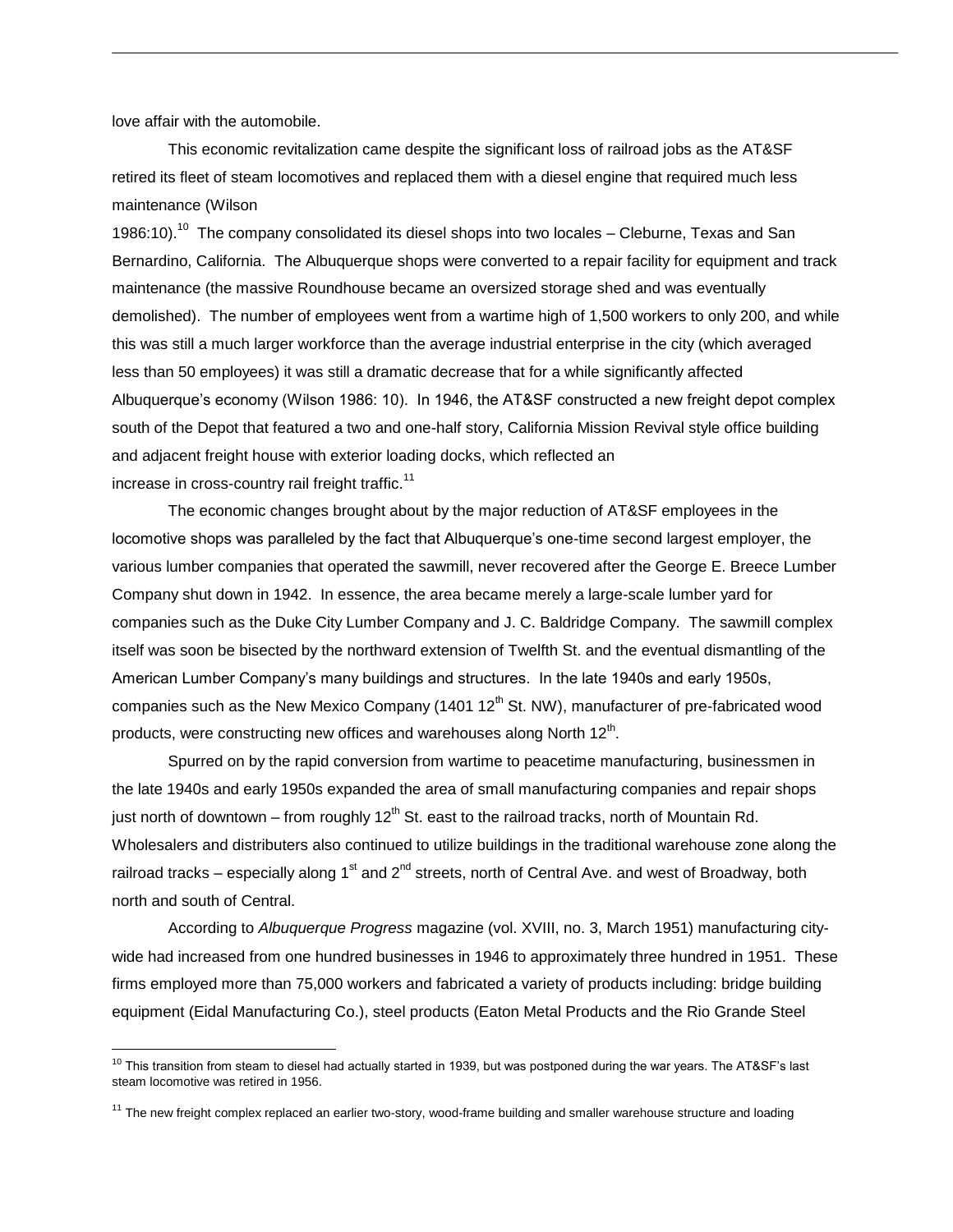love affair with the automobile.

 $\overline{a}$ 

This economic revitalization came despite the significant loss of railroad jobs as the AT&SF retired its fleet of steam locomotives and replaced them with a diesel engine that required much less maintenance (Wilson

1986:10).<sup>10</sup> The company consolidated its diesel shops into two locales – Cleburne, Texas and San Bernardino, California. The Albuquerque shops were converted to a repair facility for equipment and track maintenance (the massive Roundhouse became an oversized storage shed and was eventually demolished). The number of employees went from a wartime high of 1,500 workers to only 200, and while this was still a much larger workforce than the average industrial enterprise in the city (which averaged less than 50 employees) it was still a dramatic decrease that for a while significantly affected Albuquerque's economy (Wilson 1986: 10). In 1946, the AT&SF constructed a new freight depot complex south of the Depot that featured a two and one-half story, California Mission Revival style office building and adjacent freight house with exterior loading docks, which reflected an increase in cross-country rail freight traffic.<sup>11</sup>

The economic changes brought about by the major reduction of AT&SF employees in the locomotive shops was paralleled by the fact that Albuquerque's one-time second largest employer, the various lumber companies that operated the sawmill, never recovered after the George E. Breece Lumber Company shut down in 1942. In essence, the area became merely a large-scale lumber yard for companies such as the Duke City Lumber Company and J. C. Baldridge Company. The sawmill complex itself was soon be bisected by the northward extension of Twelfth St. and the eventual dismantling of the American Lumber Company's many buildings and structures. In the late 1940s and early 1950s, companies such as the New Mexico Company (1401  $12<sup>th</sup>$  St. NW), manufacturer of pre-fabricated wood products, were constructing new offices and warehouses along North 12<sup>th</sup>.

Spurred on by the rapid conversion from wartime to peacetime manufacturing, businessmen in the late 1940s and early 1950s expanded the area of small manufacturing companies and repair shops iust north of downtown – from roughly  $12<sup>th</sup>$  St. east to the railroad tracks, north of Mountain Rd. Wholesalers and distributers also continued to utilize buildings in the traditional warehouse zone along the railroad tracks – especially along  $1<sup>st</sup>$  and  $2<sup>nd</sup>$  streets, north of Central Ave. and west of Broadway, both north and south of Central.

According to *Albuquerque Progress* magazine (vol. XVIII, no. 3, March 1951) manufacturing citywide had increased from one hundred businesses in 1946 to approximately three hundred in 1951. These firms employed more than 75,000 workers and fabricated a variety of products including: bridge building equipment (Eidal Manufacturing Co.), steel products (Eaton Metal Products and the Rio Grande Steel

 $10$  This transition from steam to diesel had actually started in 1939, but was postponed during the war years. The AT&SF's last steam locomotive was retired in 1956.

 $11$  The new freight complex replaced an earlier two-story, wood-frame building and smaller warehouse structure and loading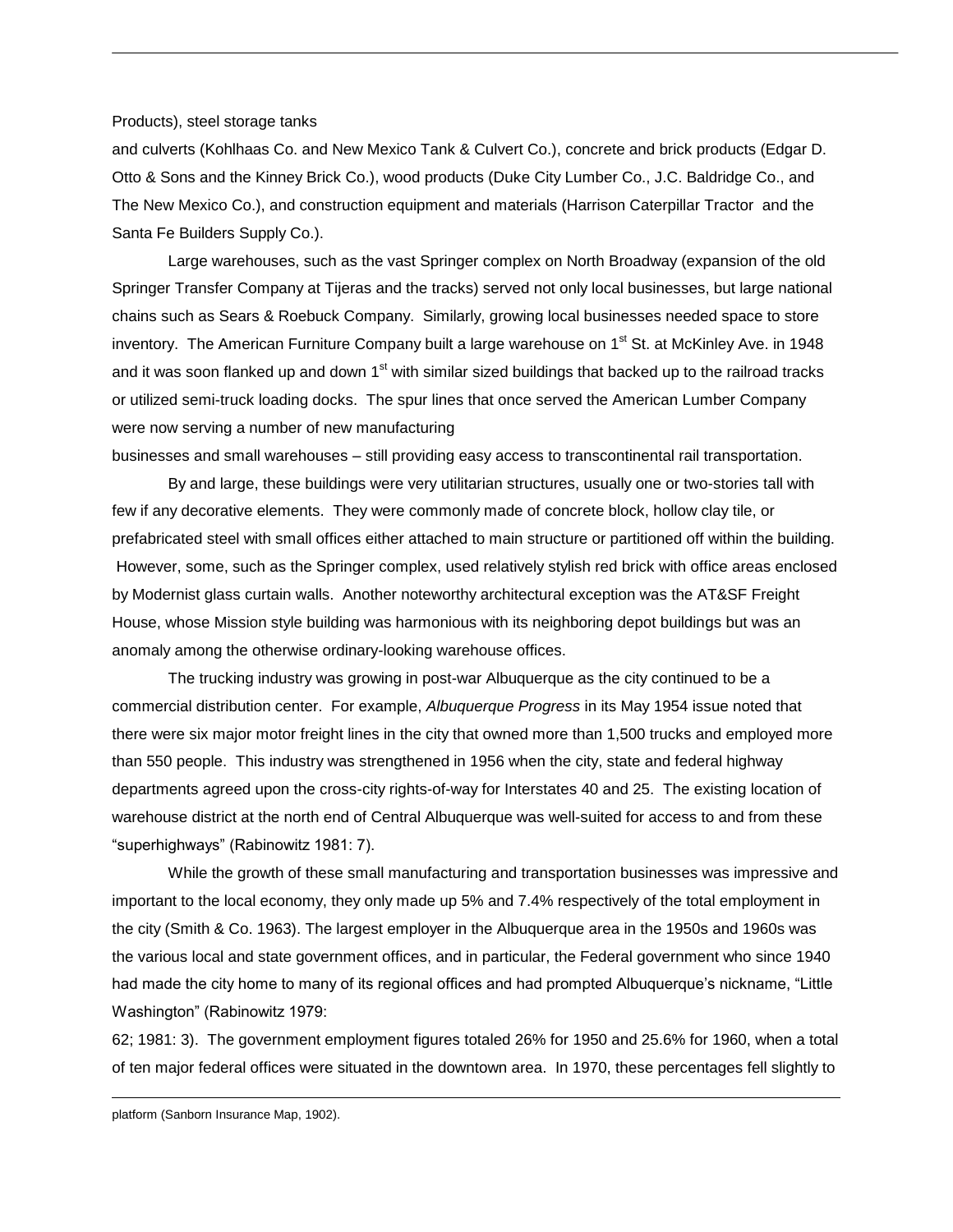#### Products), steel storage tanks

and culverts (Kohlhaas Co. and New Mexico Tank & Culvert Co.), concrete and brick products (Edgar D. Otto & Sons and the Kinney Brick Co.), wood products (Duke City Lumber Co., J.C. Baldridge Co., and The New Mexico Co.), and construction equipment and materials (Harrison Caterpillar Tractor and the Santa Fe Builders Supply Co.).

Large warehouses, such as the vast Springer complex on North Broadway (expansion of the old Springer Transfer Company at Tijeras and the tracks) served not only local businesses, but large national chains such as Sears & Roebuck Company. Similarly, growing local businesses needed space to store inventory. The American Furniture Company built a large warehouse on 1<sup>st</sup> St. at McKinley Ave. in 1948 and it was soon flanked up and down 1<sup>st</sup> with similar sized buildings that backed up to the railroad tracks or utilized semi-truck loading docks. The spur lines that once served the American Lumber Company were now serving a number of new manufacturing

businesses and small warehouses – still providing easy access to transcontinental rail transportation.

By and large, these buildings were very utilitarian structures, usually one or two-stories tall with few if any decorative elements. They were commonly made of concrete block, hollow clay tile, or prefabricated steel with small offices either attached to main structure or partitioned off within the building. However, some, such as the Springer complex, used relatively stylish red brick with office areas enclosed by Modernist glass curtain walls. Another noteworthy architectural exception was the AT&SF Freight House, whose Mission style building was harmonious with its neighboring depot buildings but was an anomaly among the otherwise ordinary-looking warehouse offices.

The trucking industry was growing in post-war Albuquerque as the city continued to be a commercial distribution center. For example, *Albuquerque Progress* in its May 1954 issue noted that there were six major motor freight lines in the city that owned more than 1,500 trucks and employed more than 550 people. This industry was strengthened in 1956 when the city, state and federal highway departments agreed upon the cross-city rights-of-way for Interstates 40 and 25. The existing location of warehouse district at the north end of Central Albuquerque was well-suited for access to and from these "superhighways" (Rabinowitz 1981: 7).

While the growth of these small manufacturing and transportation businesses was impressive and important to the local economy, they only made up 5% and 7.4% respectively of the total employment in the city (Smith & Co. 1963). The largest employer in the Albuquerque area in the 1950s and 1960s was the various local and state government offices, and in particular, the Federal government who since 1940 had made the city home to many of its regional offices and had prompted Albuquerque's nickname, "Little Washington" (Rabinowitz 1979:

62; 1981: 3). The government employment figures totaled 26% for 1950 and 25.6% for 1960, when a total of ten major federal offices were situated in the downtown area. In 1970, these percentages fell slightly to

l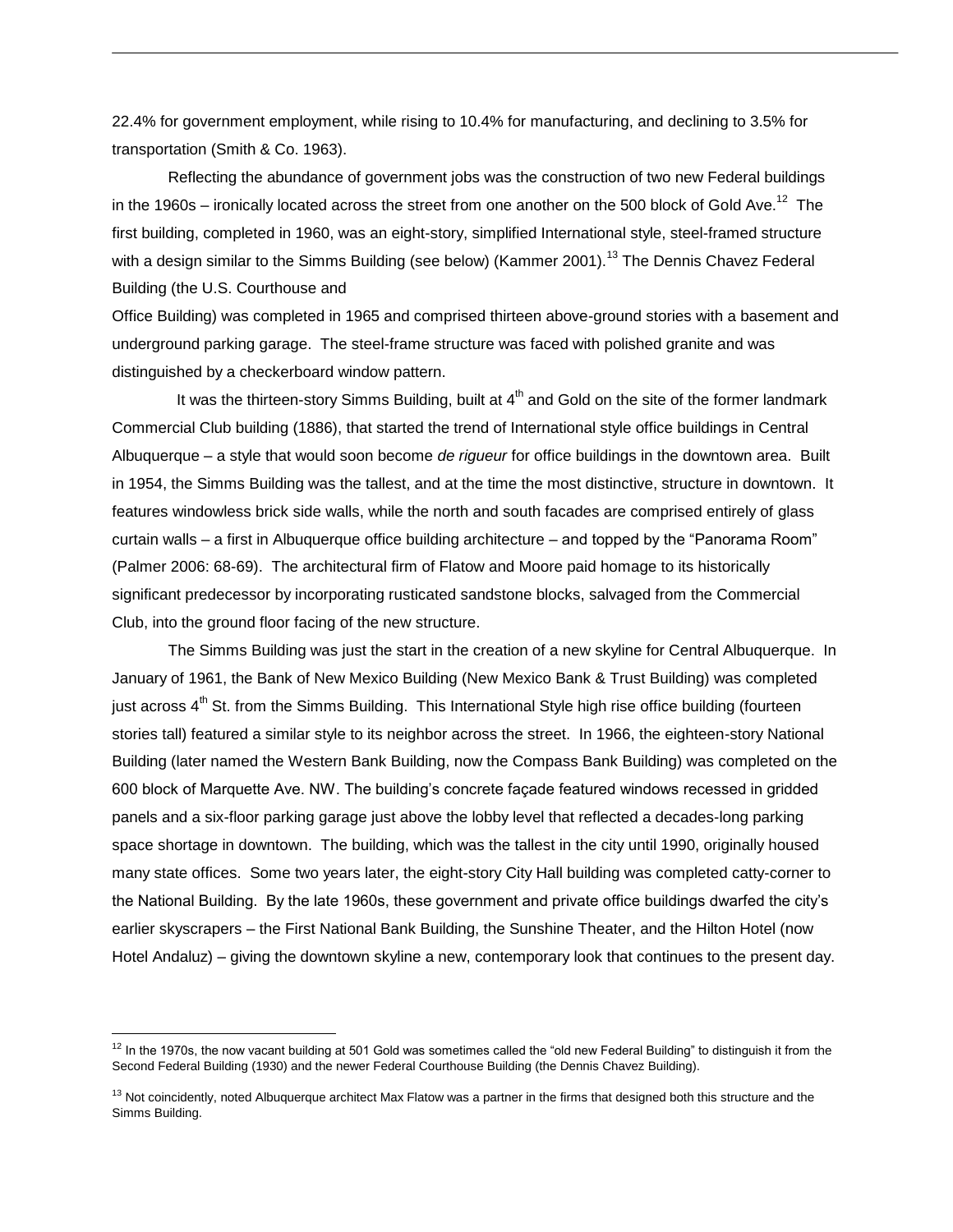22.4% for government employment, while rising to 10.4% for manufacturing, and declining to 3.5% for transportation (Smith & Co. 1963).

Reflecting the abundance of government jobs was the construction of two new Federal buildings in the 1960s – ironically located across the street from one another on the 500 block of Gold Ave.<sup>12</sup> The first building, completed in 1960, was an eight-story, simplified International style, steel-framed structure with a design similar to the Simms Building (see below) (Kammer 2001).<sup>13</sup> The Dennis Chavez Federal Building (the U.S. Courthouse and

Office Building) was completed in 1965 and comprised thirteen above-ground stories with a basement and underground parking garage. The steel-frame structure was faced with polished granite and was distinguished by a checkerboard window pattern.

It was the thirteen-story Simms Building, built at  $4<sup>th</sup>$  and Gold on the site of the former landmark Commercial Club building (1886), that started the trend of International style office buildings in Central Albuquerque – a style that would soon become *de rigueur* for office buildings in the downtown area. Built in 1954, the Simms Building was the tallest, and at the time the most distinctive, structure in downtown. It features windowless brick side walls, while the north and south facades are comprised entirely of glass curtain walls – a first in Albuquerque office building architecture – and topped by the "Panorama Room" (Palmer 2006: 68-69). The architectural firm of Flatow and Moore paid homage to its historically significant predecessor by incorporating rusticated sandstone blocks, salvaged from the Commercial Club, into the ground floor facing of the new structure.

The Simms Building was just the start in the creation of a new skyline for Central Albuquerque. In January of 1961, the Bank of New Mexico Building (New Mexico Bank & Trust Building) was completed just across  $4<sup>th</sup>$  St. from the Simms Building. This International Style high rise office building (fourteen stories tall) featured a similar style to its neighbor across the street. In 1966, the eighteen-story National Building (later named the Western Bank Building, now the Compass Bank Building) was completed on the 600 block of Marquette Ave. NW. The building's concrete façade featured windows recessed in gridded panels and a six-floor parking garage just above the lobby level that reflected a decades-long parking space shortage in downtown. The building, which was the tallest in the city until 1990, originally housed many state offices. Some two years later, the eight-story City Hall building was completed catty-corner to the National Building. By the late 1960s, these government and private office buildings dwarfed the city's earlier skyscrapers – the First National Bank Building, the Sunshine Theater, and the Hilton Hotel (now Hotel Andaluz) – giving the downtown skyline a new, contemporary look that continues to the present day.

 $\overline{a}$ 

 $12$  In the 1970s, the now vacant building at 501 Gold was sometimes called the "old new Federal Building" to distinguish it from the Second Federal Building (1930) and the newer Federal Courthouse Building (the Dennis Chavez Building).

 $13$  Not coincidently, noted Albuquerque architect Max Flatow was a partner in the firms that designed both this structure and the Simms Building.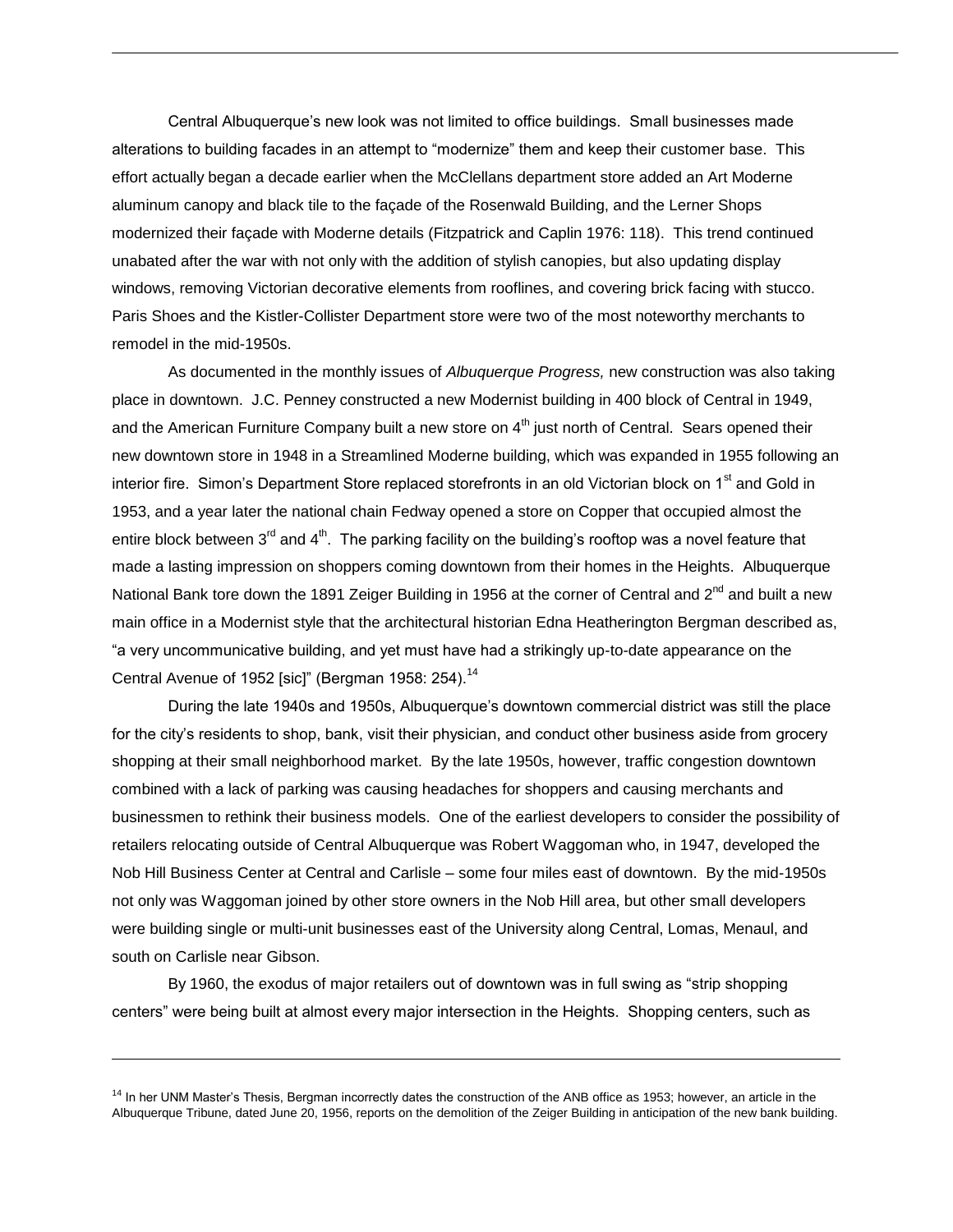Central Albuquerque's new look was not limited to office buildings. Small businesses made alterations to building facades in an attempt to "modernize" them and keep their customer base. This effort actually began a decade earlier when the McClellans department store added an Art Moderne aluminum canopy and black tile to the façade of the Rosenwald Building, and the Lerner Shops modernized their façade with Moderne details (Fitzpatrick and Caplin 1976: 118). This trend continued unabated after the war with not only with the addition of stylish canopies, but also updating display windows, removing Victorian decorative elements from rooflines, and covering brick facing with stucco. Paris Shoes and the Kistler-Collister Department store were two of the most noteworthy merchants to remodel in the mid-1950s.

As documented in the monthly issues of *Albuquerque Progress,* new construction was also taking place in downtown. J.C. Penney constructed a new Modernist building in 400 block of Central in 1949, and the American Furniture Company built a new store on  $4<sup>th</sup>$  just north of Central. Sears opened their new downtown store in 1948 in a Streamlined Moderne building, which was expanded in 1955 following an interior fire. Simon's Department Store replaced storefronts in an old Victorian block on 1<sup>st</sup> and Gold in 1953, and a year later the national chain Fedway opened a store on Copper that occupied almost the entire block between  $3^{rd}$  and  $4^{th}$ . The parking facility on the building's rooftop was a novel feature that made a lasting impression on shoppers coming downtown from their homes in the Heights. Albuquerque National Bank tore down the 1891 Zeiger Building in 1956 at the corner of Central and  $2^{nd}$  and built a new main office in a Modernist style that the architectural historian Edna Heatherington Bergman described as, "a very uncommunicative building, and yet must have had a strikingly up-to-date appearance on the Central Avenue of 1952 [sic]" (Bergman 1958: 254).<sup>14</sup>

During the late 1940s and 1950s, Albuquerque's downtown commercial district was still the place for the city's residents to shop, bank, visit their physician, and conduct other business aside from grocery shopping at their small neighborhood market. By the late 1950s, however, traffic congestion downtown combined with a lack of parking was causing headaches for shoppers and causing merchants and businessmen to rethink their business models. One of the earliest developers to consider the possibility of retailers relocating outside of Central Albuquerque was Robert Waggoman who, in 1947, developed the Nob Hill Business Center at Central and Carlisle – some four miles east of downtown. By the mid-1950s not only was Waggoman joined by other store owners in the Nob Hill area, but other small developers were building single or multi-unit businesses east of the University along Central, Lomas, Menaul, and south on Carlisle near Gibson.

By 1960, the exodus of major retailers out of downtown was in full swing as "strip shopping centers" were being built at almost every major intersection in the Heights. Shopping centers, such as

l

<sup>&</sup>lt;sup>14</sup> In her UNM Master's Thesis, Bergman incorrectly dates the construction of the ANB office as 1953; however, an article in the Albuquerque Tribune, dated June 20, 1956, reports on the demolition of the Zeiger Building in anticipation of the new bank building.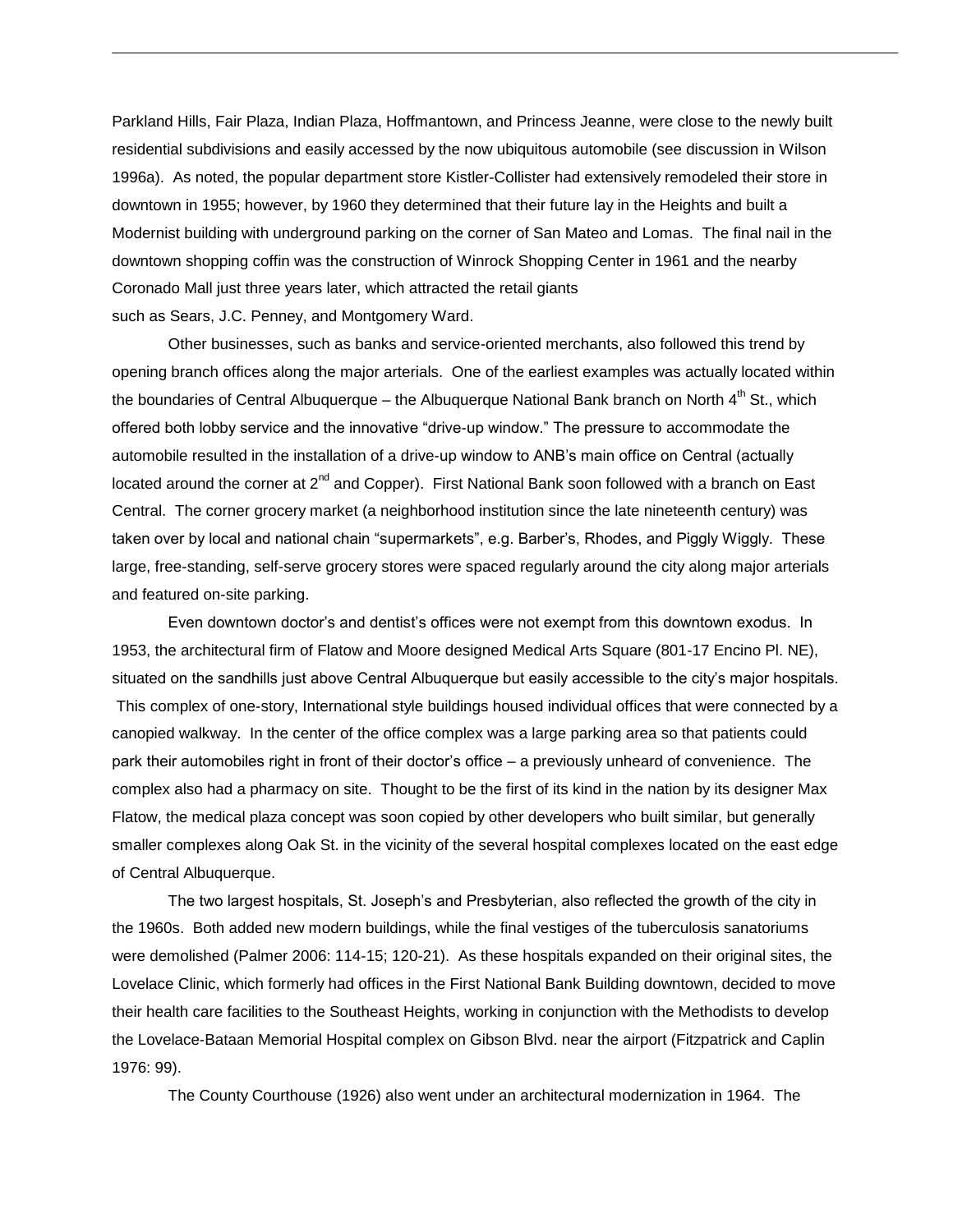Parkland Hills, Fair Plaza, Indian Plaza, Hoffmantown, and Princess Jeanne, were close to the newly built residential subdivisions and easily accessed by the now ubiquitous automobile (see discussion in Wilson 1996a). As noted, the popular department store Kistler-Collister had extensively remodeled their store in downtown in 1955; however, by 1960 they determined that their future lay in the Heights and built a Modernist building with underground parking on the corner of San Mateo and Lomas. The final nail in the downtown shopping coffin was the construction of Winrock Shopping Center in 1961 and the nearby Coronado Mall just three years later, which attracted the retail giants such as Sears, J.C. Penney, and Montgomery Ward.

Other businesses, such as banks and service-oriented merchants, also followed this trend by opening branch offices along the major arterials. One of the earliest examples was actually located within the boundaries of Central Albuquerque – the Albuquerque National Bank branch on North  $4<sup>th</sup>$  St., which offered both lobby service and the innovative "drive-up window." The pressure to accommodate the automobile resulted in the installation of a drive-up window to ANB's main office on Central (actually located around the corner at  $2^{nd}$  and Copper). First National Bank soon followed with a branch on East Central. The corner grocery market (a neighborhood institution since the late nineteenth century) was taken over by local and national chain "supermarkets", e.g. Barber's, Rhodes, and Piggly Wiggly. These large, free-standing, self-serve grocery stores were spaced regularly around the city along major arterials and featured on-site parking.

Even downtown doctor's and dentist's offices were not exempt from this downtown exodus. In 1953, the architectural firm of Flatow and Moore designed Medical Arts Square (801-17 Encino Pl. NE), situated on the sandhills just above Central Albuquerque but easily accessible to the city's major hospitals. This complex of one-story, International style buildings housed individual offices that were connected by a canopied walkway. In the center of the office complex was a large parking area so that patients could park their automobiles right in front of their doctor's office – a previously unheard of convenience. The complex also had a pharmacy on site. Thought to be the first of its kind in the nation by its designer Max Flatow, the medical plaza concept was soon copied by other developers who built similar, but generally smaller complexes along Oak St. in the vicinity of the several hospital complexes located on the east edge of Central Albuquerque.

The two largest hospitals, St. Joseph's and Presbyterian, also reflected the growth of the city in the 1960s. Both added new modern buildings, while the final vestiges of the tuberculosis sanatoriums were demolished (Palmer 2006: 114-15; 120-21). As these hospitals expanded on their original sites, the Lovelace Clinic, which formerly had offices in the First National Bank Building downtown, decided to move their health care facilities to the Southeast Heights, working in conjunction with the Methodists to develop the Lovelace-Bataan Memorial Hospital complex on Gibson Blvd. near the airport (Fitzpatrick and Caplin 1976: 99).

The County Courthouse (1926) also went under an architectural modernization in 1964. The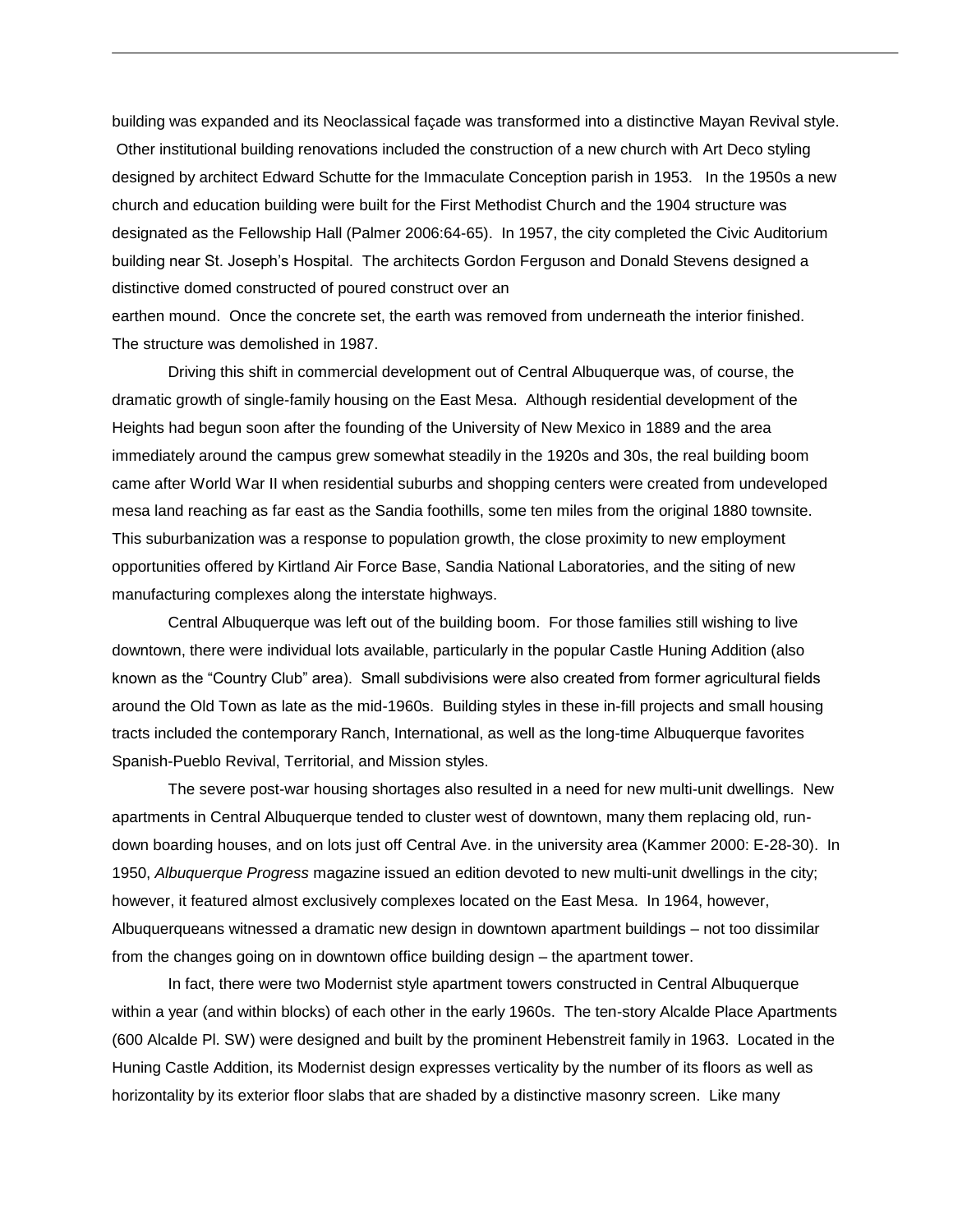building was expanded and its Neoclassical façade was transformed into a distinctive Mayan Revival style. Other institutional building renovations included the construction of a new church with Art Deco styling designed by architect Edward Schutte for the Immaculate Conception parish in 1953. In the 1950s a new church and education building were built for the First Methodist Church and the 1904 structure was designated as the Fellowship Hall (Palmer 2006:64-65). In 1957, the city completed the Civic Auditorium building near St. Joseph's Hospital. The architects Gordon Ferguson and Donald Stevens designed a distinctive domed constructed of poured construct over an

earthen mound. Once the concrete set, the earth was removed from underneath the interior finished. The structure was demolished in 1987.

Driving this shift in commercial development out of Central Albuquerque was, of course, the dramatic growth of single-family housing on the East Mesa. Although residential development of the Heights had begun soon after the founding of the University of New Mexico in 1889 and the area immediately around the campus grew somewhat steadily in the 1920s and 30s, the real building boom came after World War II when residential suburbs and shopping centers were created from undeveloped mesa land reaching as far east as the Sandia foothills, some ten miles from the original 1880 townsite. This suburbanization was a response to population growth, the close proximity to new employment opportunities offered by Kirtland Air Force Base, Sandia National Laboratories, and the siting of new manufacturing complexes along the interstate highways.

Central Albuquerque was left out of the building boom. For those families still wishing to live downtown, there were individual lots available, particularly in the popular Castle Huning Addition (also known as the "Country Club" area). Small subdivisions were also created from former agricultural fields around the Old Town as late as the mid-1960s. Building styles in these in-fill projects and small housing tracts included the contemporary Ranch, International, as well as the long-time Albuquerque favorites Spanish-Pueblo Revival, Territorial, and Mission styles.

The severe post-war housing shortages also resulted in a need for new multi-unit dwellings. New apartments in Central Albuquerque tended to cluster west of downtown, many them replacing old, rundown boarding houses, and on lots just off Central Ave. in the university area (Kammer 2000: E-28-30). In 1950, *Albuquerque Progress* magazine issued an edition devoted to new multi-unit dwellings in the city; however, it featured almost exclusively complexes located on the East Mesa. In 1964, however, Albuquerqueans witnessed a dramatic new design in downtown apartment buildings – not too dissimilar from the changes going on in downtown office building design – the apartment tower.

In fact, there were two Modernist style apartment towers constructed in Central Albuquerque within a year (and within blocks) of each other in the early 1960s. The ten-story Alcalde Place Apartments (600 Alcalde Pl. SW) were designed and built by the prominent Hebenstreit family in 1963. Located in the Huning Castle Addition, its Modernist design expresses verticality by the number of its floors as well as horizontality by its exterior floor slabs that are shaded by a distinctive masonry screen. Like many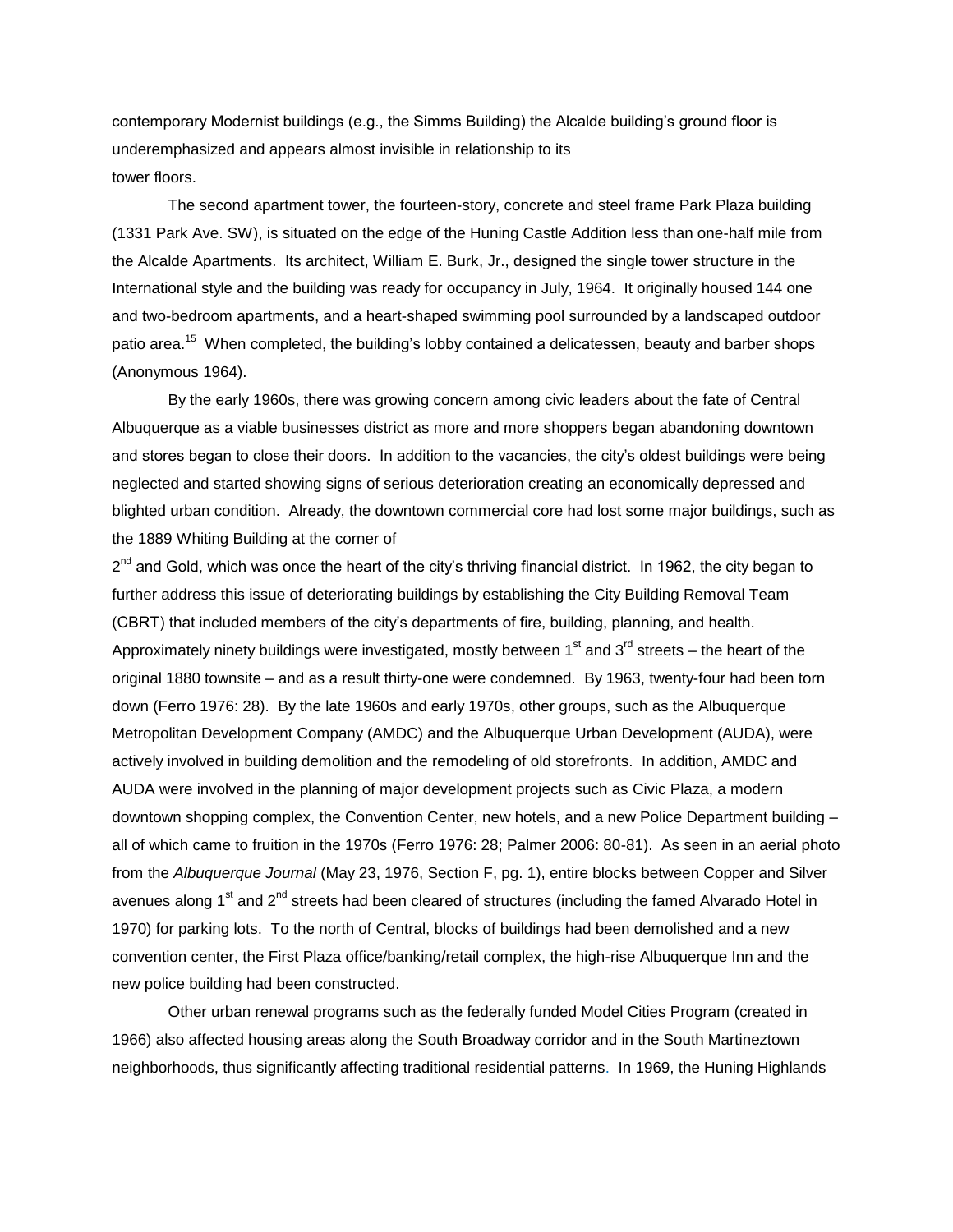contemporary Modernist buildings (e.g., the Simms Building) the Alcalde building's ground floor is underemphasized and appears almost invisible in relationship to its tower floors.

The second apartment tower, the fourteen-story, concrete and steel frame Park Plaza building (1331 Park Ave. SW), is situated on the edge of the Huning Castle Addition less than one-half mile from the Alcalde Apartments. Its architect, William E. Burk, Jr., designed the single tower structure in the International style and the building was ready for occupancy in July, 1964. It originally housed 144 one and two-bedroom apartments, and a heart-shaped swimming pool surrounded by a landscaped outdoor patio area.<sup>15</sup> When completed, the building's lobby contained a delicatessen, beauty and barber shops (Anonymous 1964).

By the early 1960s, there was growing concern among civic leaders about the fate of Central Albuquerque as a viable businesses district as more and more shoppers began abandoning downtown and stores began to close their doors. In addition to the vacancies, the city's oldest buildings were being neglected and started showing signs of serious deterioration creating an economically depressed and blighted urban condition. Already, the downtown commercial core had lost some major buildings, such as the 1889 Whiting Building at the corner of

2<sup>nd</sup> and Gold, which was once the heart of the city's thriving financial district. In 1962, the city began to further address this issue of deteriorating buildings by establishing the City Building Removal Team (CBRT) that included members of the city's departments of fire, building, planning, and health. Approximately ninety buildings were investigated, mostly between  $1<sup>st</sup>$  and  $3<sup>rd</sup>$  streets – the heart of the original 1880 townsite – and as a result thirty-one were condemned. By 1963, twenty-four had been torn down (Ferro 1976: 28). By the late 1960s and early 1970s, other groups, such as the Albuquerque Metropolitan Development Company (AMDC) and the Albuquerque Urban Development (AUDA), were actively involved in building demolition and the remodeling of old storefronts. In addition, AMDC and AUDA were involved in the planning of major development projects such as Civic Plaza, a modern downtown shopping complex, the Convention Center, new hotels, and a new Police Department building – all of which came to fruition in the 1970s (Ferro 1976: 28; Palmer 2006: 80-81). As seen in an aerial photo from the *Albuquerque Journal* (May 23, 1976, Section F, pg. 1), entire blocks between Copper and Silver avenues along 1<sup>st</sup> and 2<sup>nd</sup> streets had been cleared of structures (including the famed Alvarado Hotel in 1970) for parking lots. To the north of Central, blocks of buildings had been demolished and a new convention center, the First Plaza office/banking/retail complex, the high-rise Albuquerque Inn and the new police building had been constructed.

Other urban renewal programs such as the federally funded Model Cities Program (created in 1966) also affected housing areas along the South Broadway corridor and in the South Martineztown neighborhoods, thus significantly affecting traditional residential patterns. In 1969, the Huning Highlands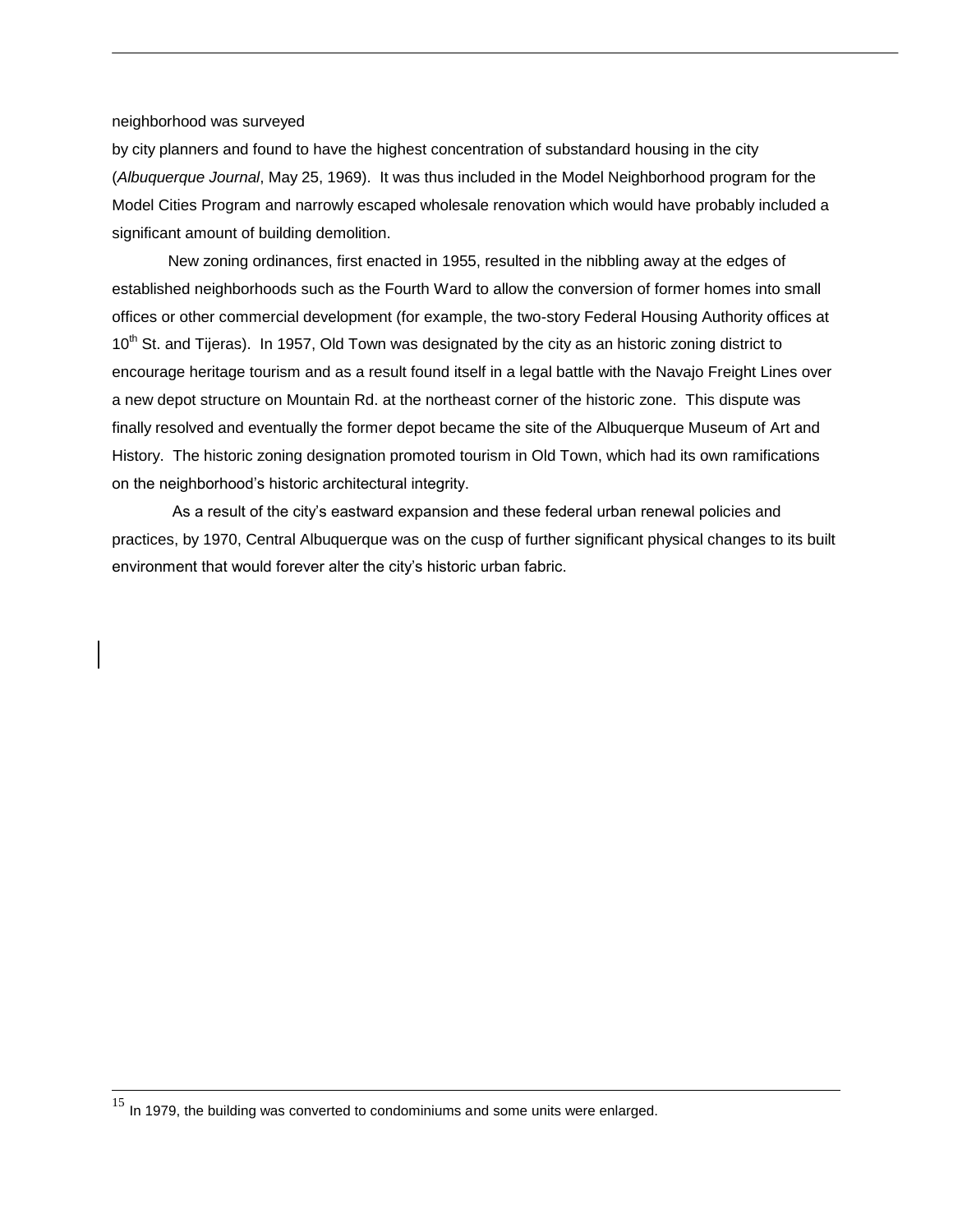## neighborhood was surveyed

by city planners and found to have the highest concentration of substandard housing in the city (*Albuquerque Journal*, May 25, 1969). It was thus included in the Model Neighborhood program for the Model Cities Program and narrowly escaped wholesale renovation which would have probably included a significant amount of building demolition.

New zoning ordinances, first enacted in 1955, resulted in the nibbling away at the edges of established neighborhoods such as the Fourth Ward to allow the conversion of former homes into small offices or other commercial development (for example, the two-story Federal Housing Authority offices at  $10<sup>th</sup>$  St. and Tijeras). In 1957, Old Town was designated by the city as an historic zoning district to encourage heritage tourism and as a result found itself in a legal battle with the Navajo Freight Lines over a new depot structure on Mountain Rd. at the northeast corner of the historic zone. This dispute was finally resolved and eventually the former depot became the site of the Albuquerque Museum of Art and History. The historic zoning designation promoted tourism in Old Town, which had its own ramifications on the neighborhood's historic architectural integrity.

As a result of the city's eastward expansion and these federal urban renewal policies and practices, by 1970, Central Albuquerque was on the cusp of further significant physical changes to its built environment that would forever alter the city's historic urban fabric.

l

 $15$  In 1979, the building was converted to condominiums and some units were enlarged.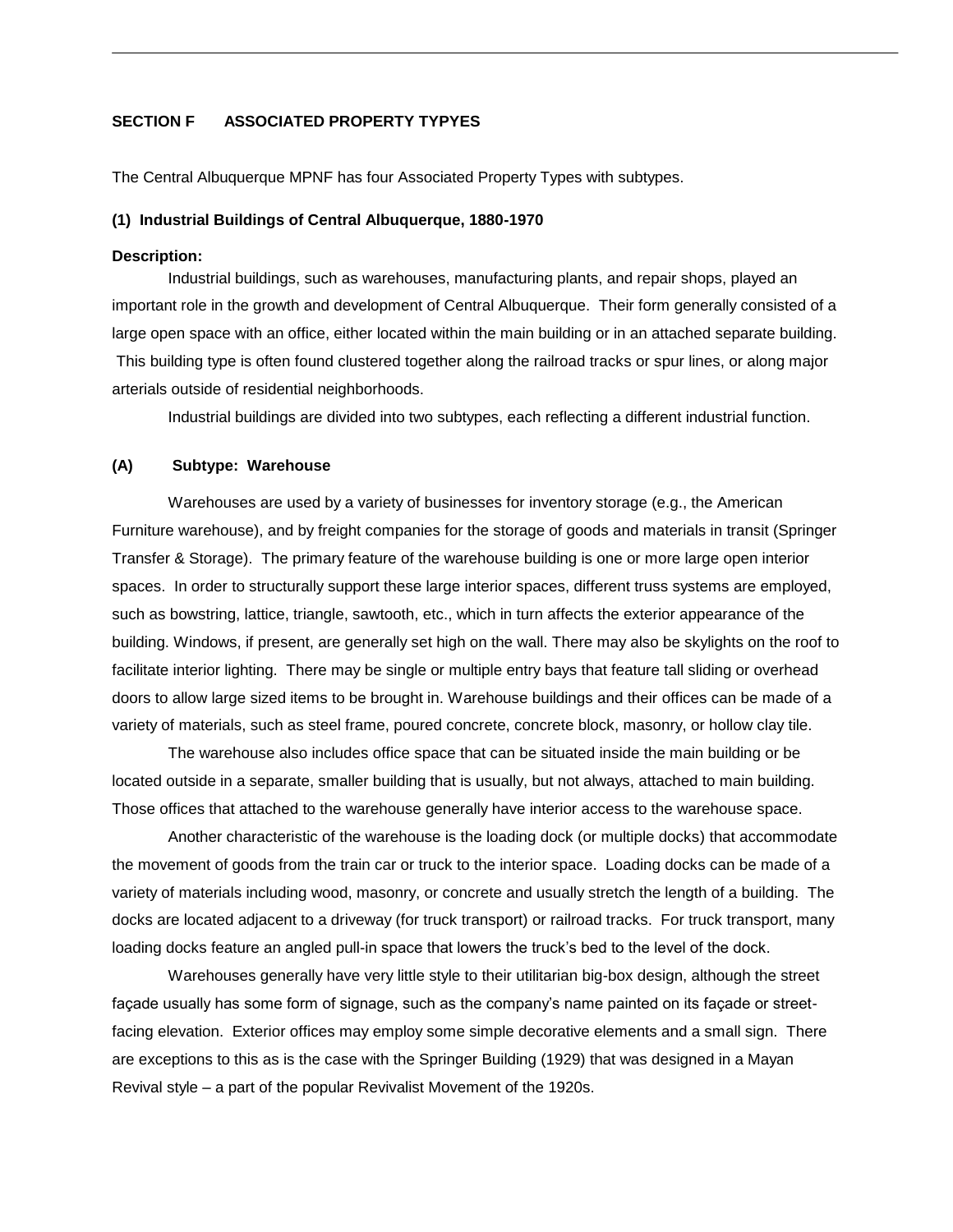# **SECTION F ASSOCIATED PROPERTY TYPYES**

The Central Albuquerque MPNF has four Associated Property Types with subtypes.

#### **(1) Industrial Buildings of Central Albuquerque, 1880-1970**

#### **Description:**

Industrial buildings, such as warehouses, manufacturing plants, and repair shops, played an important role in the growth and development of Central Albuquerque. Their form generally consisted of a large open space with an office, either located within the main building or in an attached separate building. This building type is often found clustered together along the railroad tracks or spur lines, or along major arterials outside of residential neighborhoods.

Industrial buildings are divided into two subtypes, each reflecting a different industrial function.

## **(A) Subtype: Warehouse**

Warehouses are used by a variety of businesses for inventory storage (e.g., the American Furniture warehouse), and by freight companies for the storage of goods and materials in transit (Springer Transfer & Storage). The primary feature of the warehouse building is one or more large open interior spaces. In order to structurally support these large interior spaces, different truss systems are employed, such as bowstring, lattice, triangle, sawtooth, etc., which in turn affects the exterior appearance of the building. Windows, if present, are generally set high on the wall. There may also be skylights on the roof to facilitate interior lighting. There may be single or multiple entry bays that feature tall sliding or overhead doors to allow large sized items to be brought in. Warehouse buildings and their offices can be made of a variety of materials, such as steel frame, poured concrete, concrete block, masonry, or hollow clay tile.

The warehouse also includes office space that can be situated inside the main building or be located outside in a separate, smaller building that is usually, but not always, attached to main building. Those offices that attached to the warehouse generally have interior access to the warehouse space.

Another characteristic of the warehouse is the loading dock (or multiple docks) that accommodate the movement of goods from the train car or truck to the interior space. Loading docks can be made of a variety of materials including wood, masonry, or concrete and usually stretch the length of a building. The docks are located adjacent to a driveway (for truck transport) or railroad tracks. For truck transport, many loading docks feature an angled pull-in space that lowers the truck's bed to the level of the dock.

Warehouses generally have very little style to their utilitarian big-box design, although the street façade usually has some form of signage, such as the company's name painted on its façade or streetfacing elevation. Exterior offices may employ some simple decorative elements and a small sign. There are exceptions to this as is the case with the Springer Building (1929) that was designed in a Mayan Revival style – a part of the popular Revivalist Movement of the 1920s.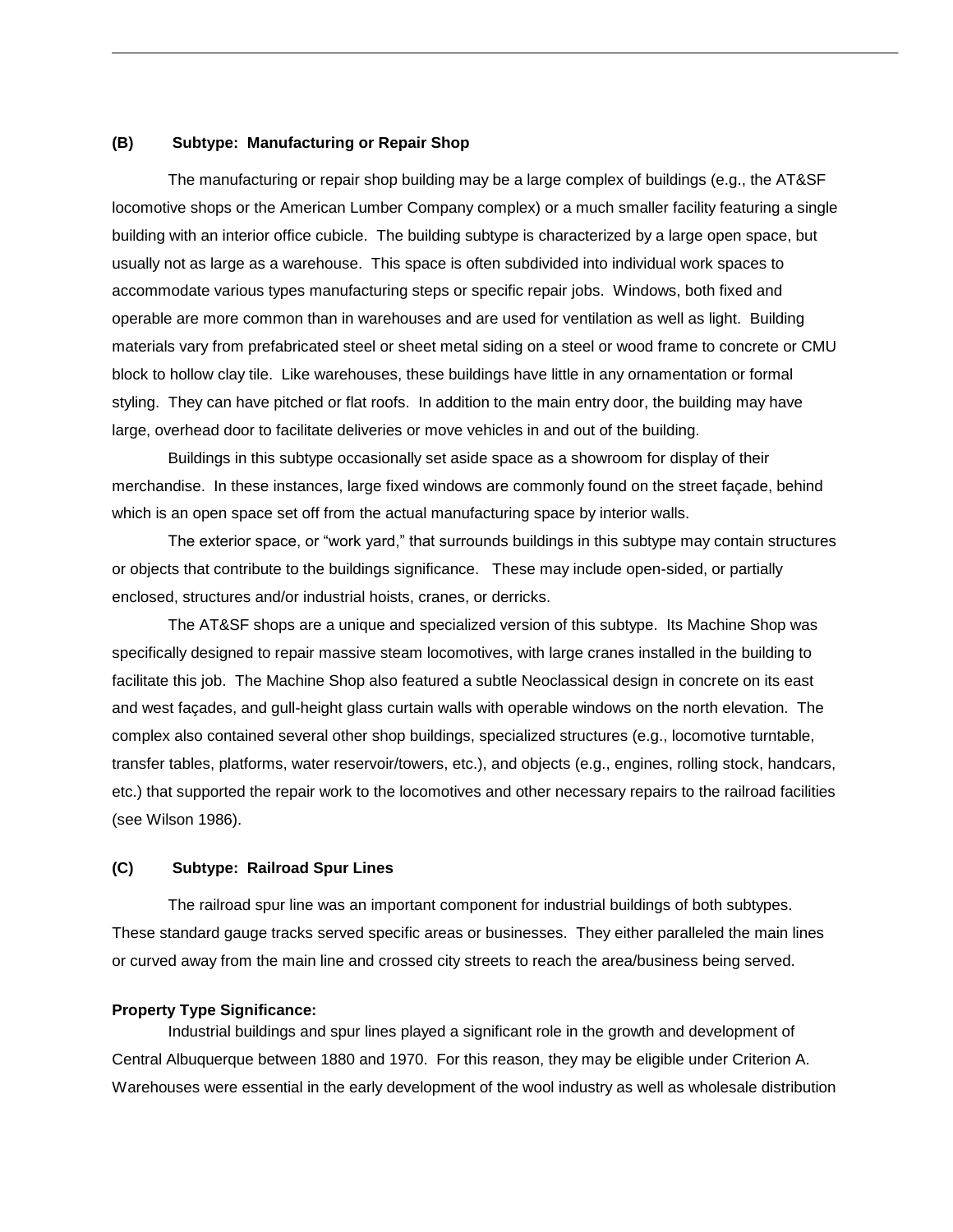## **(B) Subtype: Manufacturing or Repair Shop**

The manufacturing or repair shop building may be a large complex of buildings (e.g., the AT&SF locomotive shops or the American Lumber Company complex) or a much smaller facility featuring a single building with an interior office cubicle. The building subtype is characterized by a large open space, but usually not as large as a warehouse. This space is often subdivided into individual work spaces to accommodate various types manufacturing steps or specific repair jobs. Windows, both fixed and operable are more common than in warehouses and are used for ventilation as well as light. Building materials vary from prefabricated steel or sheet metal siding on a steel or wood frame to concrete or CMU block to hollow clay tile. Like warehouses, these buildings have little in any ornamentation or formal styling. They can have pitched or flat roofs. In addition to the main entry door, the building may have large, overhead door to facilitate deliveries or move vehicles in and out of the building.

Buildings in this subtype occasionally set aside space as a showroom for display of their merchandise. In these instances, large fixed windows are commonly found on the street façade, behind which is an open space set off from the actual manufacturing space by interior walls.

The exterior space, or "work yard," that surrounds buildings in this subtype may contain structures or objects that contribute to the buildings significance. These may include open-sided, or partially enclosed, structures and/or industrial hoists, cranes, or derricks.

The AT&SF shops are a unique and specialized version of this subtype. Its Machine Shop was specifically designed to repair massive steam locomotives, with large cranes installed in the building to facilitate this job. The Machine Shop also featured a subtle Neoclassical design in concrete on its east and west façades, and gull-height glass curtain walls with operable windows on the north elevation. The complex also contained several other shop buildings, specialized structures (e.g., locomotive turntable, transfer tables, platforms, water reservoir/towers, etc.), and objects (e.g., engines, rolling stock, handcars, etc.) that supported the repair work to the locomotives and other necessary repairs to the railroad facilities (see Wilson 1986).

## **(C) Subtype: Railroad Spur Lines**

The railroad spur line was an important component for industrial buildings of both subtypes. These standard gauge tracks served specific areas or businesses. They either paralleled the main lines or curved away from the main line and crossed city streets to reach the area/business being served.

## **Property Type Significance:**

Industrial buildings and spur lines played a significant role in the growth and development of Central Albuquerque between 1880 and 1970. For this reason, they may be eligible under Criterion A. Warehouses were essential in the early development of the wool industry as well as wholesale distribution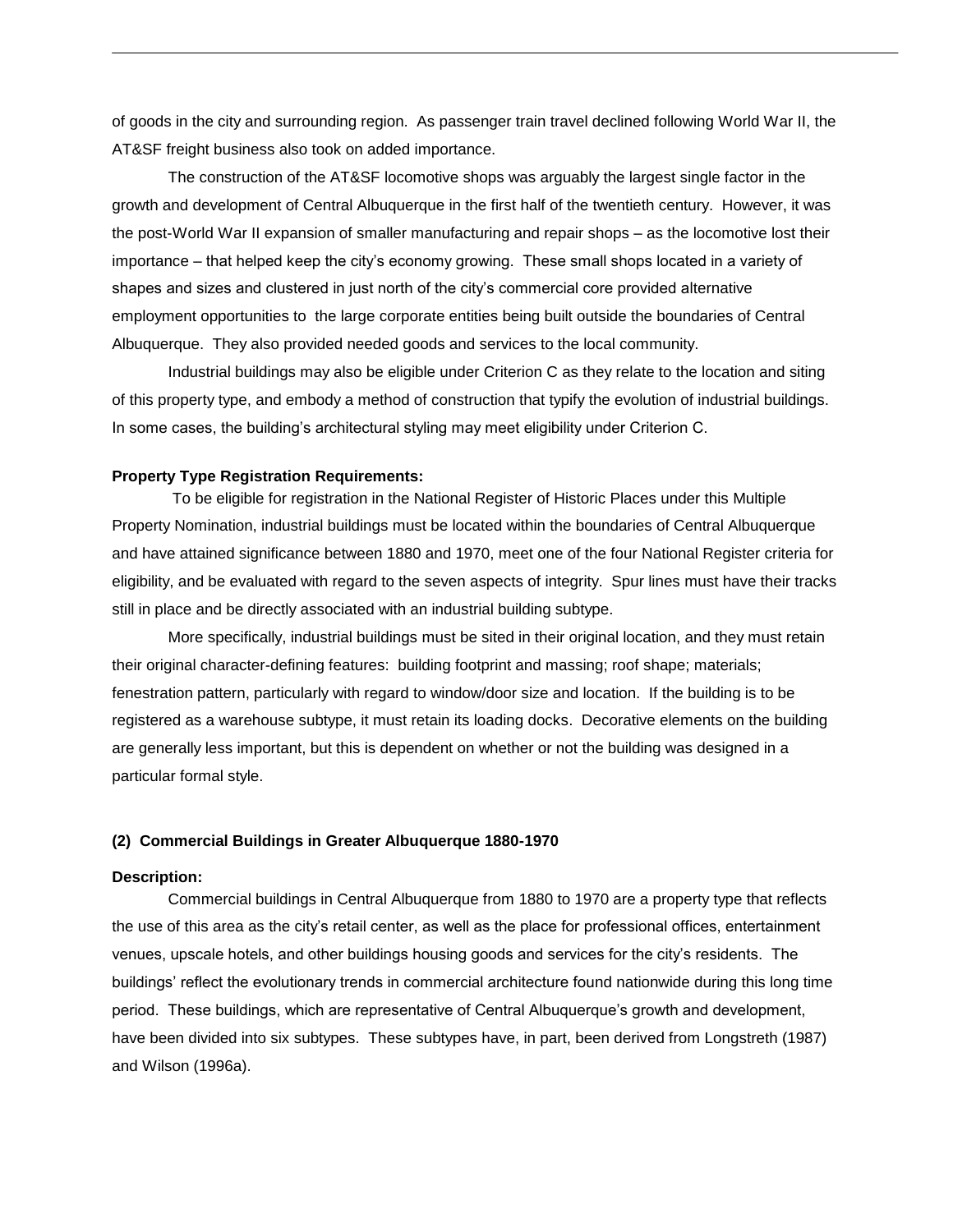of goods in the city and surrounding region. As passenger train travel declined following World War II, the AT&SF freight business also took on added importance.

The construction of the AT&SF locomotive shops was arguably the largest single factor in the growth and development of Central Albuquerque in the first half of the twentieth century. However, it was the post-World War II expansion of smaller manufacturing and repair shops – as the locomotive lost their importance – that helped keep the city's economy growing. These small shops located in a variety of shapes and sizes and clustered in just north of the city's commercial core provided alternative employment opportunities to the large corporate entities being built outside the boundaries of Central Albuquerque. They also provided needed goods and services to the local community.

Industrial buildings may also be eligible under Criterion C as they relate to the location and siting of this property type, and embody a method of construction that typify the evolution of industrial buildings. In some cases, the building's architectural styling may meet eligibility under Criterion C.

#### **Property Type Registration Requirements:**

To be eligible for registration in the National Register of Historic Places under this Multiple Property Nomination, industrial buildings must be located within the boundaries of Central Albuquerque and have attained significance between 1880 and 1970, meet one of the four National Register criteria for eligibility, and be evaluated with regard to the seven aspects of integrity. Spur lines must have their tracks still in place and be directly associated with an industrial building subtype.

More specifically, industrial buildings must be sited in their original location, and they must retain their original character-defining features: building footprint and massing; roof shape; materials; fenestration pattern, particularly with regard to window/door size and location. If the building is to be registered as a warehouse subtype, it must retain its loading docks. Decorative elements on the building are generally less important, but this is dependent on whether or not the building was designed in a particular formal style.

## **(2) Commercial Buildings in Greater Albuquerque 1880-1970**

#### **Description:**

Commercial buildings in Central Albuquerque from 1880 to 1970 are a property type that reflects the use of this area as the city's retail center, as well as the place for professional offices, entertainment venues, upscale hotels, and other buildings housing goods and services for the city's residents. The buildings' reflect the evolutionary trends in commercial architecture found nationwide during this long time period. These buildings, which are representative of Central Albuquerque's growth and development, have been divided into six subtypes. These subtypes have, in part, been derived from Longstreth (1987) and Wilson (1996a).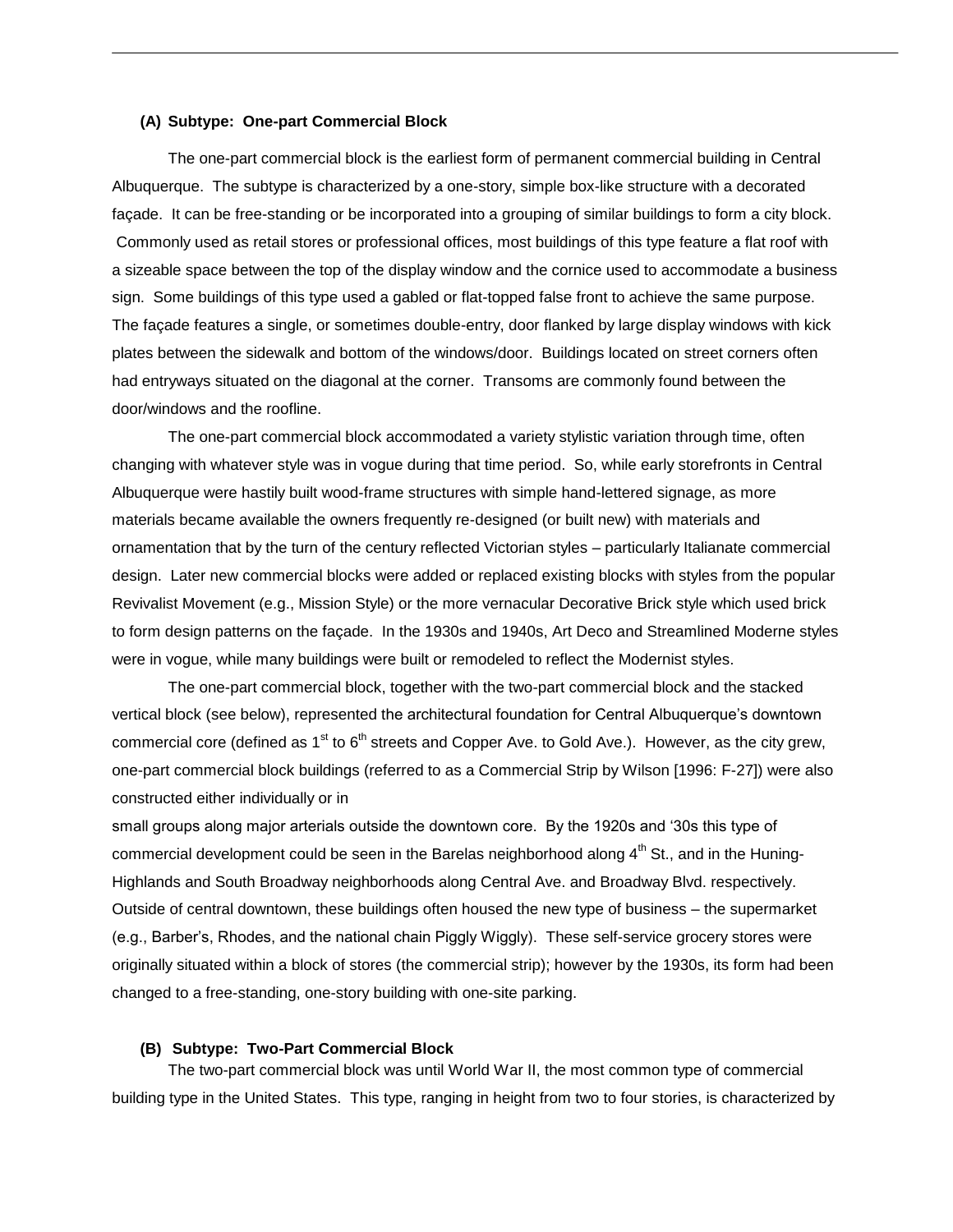## **(A) Subtype: One-part Commercial Block**

The one-part commercial block is the earliest form of permanent commercial building in Central Albuquerque. The subtype is characterized by a one-story, simple box-like structure with a decorated façade. It can be free-standing or be incorporated into a grouping of similar buildings to form a city block. Commonly used as retail stores or professional offices, most buildings of this type feature a flat roof with a sizeable space between the top of the display window and the cornice used to accommodate a business sign. Some buildings of this type used a gabled or flat-topped false front to achieve the same purpose. The façade features a single, or sometimes double-entry, door flanked by large display windows with kick plates between the sidewalk and bottom of the windows/door. Buildings located on street corners often had entryways situated on the diagonal at the corner. Transoms are commonly found between the door/windows and the roofline.

The one-part commercial block accommodated a variety stylistic variation through time, often changing with whatever style was in vogue during that time period. So, while early storefronts in Central Albuquerque were hastily built wood-frame structures with simple hand-lettered signage, as more materials became available the owners frequently re-designed (or built new) with materials and ornamentation that by the turn of the century reflected Victorian styles – particularly Italianate commercial design. Later new commercial blocks were added or replaced existing blocks with styles from the popular Revivalist Movement (e.g., Mission Style) or the more vernacular Decorative Brick style which used brick to form design patterns on the façade. In the 1930s and 1940s, Art Deco and Streamlined Moderne styles were in vogue, while many buildings were built or remodeled to reflect the Modernist styles.

The one-part commercial block, together with the two-part commercial block and the stacked vertical block (see below), represented the architectural foundation for Central Albuquerque's downtown commercial core (defined as  $1<sup>st</sup>$  to  $6<sup>th</sup>$  streets and Copper Ave. to Gold Ave.). However, as the city grew, one-part commercial block buildings (referred to as a Commercial Strip by Wilson [1996: F-27]) were also constructed either individually or in

small groups along major arterials outside the downtown core. By the 1920s and '30s this type of commercial development could be seen in the Barelas neighborhood along  $4<sup>th</sup>$  St., and in the Huning-Highlands and South Broadway neighborhoods along Central Ave. and Broadway Blvd. respectively. Outside of central downtown, these buildings often housed the new type of business – the supermarket (e.g., Barber's, Rhodes, and the national chain Piggly Wiggly). These self-service grocery stores were originally situated within a block of stores (the commercial strip); however by the 1930s, its form had been changed to a free-standing, one-story building with one-site parking.

## **(B) Subtype: Two-Part Commercial Block**

The two-part commercial block was until World War II, the most common type of commercial building type in the United States. This type, ranging in height from two to four stories, is characterized by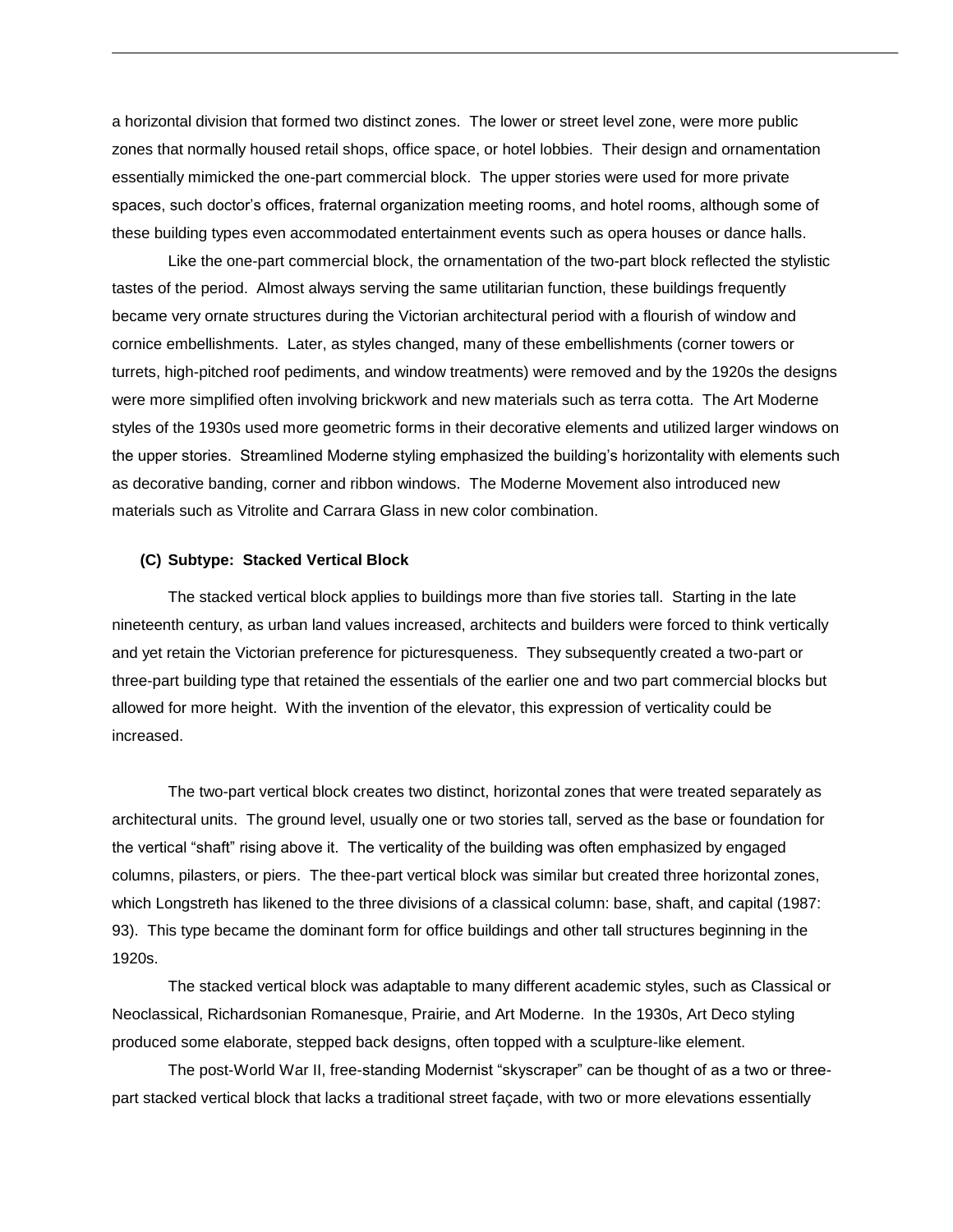a horizontal division that formed two distinct zones. The lower or street level zone, were more public zones that normally housed retail shops, office space, or hotel lobbies. Their design and ornamentation essentially mimicked the one-part commercial block. The upper stories were used for more private spaces, such doctor's offices, fraternal organization meeting rooms, and hotel rooms, although some of these building types even accommodated entertainment events such as opera houses or dance halls.

Like the one-part commercial block, the ornamentation of the two-part block reflected the stylistic tastes of the period. Almost always serving the same utilitarian function, these buildings frequently became very ornate structures during the Victorian architectural period with a flourish of window and cornice embellishments. Later, as styles changed, many of these embellishments (corner towers or turrets, high-pitched roof pediments, and window treatments) were removed and by the 1920s the designs were more simplified often involving brickwork and new materials such as terra cotta. The Art Moderne styles of the 1930s used more geometric forms in their decorative elements and utilized larger windows on the upper stories. Streamlined Moderne styling emphasized the building's horizontality with elements such as decorative banding, corner and ribbon windows. The Moderne Movement also introduced new materials such as Vitrolite and Carrara Glass in new color combination.

## **(C) Subtype: Stacked Vertical Block**

The stacked vertical block applies to buildings more than five stories tall. Starting in the late nineteenth century, as urban land values increased, architects and builders were forced to think vertically and yet retain the Victorian preference for picturesqueness. They subsequently created a two-part or three-part building type that retained the essentials of the earlier one and two part commercial blocks but allowed for more height. With the invention of the elevator, this expression of verticality could be increased.

The two-part vertical block creates two distinct, horizontal zones that were treated separately as architectural units. The ground level, usually one or two stories tall, served as the base or foundation for the vertical "shaft" rising above it. The verticality of the building was often emphasized by engaged columns, pilasters, or piers. The thee-part vertical block was similar but created three horizontal zones, which Longstreth has likened to the three divisions of a classical column: base, shaft, and capital (1987: 93). This type became the dominant form for office buildings and other tall structures beginning in the 1920s.

The stacked vertical block was adaptable to many different academic styles, such as Classical or Neoclassical, Richardsonian Romanesque, Prairie, and Art Moderne. In the 1930s, Art Deco styling produced some elaborate, stepped back designs, often topped with a sculpture-like element.

The post-World War II, free-standing Modernist "skyscraper" can be thought of as a two or threepart stacked vertical block that lacks a traditional street façade, with two or more elevations essentially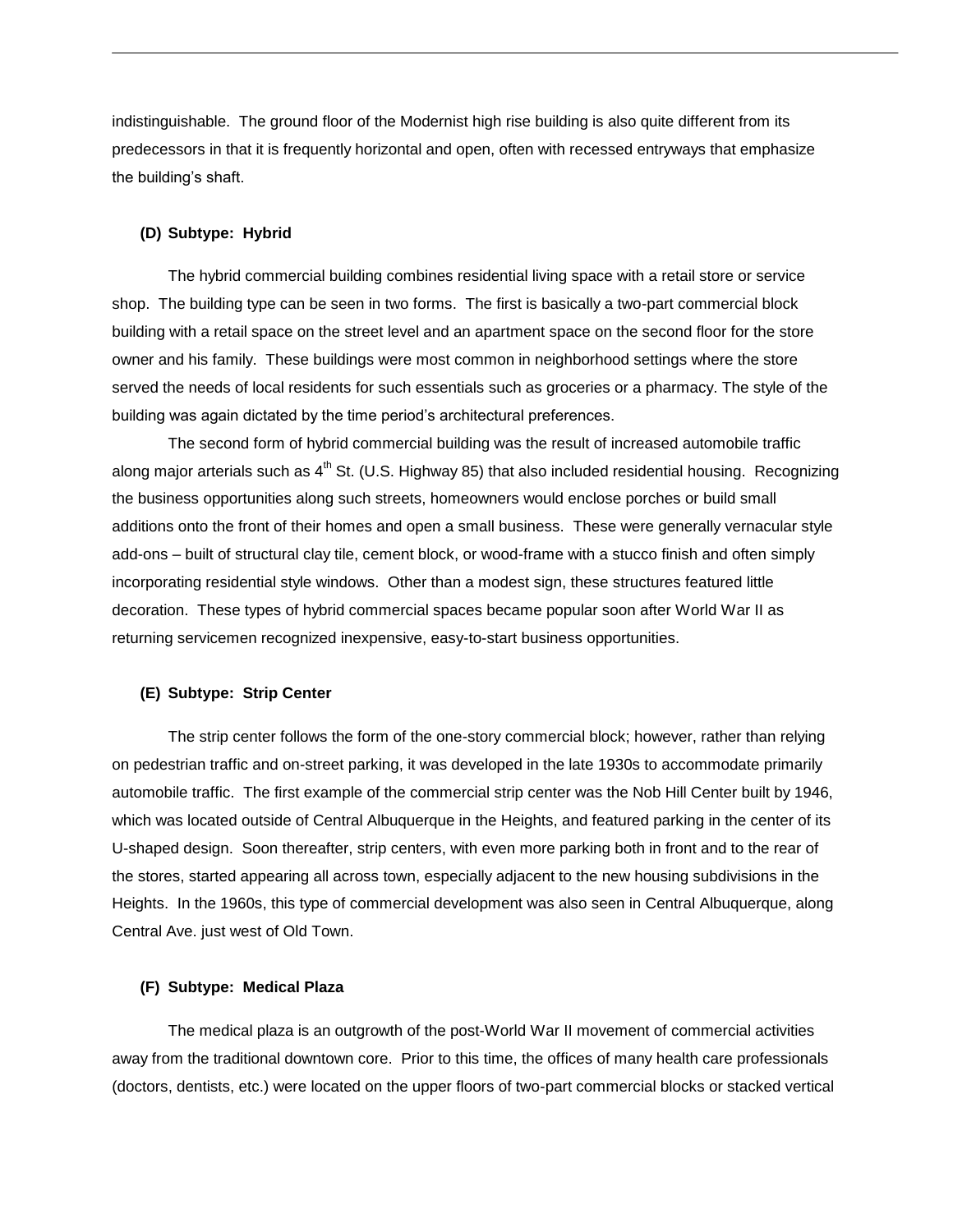indistinguishable. The ground floor of the Modernist high rise building is also quite different from its predecessors in that it is frequently horizontal and open, often with recessed entryways that emphasize the building's shaft.

#### **(D) Subtype: Hybrid**

The hybrid commercial building combines residential living space with a retail store or service shop. The building type can be seen in two forms. The first is basically a two-part commercial block building with a retail space on the street level and an apartment space on the second floor for the store owner and his family. These buildings were most common in neighborhood settings where the store served the needs of local residents for such essentials such as groceries or a pharmacy. The style of the building was again dictated by the time period's architectural preferences.

The second form of hybrid commercial building was the result of increased automobile traffic along major arterials such as  $4<sup>th</sup>$  St. (U.S. Highway 85) that also included residential housing. Recognizing the business opportunities along such streets, homeowners would enclose porches or build small additions onto the front of their homes and open a small business. These were generally vernacular style add-ons – built of structural clay tile, cement block, or wood-frame with a stucco finish and often simply incorporating residential style windows. Other than a modest sign, these structures featured little decoration. These types of hybrid commercial spaces became popular soon after World War II as returning servicemen recognized inexpensive, easy-to-start business opportunities.

## **(E) Subtype: Strip Center**

The strip center follows the form of the one-story commercial block; however, rather than relying on pedestrian traffic and on-street parking, it was developed in the late 1930s to accommodate primarily automobile traffic. The first example of the commercial strip center was the Nob Hill Center built by 1946, which was located outside of Central Albuquerque in the Heights, and featured parking in the center of its U-shaped design. Soon thereafter, strip centers, with even more parking both in front and to the rear of the stores, started appearing all across town, especially adjacent to the new housing subdivisions in the Heights. In the 1960s, this type of commercial development was also seen in Central Albuquerque, along Central Ave. just west of Old Town.

# **(F) Subtype: Medical Plaza**

The medical plaza is an outgrowth of the post-World War II movement of commercial activities away from the traditional downtown core. Prior to this time, the offices of many health care professionals (doctors, dentists, etc.) were located on the upper floors of two-part commercial blocks or stacked vertical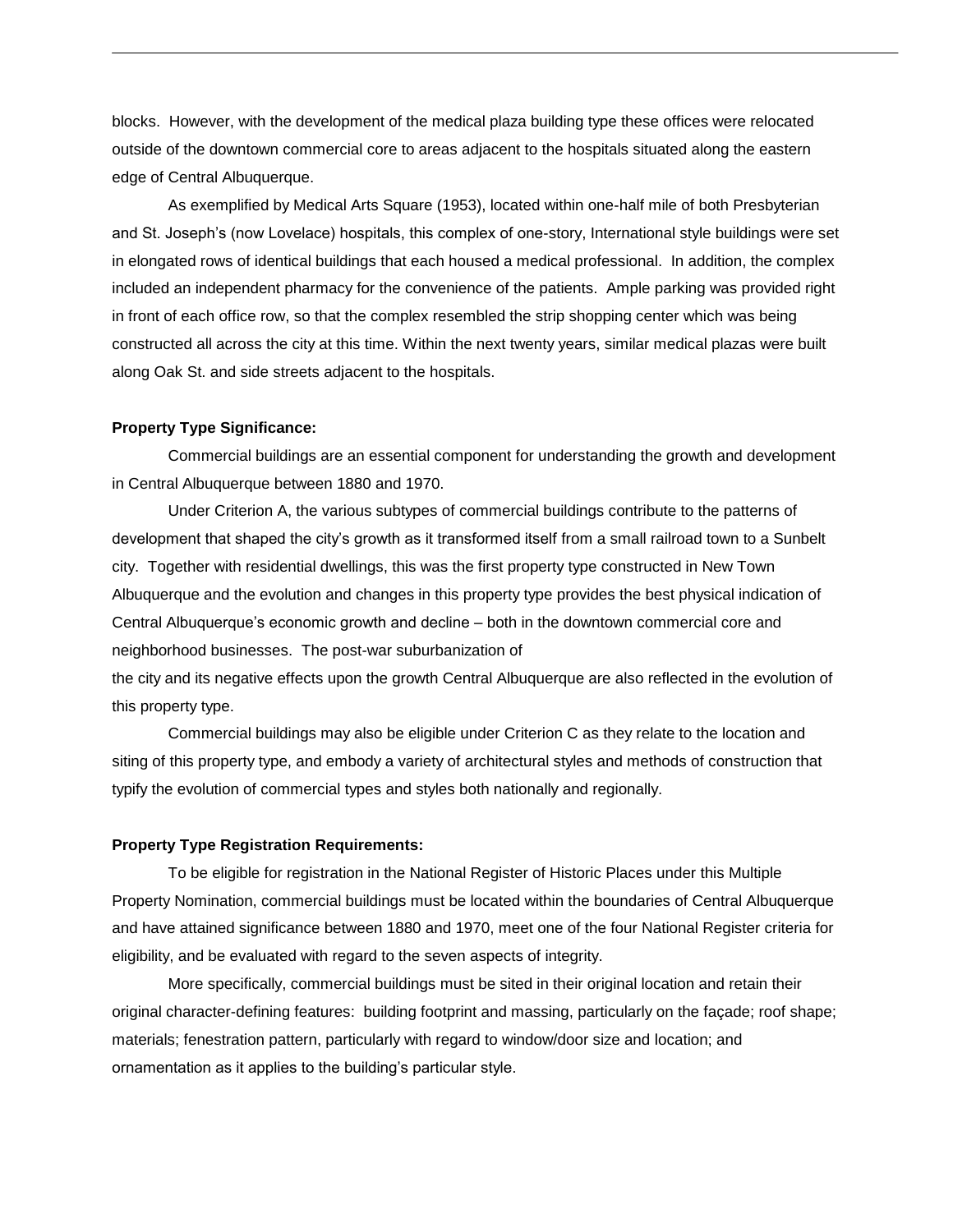blocks. However, with the development of the medical plaza building type these offices were relocated outside of the downtown commercial core to areas adjacent to the hospitals situated along the eastern edge of Central Albuquerque.

As exemplified by Medical Arts Square (1953), located within one-half mile of both Presbyterian and St. Joseph's (now Lovelace) hospitals, this complex of one-story, International style buildings were set in elongated rows of identical buildings that each housed a medical professional. In addition, the complex included an independent pharmacy for the convenience of the patients. Ample parking was provided right in front of each office row, so that the complex resembled the strip shopping center which was being constructed all across the city at this time. Within the next twenty years, similar medical plazas were built along Oak St. and side streets adjacent to the hospitals.

## **Property Type Significance:**

Commercial buildings are an essential component for understanding the growth and development in Central Albuquerque between 1880 and 1970.

Under Criterion A, the various subtypes of commercial buildings contribute to the patterns of development that shaped the city's growth as it transformed itself from a small railroad town to a Sunbelt city. Together with residential dwellings, this was the first property type constructed in New Town Albuquerque and the evolution and changes in this property type provides the best physical indication of Central Albuquerque's economic growth and decline – both in the downtown commercial core and neighborhood businesses. The post-war suburbanization of

the city and its negative effects upon the growth Central Albuquerque are also reflected in the evolution of this property type.

Commercial buildings may also be eligible under Criterion C as they relate to the location and siting of this property type, and embody a variety of architectural styles and methods of construction that typify the evolution of commercial types and styles both nationally and regionally.

## **Property Type Registration Requirements:**

To be eligible for registration in the National Register of Historic Places under this Multiple Property Nomination, commercial buildings must be located within the boundaries of Central Albuquerque and have attained significance between 1880 and 1970, meet one of the four National Register criteria for eligibility, and be evaluated with regard to the seven aspects of integrity.

More specifically, commercial buildings must be sited in their original location and retain their original character-defining features: building footprint and massing, particularly on the façade; roof shape; materials; fenestration pattern, particularly with regard to window/door size and location; and ornamentation as it applies to the building's particular style.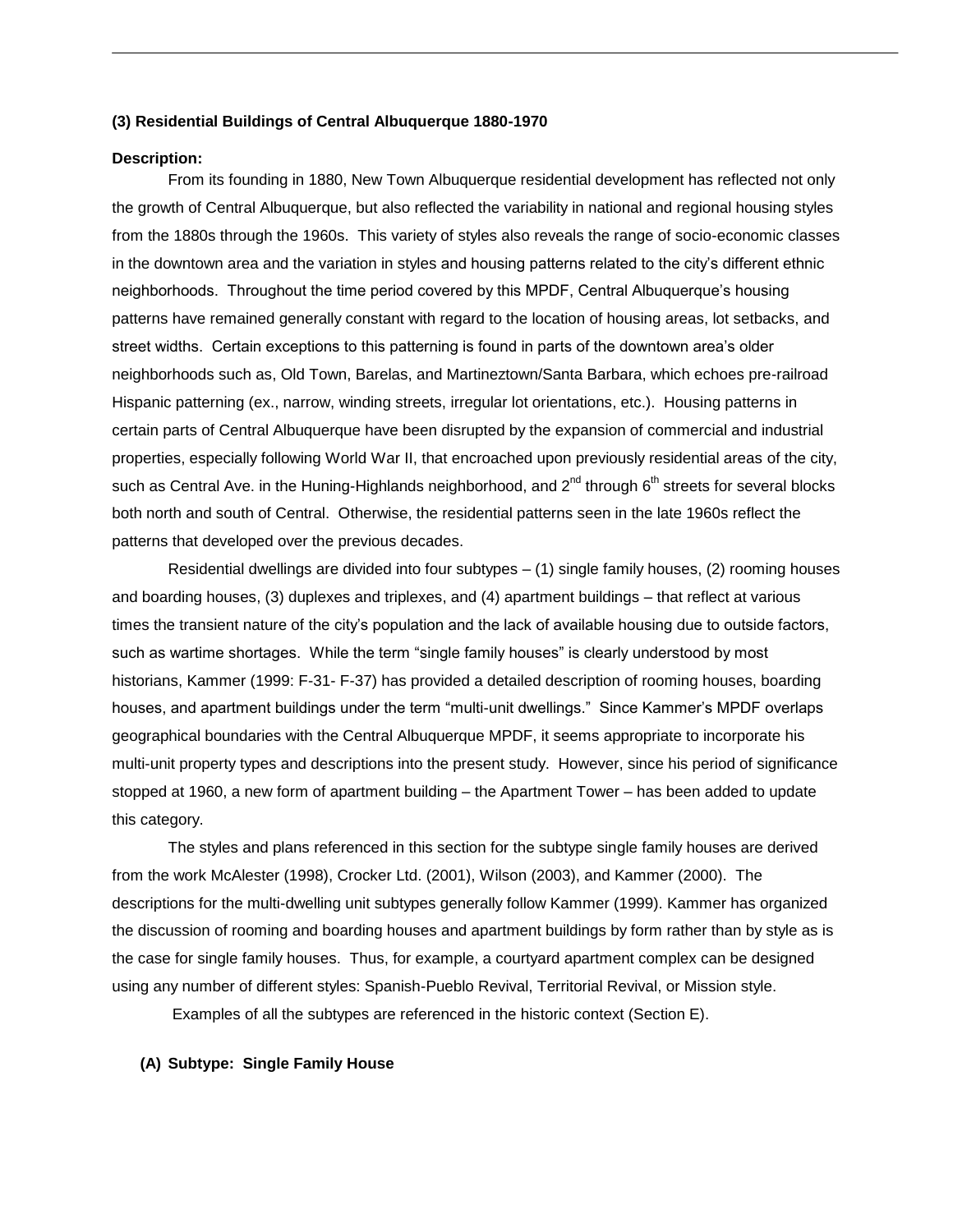## **(3) Residential Buildings of Central Albuquerque 1880-1970**

## **Description:**

From its founding in 1880, New Town Albuquerque residential development has reflected not only the growth of Central Albuquerque, but also reflected the variability in national and regional housing styles from the 1880s through the 1960s. This variety of styles also reveals the range of socio-economic classes in the downtown area and the variation in styles and housing patterns related to the city's different ethnic neighborhoods. Throughout the time period covered by this MPDF, Central Albuquerque's housing patterns have remained generally constant with regard to the location of housing areas, lot setbacks, and street widths. Certain exceptions to this patterning is found in parts of the downtown area's older neighborhoods such as, Old Town, Barelas, and Martineztown/Santa Barbara, which echoes pre-railroad Hispanic patterning (ex., narrow, winding streets, irregular lot orientations, etc.). Housing patterns in certain parts of Central Albuquerque have been disrupted by the expansion of commercial and industrial properties, especially following World War II, that encroached upon previously residential areas of the city, such as Central Ave. in the Huning-Highlands neighborhood, and  $2^{nd}$  through  $6^{th}$  streets for several blocks both north and south of Central. Otherwise, the residential patterns seen in the late 1960s reflect the patterns that developed over the previous decades.

Residential dwellings are divided into four subtypes – (1) single family houses, (2) rooming houses and boarding houses, (3) duplexes and triplexes, and (4) apartment buildings – that reflect at various times the transient nature of the city's population and the lack of available housing due to outside factors, such as wartime shortages. While the term "single family houses" is clearly understood by most historians, Kammer (1999: F-31- F-37) has provided a detailed description of rooming houses, boarding houses, and apartment buildings under the term "multi-unit dwellings." Since Kammer's MPDF overlaps geographical boundaries with the Central Albuquerque MPDF, it seems appropriate to incorporate his multi-unit property types and descriptions into the present study. However, since his period of significance stopped at 1960, a new form of apartment building – the Apartment Tower – has been added to update this category.

The styles and plans referenced in this section for the subtype single family houses are derived from the work McAlester (1998), Crocker Ltd. (2001), Wilson (2003), and Kammer (2000). The descriptions for the multi-dwelling unit subtypes generally follow Kammer (1999). Kammer has organized the discussion of rooming and boarding houses and apartment buildings by form rather than by style as is the case for single family houses. Thus, for example, a courtyard apartment complex can be designed using any number of different styles: Spanish-Pueblo Revival, Territorial Revival, or Mission style.

Examples of all the subtypes are referenced in the historic context (Section E).

## **(A) Subtype: Single Family House**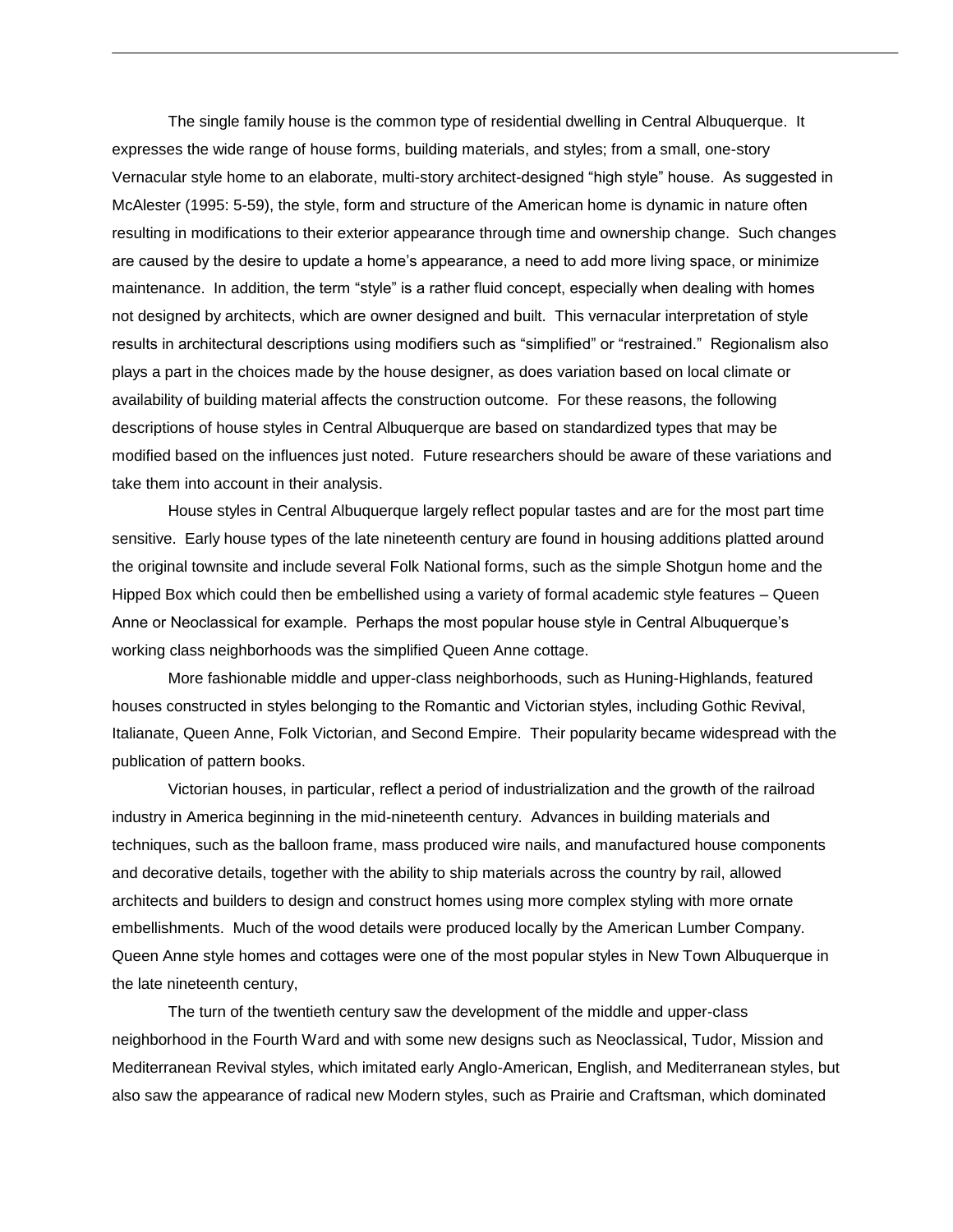The single family house is the common type of residential dwelling in Central Albuquerque. It expresses the wide range of house forms, building materials, and styles; from a small, one-story Vernacular style home to an elaborate, multi-story architect-designed "high style" house. As suggested in McAlester (1995: 5-59), the style, form and structure of the American home is dynamic in nature often resulting in modifications to their exterior appearance through time and ownership change. Such changes are caused by the desire to update a home's appearance, a need to add more living space, or minimize maintenance. In addition, the term "style" is a rather fluid concept, especially when dealing with homes not designed by architects, which are owner designed and built. This vernacular interpretation of style results in architectural descriptions using modifiers such as "simplified" or "restrained." Regionalism also plays a part in the choices made by the house designer, as does variation based on local climate or availability of building material affects the construction outcome. For these reasons, the following descriptions of house styles in Central Albuquerque are based on standardized types that may be modified based on the influences just noted. Future researchers should be aware of these variations and take them into account in their analysis.

House styles in Central Albuquerque largely reflect popular tastes and are for the most part time sensitive. Early house types of the late nineteenth century are found in housing additions platted around the original townsite and include several Folk National forms, such as the simple Shotgun home and the Hipped Box which could then be embellished using a variety of formal academic style features – Queen Anne or Neoclassical for example. Perhaps the most popular house style in Central Albuquerque's working class neighborhoods was the simplified Queen Anne cottage.

More fashionable middle and upper-class neighborhoods, such as Huning-Highlands, featured houses constructed in styles belonging to the Romantic and Victorian styles, including Gothic Revival, Italianate, Queen Anne, Folk Victorian, and Second Empire. Their popularity became widespread with the publication of pattern books.

Victorian houses, in particular, reflect a period of industrialization and the growth of the railroad industry in America beginning in the mid-nineteenth century. Advances in building materials and techniques, such as the balloon frame, mass produced wire nails, and manufactured house components and decorative details, together with the ability to ship materials across the country by rail, allowed architects and builders to design and construct homes using more complex styling with more ornate embellishments. Much of the wood details were produced locally by the American Lumber Company. Queen Anne style homes and cottages were one of the most popular styles in New Town Albuquerque in the late nineteenth century,

The turn of the twentieth century saw the development of the middle and upper-class neighborhood in the Fourth Ward and with some new designs such as Neoclassical, Tudor, Mission and Mediterranean Revival styles, which imitated early Anglo-American, English, and Mediterranean styles, but also saw the appearance of radical new Modern styles, such as Prairie and Craftsman, which dominated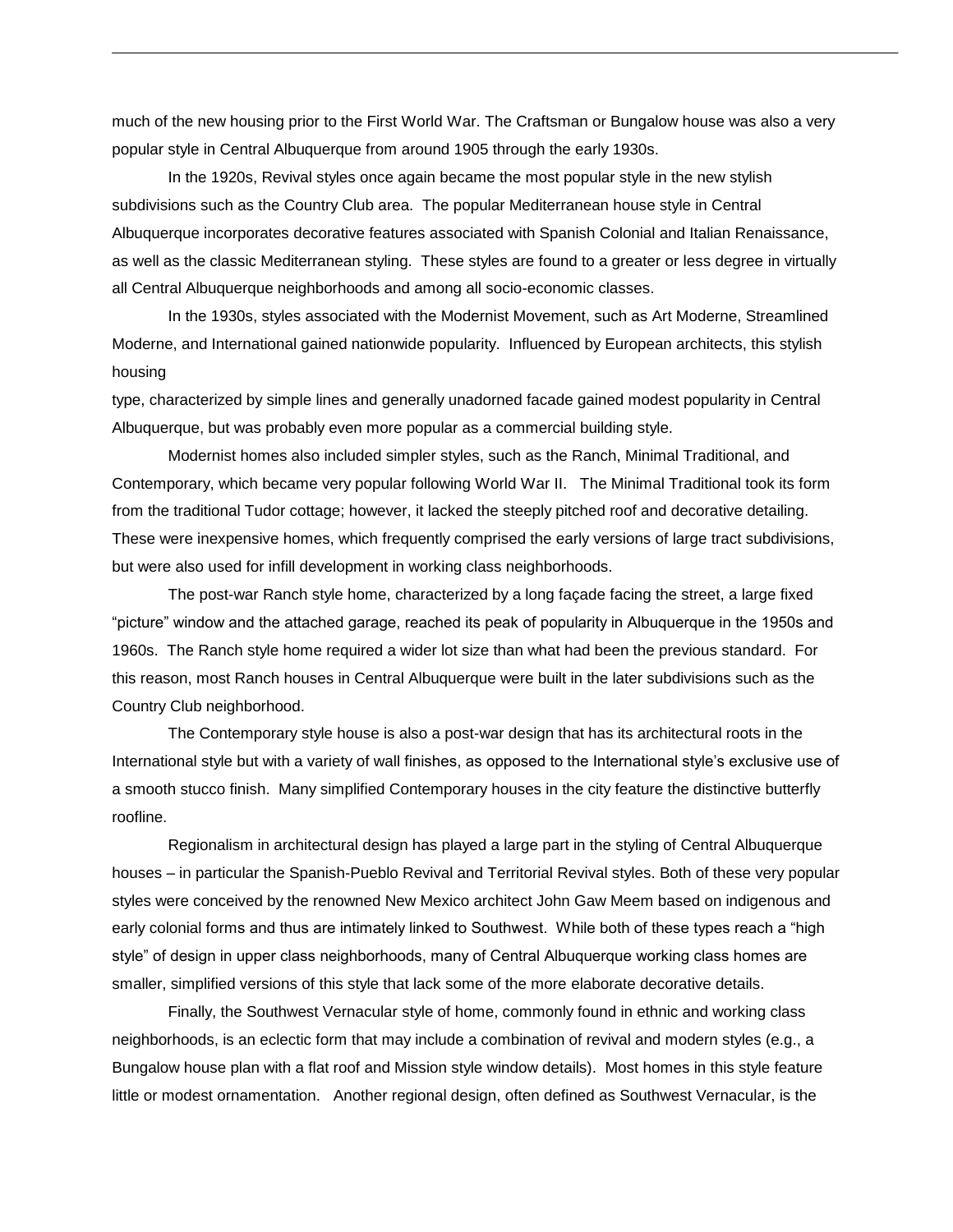much of the new housing prior to the First World War. The Craftsman or Bungalow house was also a very popular style in Central Albuquerque from around 1905 through the early 1930s.

In the 1920s, Revival styles once again became the most popular style in the new stylish subdivisions such as the Country Club area. The popular Mediterranean house style in Central Albuquerque incorporates decorative features associated with Spanish Colonial and Italian Renaissance, as well as the classic Mediterranean styling. These styles are found to a greater or less degree in virtually all Central Albuquerque neighborhoods and among all socio-economic classes.

In the 1930s, styles associated with the Modernist Movement, such as Art Moderne, Streamlined Moderne, and International gained nationwide popularity. Influenced by European architects, this stylish housing

type, characterized by simple lines and generally unadorned facade gained modest popularity in Central Albuquerque, but was probably even more popular as a commercial building style.

Modernist homes also included simpler styles, such as the Ranch, Minimal Traditional, and Contemporary, which became very popular following World War II. The Minimal Traditional took its form from the traditional Tudor cottage; however, it lacked the steeply pitched roof and decorative detailing. These were inexpensive homes, which frequently comprised the early versions of large tract subdivisions, but were also used for infill development in working class neighborhoods.

The post-war Ranch style home, characterized by a long façade facing the street, a large fixed "picture" window and the attached garage, reached its peak of popularity in Albuquerque in the 1950s and 1960s. The Ranch style home required a wider lot size than what had been the previous standard. For this reason, most Ranch houses in Central Albuquerque were built in the later subdivisions such as the Country Club neighborhood.

The Contemporary style house is also a post-war design that has its architectural roots in the International style but with a variety of wall finishes, as opposed to the International style's exclusive use of a smooth stucco finish. Many simplified Contemporary houses in the city feature the distinctive butterfly roofline.

Regionalism in architectural design has played a large part in the styling of Central Albuquerque houses – in particular the Spanish-Pueblo Revival and Territorial Revival styles. Both of these very popular styles were conceived by the renowned New Mexico architect John Gaw Meem based on indigenous and early colonial forms and thus are intimately linked to Southwest. While both of these types reach a "high style" of design in upper class neighborhoods, many of Central Albuquerque working class homes are smaller, simplified versions of this style that lack some of the more elaborate decorative details.

Finally, the Southwest Vernacular style of home, commonly found in ethnic and working class neighborhoods, is an eclectic form that may include a combination of revival and modern styles (e.g., a Bungalow house plan with a flat roof and Mission style window details). Most homes in this style feature little or modest ornamentation. Another regional design, often defined as Southwest Vernacular, is the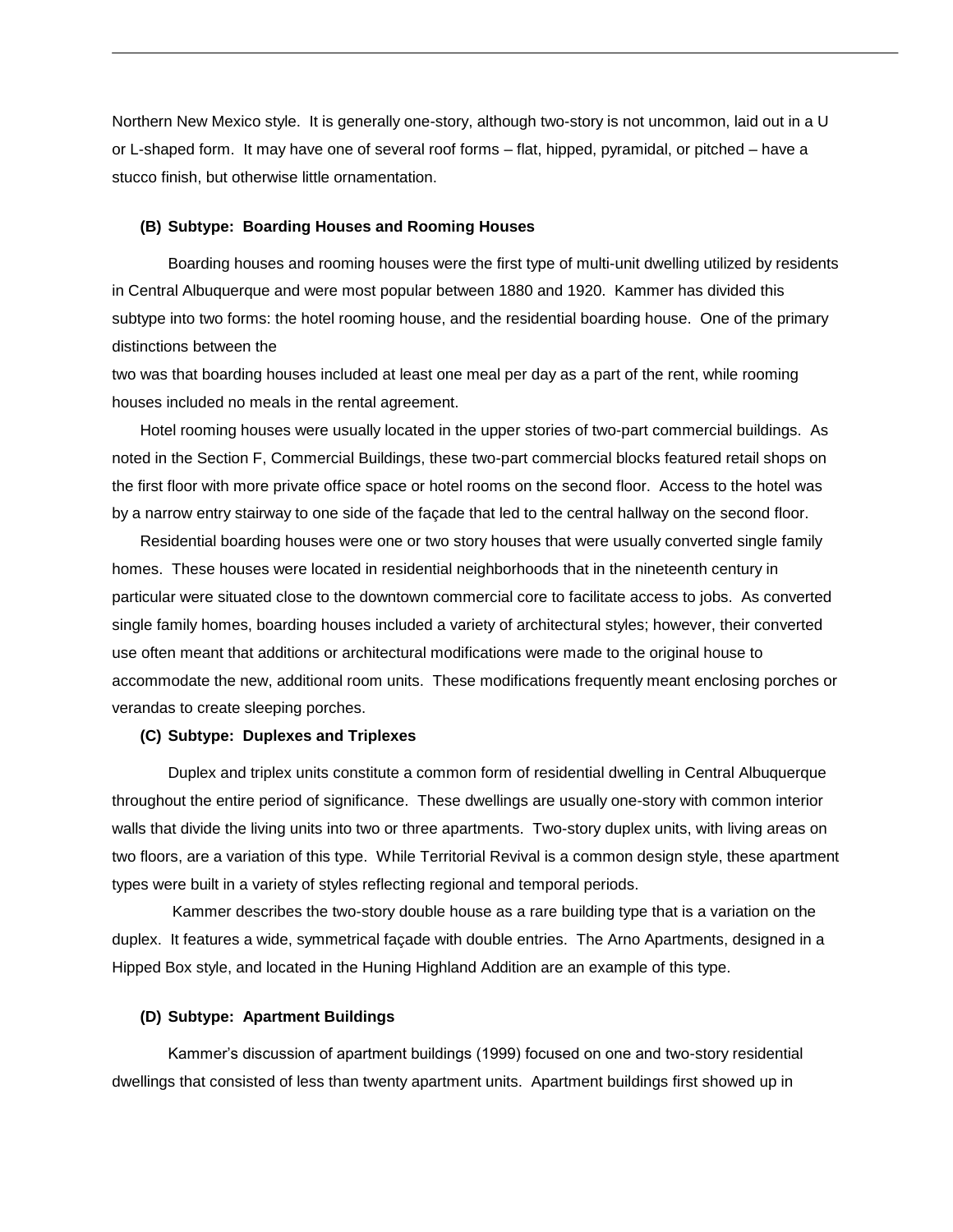Northern New Mexico style. It is generally one-story, although two-story is not uncommon, laid out in a U or L-shaped form. It may have one of several roof forms – flat, hipped, pyramidal, or pitched – have a stucco finish, but otherwise little ornamentation.

#### **(B) Subtype: Boarding Houses and Rooming Houses**

Boarding houses and rooming houses were the first type of multi-unit dwelling utilized by residents in Central Albuquerque and were most popular between 1880 and 1920. Kammer has divided this subtype into two forms: the hotel rooming house, and the residential boarding house. One of the primary distinctions between the

two was that boarding houses included at least one meal per day as a part of the rent, while rooming houses included no meals in the rental agreement.

Hotel rooming houses were usually located in the upper stories of two-part commercial buildings. As noted in the Section F, Commercial Buildings, these two-part commercial blocks featured retail shops on the first floor with more private office space or hotel rooms on the second floor. Access to the hotel was by a narrow entry stairway to one side of the façade that led to the central hallway on the second floor.

Residential boarding houses were one or two story houses that were usually converted single family homes. These houses were located in residential neighborhoods that in the nineteenth century in particular were situated close to the downtown commercial core to facilitate access to jobs. As converted single family homes, boarding houses included a variety of architectural styles; however, their converted use often meant that additions or architectural modifications were made to the original house to accommodate the new, additional room units. These modifications frequently meant enclosing porches or verandas to create sleeping porches.

## **(C) Subtype: Duplexes and Triplexes**

Duplex and triplex units constitute a common form of residential dwelling in Central Albuquerque throughout the entire period of significance. These dwellings are usually one-story with common interior walls that divide the living units into two or three apartments. Two-story duplex units, with living areas on two floors, are a variation of this type. While Territorial Revival is a common design style, these apartment types were built in a variety of styles reflecting regional and temporal periods.

Kammer describes the two-story double house as a rare building type that is a variation on the duplex. It features a wide, symmetrical façade with double entries. The Arno Apartments, designed in a Hipped Box style, and located in the Huning Highland Addition are an example of this type.

## **(D) Subtype: Apartment Buildings**

Kammer's discussion of apartment buildings (1999) focused on one and two-story residential dwellings that consisted of less than twenty apartment units. Apartment buildings first showed up in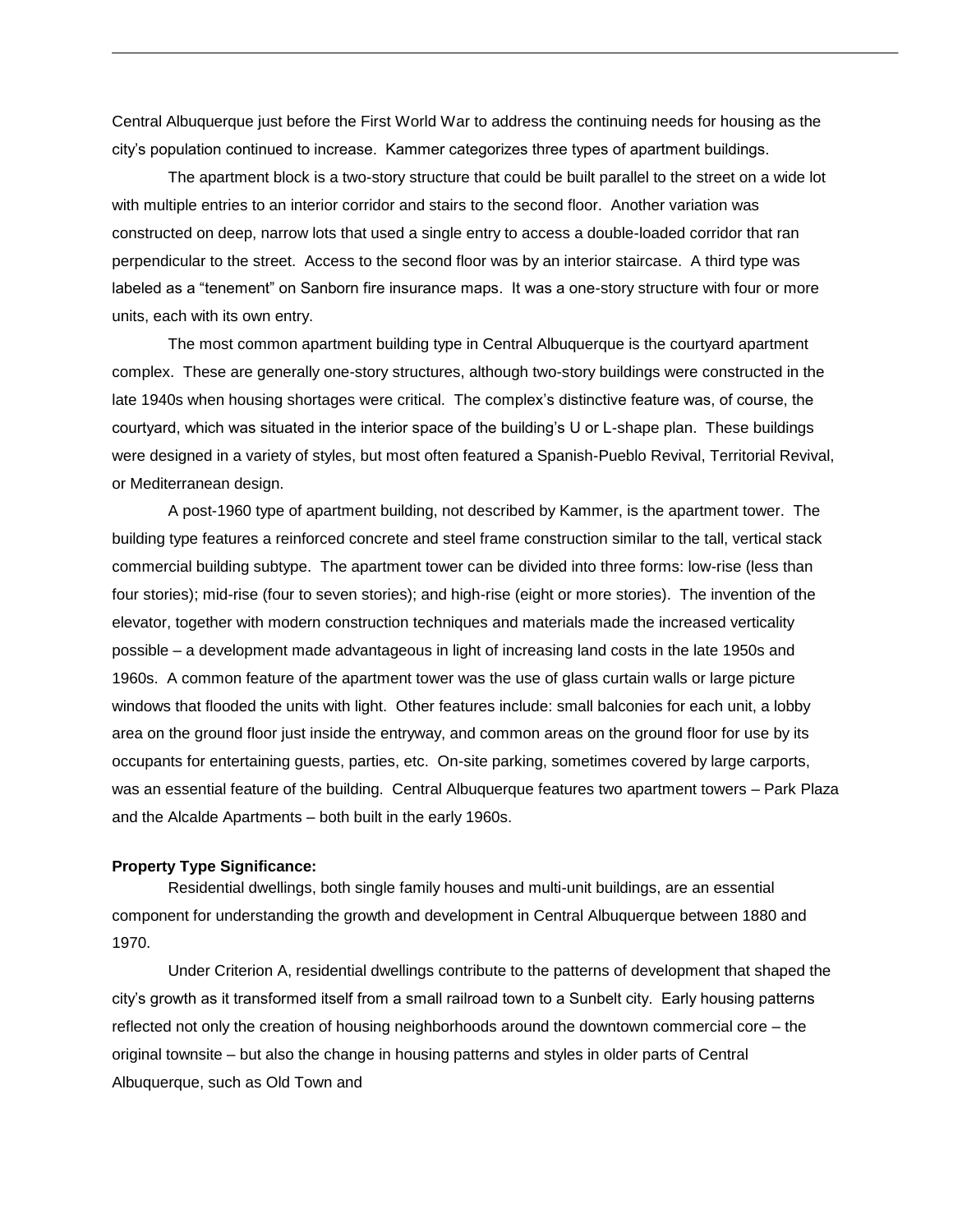Central Albuquerque just before the First World War to address the continuing needs for housing as the city's population continued to increase. Kammer categorizes three types of apartment buildings.

The apartment block is a two-story structure that could be built parallel to the street on a wide lot with multiple entries to an interior corridor and stairs to the second floor. Another variation was constructed on deep, narrow lots that used a single entry to access a double-loaded corridor that ran perpendicular to the street. Access to the second floor was by an interior staircase. A third type was labeled as a "tenement" on Sanborn fire insurance maps. It was a one-story structure with four or more units, each with its own entry.

The most common apartment building type in Central Albuquerque is the courtyard apartment complex. These are generally one-story structures, although two-story buildings were constructed in the late 1940s when housing shortages were critical. The complex's distinctive feature was, of course, the courtyard, which was situated in the interior space of the building's U or L-shape plan. These buildings were designed in a variety of styles, but most often featured a Spanish-Pueblo Revival, Territorial Revival, or Mediterranean design.

 A post-1960 type of apartment building, not described by Kammer, is the apartment tower. The building type features a reinforced concrete and steel frame construction similar to the tall, vertical stack commercial building subtype. The apartment tower can be divided into three forms: low-rise (less than four stories); mid-rise (four to seven stories); and high-rise (eight or more stories). The invention of the elevator, together with modern construction techniques and materials made the increased verticality possible – a development made advantageous in light of increasing land costs in the late 1950s and 1960s. A common feature of the apartment tower was the use of glass curtain walls or large picture windows that flooded the units with light. Other features include: small balconies for each unit, a lobby area on the ground floor just inside the entryway, and common areas on the ground floor for use by its occupants for entertaining guests, parties, etc. On-site parking, sometimes covered by large carports, was an essential feature of the building. Central Albuquerque features two apartment towers – Park Plaza and the Alcalde Apartments – both built in the early 1960s.

#### **Property Type Significance:**

Residential dwellings, both single family houses and multi-unit buildings, are an essential component for understanding the growth and development in Central Albuquerque between 1880 and 1970.

Under Criterion A, residential dwellings contribute to the patterns of development that shaped the city's growth as it transformed itself from a small railroad town to a Sunbelt city. Early housing patterns reflected not only the creation of housing neighborhoods around the downtown commercial core – the original townsite – but also the change in housing patterns and styles in older parts of Central Albuquerque, such as Old Town and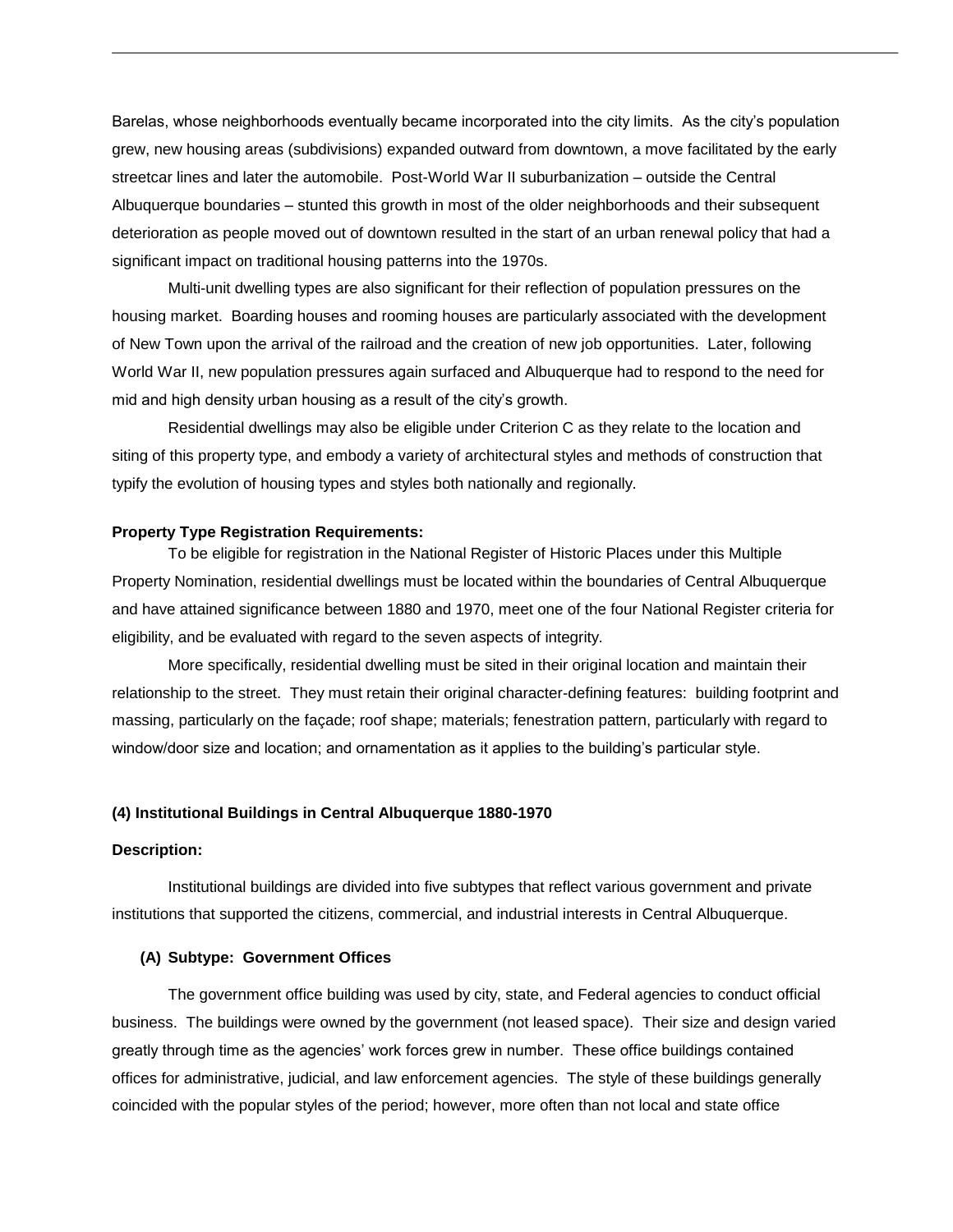Barelas, whose neighborhoods eventually became incorporated into the city limits. As the city's population grew, new housing areas (subdivisions) expanded outward from downtown, a move facilitated by the early streetcar lines and later the automobile. Post-World War II suburbanization – outside the Central Albuquerque boundaries – stunted this growth in most of the older neighborhoods and their subsequent deterioration as people moved out of downtown resulted in the start of an urban renewal policy that had a significant impact on traditional housing patterns into the 1970s.

Multi-unit dwelling types are also significant for their reflection of population pressures on the housing market. Boarding houses and rooming houses are particularly associated with the development of New Town upon the arrival of the railroad and the creation of new job opportunities. Later, following World War II, new population pressures again surfaced and Albuquerque had to respond to the need for mid and high density urban housing as a result of the city's growth.

Residential dwellings may also be eligible under Criterion C as they relate to the location and siting of this property type, and embody a variety of architectural styles and methods of construction that typify the evolution of housing types and styles both nationally and regionally.

#### **Property Type Registration Requirements:**

To be eligible for registration in the National Register of Historic Places under this Multiple Property Nomination, residential dwellings must be located within the boundaries of Central Albuquerque and have attained significance between 1880 and 1970, meet one of the four National Register criteria for eligibility, and be evaluated with regard to the seven aspects of integrity.

More specifically, residential dwelling must be sited in their original location and maintain their relationship to the street. They must retain their original character-defining features: building footprint and massing, particularly on the façade; roof shape; materials; fenestration pattern, particularly with regard to window/door size and location; and ornamentation as it applies to the building's particular style.

## **(4) Institutional Buildings in Central Albuquerque 1880-1970**

#### **Description:**

Institutional buildings are divided into five subtypes that reflect various government and private institutions that supported the citizens, commercial, and industrial interests in Central Albuquerque.

## **(A) Subtype: Government Offices**

The government office building was used by city, state, and Federal agencies to conduct official business. The buildings were owned by the government (not leased space). Their size and design varied greatly through time as the agencies' work forces grew in number. These office buildings contained offices for administrative, judicial, and law enforcement agencies. The style of these buildings generally coincided with the popular styles of the period; however, more often than not local and state office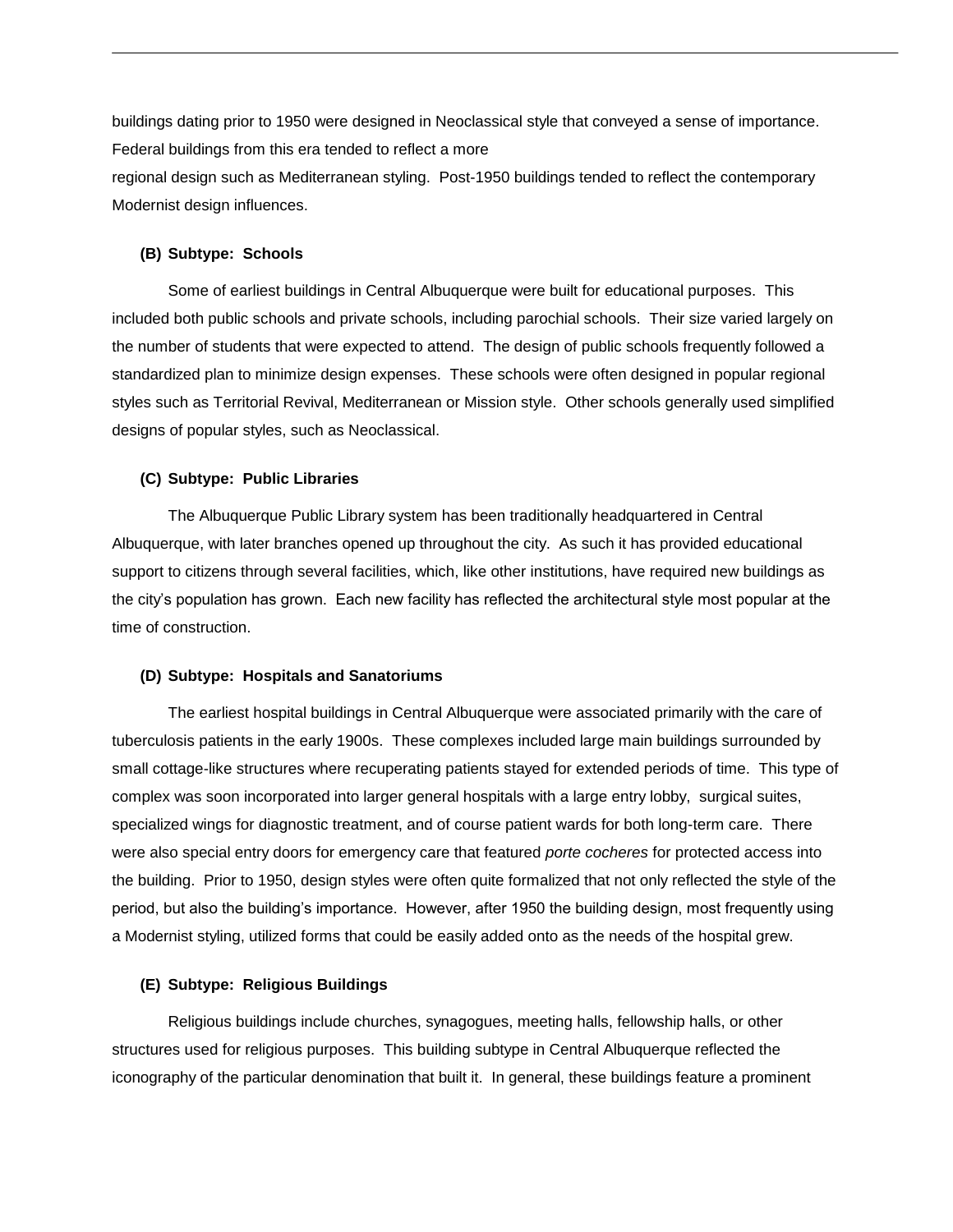buildings dating prior to 1950 were designed in Neoclassical style that conveyed a sense of importance. Federal buildings from this era tended to reflect a more

regional design such as Mediterranean styling. Post-1950 buildings tended to reflect the contemporary Modernist design influences.

## **(B) Subtype: Schools**

Some of earliest buildings in Central Albuquerque were built for educational purposes. This included both public schools and private schools, including parochial schools. Their size varied largely on the number of students that were expected to attend. The design of public schools frequently followed a standardized plan to minimize design expenses. These schools were often designed in popular regional styles such as Territorial Revival, Mediterranean or Mission style. Other schools generally used simplified designs of popular styles, such as Neoclassical.

## **(C) Subtype: Public Libraries**

The Albuquerque Public Library system has been traditionally headquartered in Central Albuquerque, with later branches opened up throughout the city. As such it has provided educational support to citizens through several facilities, which, like other institutions, have required new buildings as the city's population has grown. Each new facility has reflected the architectural style most popular at the time of construction.

## **(D) Subtype: Hospitals and Sanatoriums**

The earliest hospital buildings in Central Albuquerque were associated primarily with the care of tuberculosis patients in the early 1900s. These complexes included large main buildings surrounded by small cottage-like structures where recuperating patients stayed for extended periods of time. This type of complex was soon incorporated into larger general hospitals with a large entry lobby, surgical suites, specialized wings for diagnostic treatment, and of course patient wards for both long-term care. There were also special entry doors for emergency care that featured *porte cocheres* for protected access into the building. Prior to 1950, design styles were often quite formalized that not only reflected the style of the period, but also the building's importance. However, after 1950 the building design, most frequently using a Modernist styling, utilized forms that could be easily added onto as the needs of the hospital grew.

#### **(E) Subtype: Religious Buildings**

Religious buildings include churches, synagogues, meeting halls, fellowship halls, or other structures used for religious purposes. This building subtype in Central Albuquerque reflected the iconography of the particular denomination that built it. In general, these buildings feature a prominent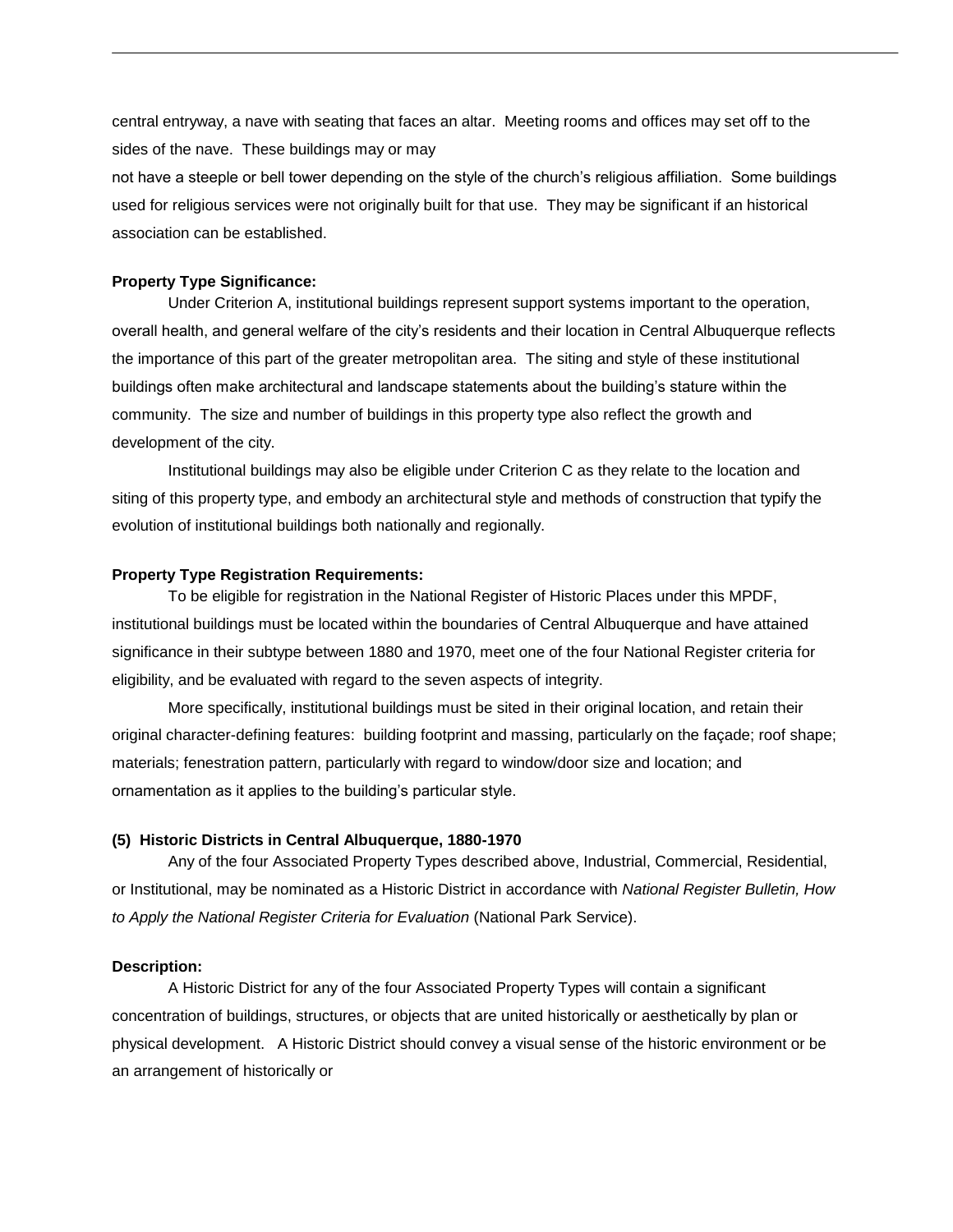central entryway, a nave with seating that faces an altar. Meeting rooms and offices may set off to the sides of the nave. These buildings may or may

not have a steeple or bell tower depending on the style of the church's religious affiliation. Some buildings used for religious services were not originally built for that use. They may be significant if an historical association can be established.

## **Property Type Significance:**

Under Criterion A, institutional buildings represent support systems important to the operation, overall health, and general welfare of the city's residents and their location in Central Albuquerque reflects the importance of this part of the greater metropolitan area. The siting and style of these institutional buildings often make architectural and landscape statements about the building's stature within the community. The size and number of buildings in this property type also reflect the growth and development of the city.

Institutional buildings may also be eligible under Criterion C as they relate to the location and siting of this property type, and embody an architectural style and methods of construction that typify the evolution of institutional buildings both nationally and regionally.

#### **Property Type Registration Requirements:**

To be eligible for registration in the National Register of Historic Places under this MPDF, institutional buildings must be located within the boundaries of Central Albuquerque and have attained significance in their subtype between 1880 and 1970, meet one of the four National Register criteria for eligibility, and be evaluated with regard to the seven aspects of integrity.

More specifically, institutional buildings must be sited in their original location, and retain their original character-defining features: building footprint and massing, particularly on the façade; roof shape; materials; fenestration pattern, particularly with regard to window/door size and location; and ornamentation as it applies to the building's particular style.

#### **(5) Historic Districts in Central Albuquerque, 1880-1970**

Any of the four Associated Property Types described above, Industrial, Commercial, Residential, or Institutional, may be nominated as a Historic District in accordance with *National Register Bulletin, How to Apply the National Register Criteria for Evaluation* (National Park Service).

#### **Description:**

A Historic District for any of the four Associated Property Types will contain a significant concentration of buildings, structures, or objects that are united historically or aesthetically by plan or physical development. A Historic District should convey a visual sense of the historic environment or be an arrangement of historically or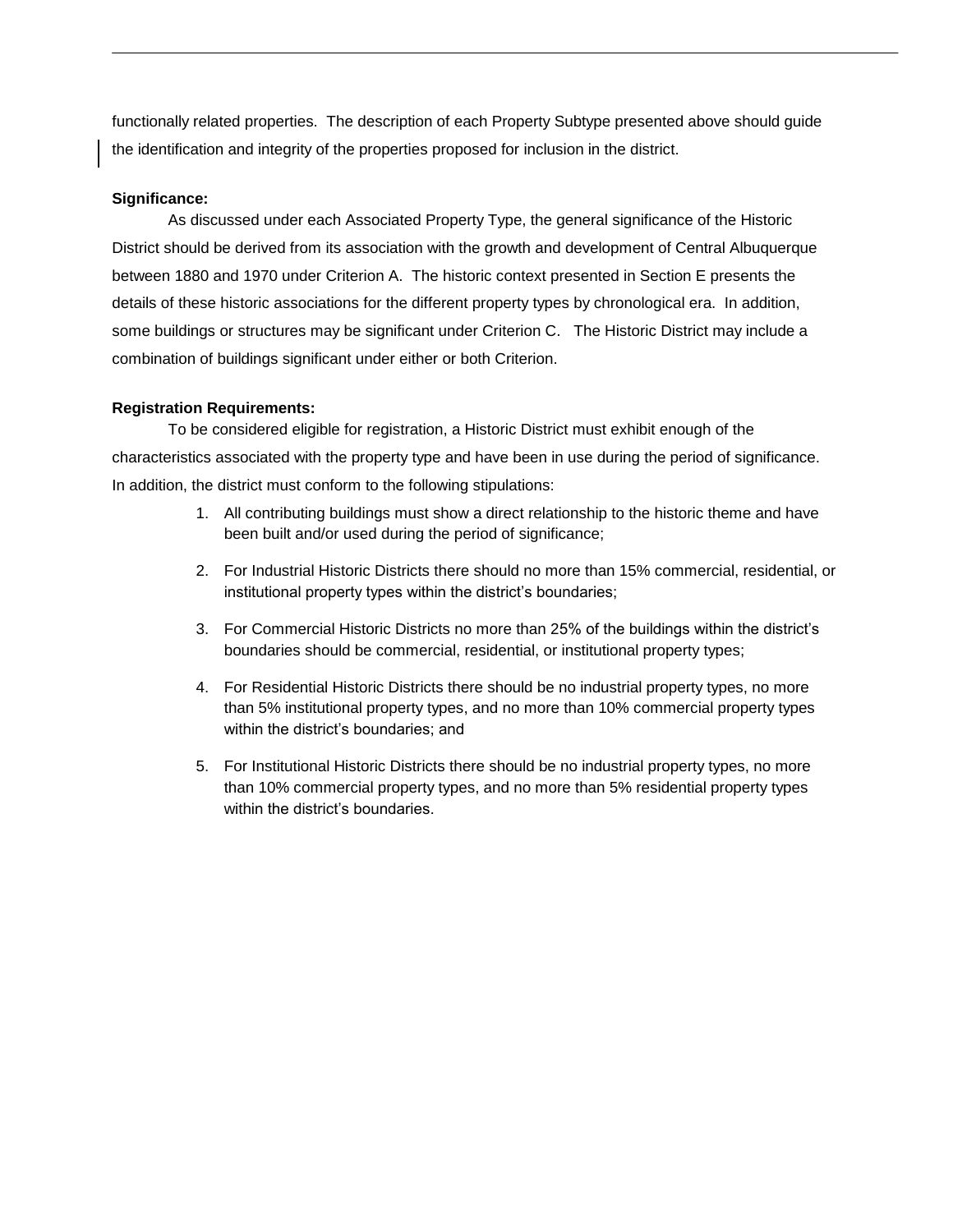functionally related properties. The description of each Property Subtype presented above should guide the identification and integrity of the properties proposed for inclusion in the district.

# **Significance:**

As discussed under each Associated Property Type, the general significance of the Historic District should be derived from its association with the growth and development of Central Albuquerque between 1880 and 1970 under Criterion A. The historic context presented in Section E presents the details of these historic associations for the different property types by chronological era. In addition, some buildings or structures may be significant under Criterion C. The Historic District may include a combination of buildings significant under either or both Criterion.

# **Registration Requirements:**

To be considered eligible for registration, a Historic District must exhibit enough of the characteristics associated with the property type and have been in use during the period of significance. In addition, the district must conform to the following stipulations:

- 1. All contributing buildings must show a direct relationship to the historic theme and have been built and/or used during the period of significance;
- 2. For Industrial Historic Districts there should no more than 15% commercial, residential, or institutional property types within the district's boundaries;
- 3. For Commercial Historic Districts no more than 25% of the buildings within the district's boundaries should be commercial, residential, or institutional property types;
- 4. For Residential Historic Districts there should be no industrial property types, no more than 5% institutional property types, and no more than 10% commercial property types within the district's boundaries; and
- 5. For Institutional Historic Districts there should be no industrial property types, no more than 10% commercial property types, and no more than 5% residential property types within the district's boundaries.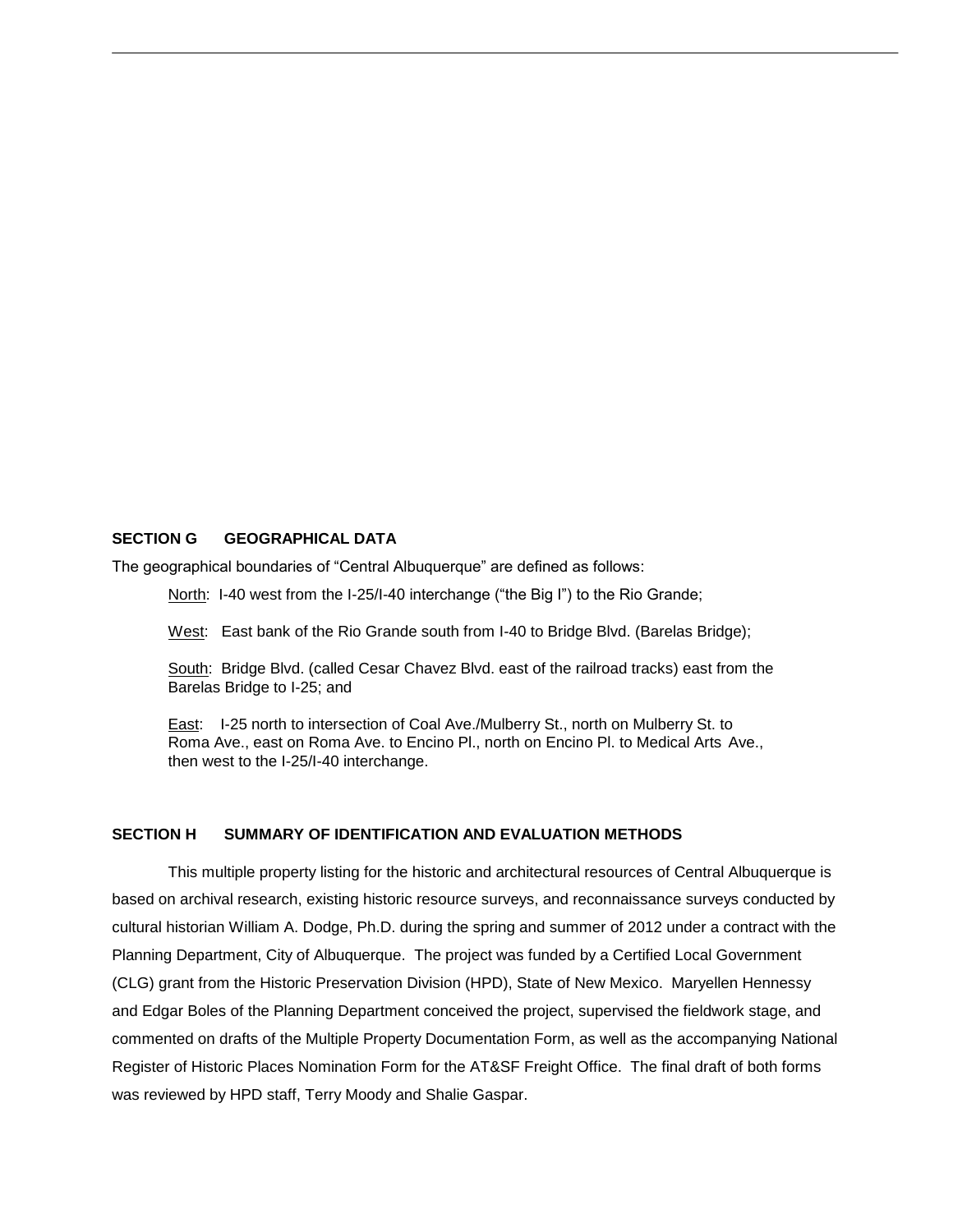## **SECTION G GEOGRAPHICAL DATA**

The geographical boundaries of "Central Albuquerque" are defined as follows:

North: I-40 west from the I-25/I-40 interchange ("the Big I") to the Rio Grande;

West: East bank of the Rio Grande south from I-40 to Bridge Blvd. (Barelas Bridge);

South: Bridge Blvd. (called Cesar Chavez Blvd. east of the railroad tracks) east from the Barelas Bridge to I-25; and

East: I-25 north to intersection of Coal Ave./Mulberry St., north on Mulberry St. to Roma Ave., east on Roma Ave. to Encino Pl., north on Encino Pl. to Medical Arts Ave., then west to the I-25/I-40 interchange.

## **SECTION H SUMMARY OF IDENTIFICATION AND EVALUATION METHODS**

This multiple property listing for the historic and architectural resources of Central Albuquerque is based on archival research, existing historic resource surveys, and reconnaissance surveys conducted by cultural historian William A. Dodge, Ph.D. during the spring and summer of 2012 under a contract with the Planning Department, City of Albuquerque. The project was funded by a Certified Local Government (CLG) grant from the Historic Preservation Division (HPD), State of New Mexico. Maryellen Hennessy and Edgar Boles of the Planning Department conceived the project, supervised the fieldwork stage, and commented on drafts of the Multiple Property Documentation Form, as well as the accompanying National Register of Historic Places Nomination Form for the AT&SF Freight Office. The final draft of both forms was reviewed by HPD staff, Terry Moody and Shalie Gaspar.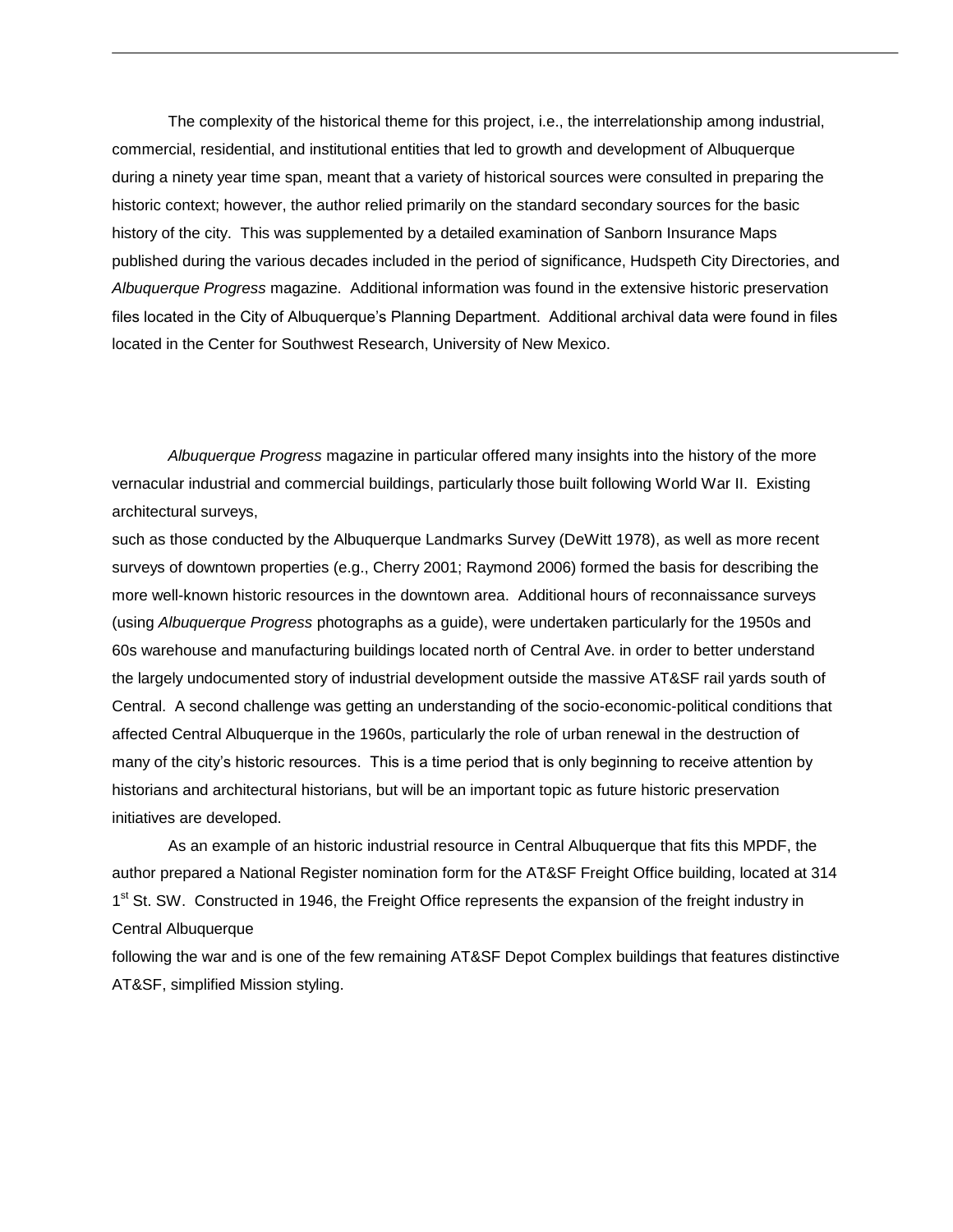The complexity of the historical theme for this project, i.e., the interrelationship among industrial, commercial, residential, and institutional entities that led to growth and development of Albuquerque during a ninety year time span, meant that a variety of historical sources were consulted in preparing the historic context; however, the author relied primarily on the standard secondary sources for the basic history of the city. This was supplemented by a detailed examination of Sanborn Insurance Maps published during the various decades included in the period of significance, Hudspeth City Directories, and *Albuquerque Progress* magazine. Additional information was found in the extensive historic preservation files located in the City of Albuquerque's Planning Department. Additional archival data were found in files located in the Center for Southwest Research, University of New Mexico.

*Albuquerque Progress* magazine in particular offered many insights into the history of the more vernacular industrial and commercial buildings, particularly those built following World War II. Existing architectural surveys,

such as those conducted by the Albuquerque Landmarks Survey (DeWitt 1978), as well as more recent surveys of downtown properties (e.g., Cherry 2001; Raymond 2006) formed the basis for describing the more well-known historic resources in the downtown area. Additional hours of reconnaissance surveys (using *Albuquerque Progress* photographs as a guide), were undertaken particularly for the 1950s and 60s warehouse and manufacturing buildings located north of Central Ave. in order to better understand the largely undocumented story of industrial development outside the massive AT&SF rail yards south of Central. A second challenge was getting an understanding of the socio-economic-political conditions that affected Central Albuquerque in the 1960s, particularly the role of urban renewal in the destruction of many of the city's historic resources. This is a time period that is only beginning to receive attention by historians and architectural historians, but will be an important topic as future historic preservation initiatives are developed.

As an example of an historic industrial resource in Central Albuquerque that fits this MPDF, the author prepared a National Register nomination form for the AT&SF Freight Office building, located at 314 1<sup>st</sup> St. SW. Constructed in 1946, the Freight Office represents the expansion of the freight industry in Central Albuquerque

following the war and is one of the few remaining AT&SF Depot Complex buildings that features distinctive AT&SF, simplified Mission styling.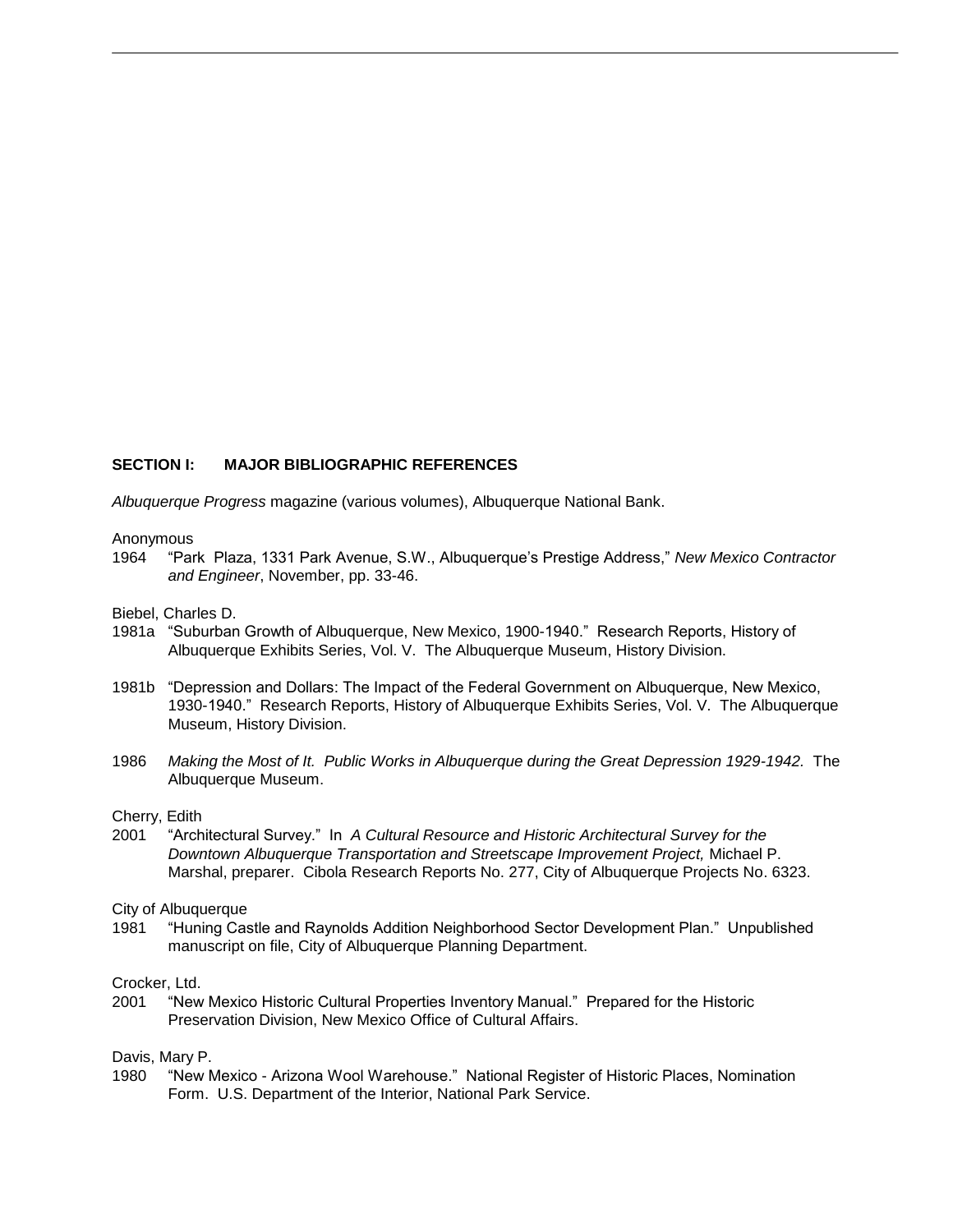## **SECTION I: MAJOR BIBLIOGRAPHIC REFERENCES**

*Albuquerque Progress* magazine (various volumes), Albuquerque National Bank.

#### Anonymous

1964 "Park Plaza, 1331 Park Avenue, S.W., Albuquerque's Prestige Address," *New Mexico Contractor and Engineer*, November, pp. 33-46.

Biebel, Charles D.

- 1981a "Suburban Growth of Albuquerque, New Mexico, 1900-1940." Research Reports, History of Albuquerque Exhibits Series, Vol. V. The Albuquerque Museum, History Division.
- 1981b "Depression and Dollars: The Impact of the Federal Government on Albuquerque, New Mexico, 1930-1940." Research Reports, History of Albuquerque Exhibits Series, Vol. V. The Albuquerque Museum, History Division.
- 1986 *Making the Most of It. Public Works in Albuquerque during the Great Depression 1929-1942.* The Albuquerque Museum.

#### Cherry, Edith

2001 "Architectural Survey." In *A Cultural Resource and Historic Architectural Survey for the Downtown Albuquerque Transportation and Streetscape Improvement Project,* Michael P. Marshal, preparer. Cibola Research Reports No. 277, City of Albuquerque Projects No. 6323.

## City of Albuquerque

1981 "Huning Castle and Raynolds Addition Neighborhood Sector Development Plan." Unpublished manuscript on file, City of Albuquerque Planning Department.

## Crocker, Ltd.

2001 "New Mexico Historic Cultural Properties Inventory Manual." Prepared for the Historic Preservation Division, New Mexico Office of Cultural Affairs.

## Davis, Mary P.

1980 "New Mexico - Arizona Wool Warehouse." National Register of Historic Places, Nomination Form. U.S. Department of the Interior, National Park Service.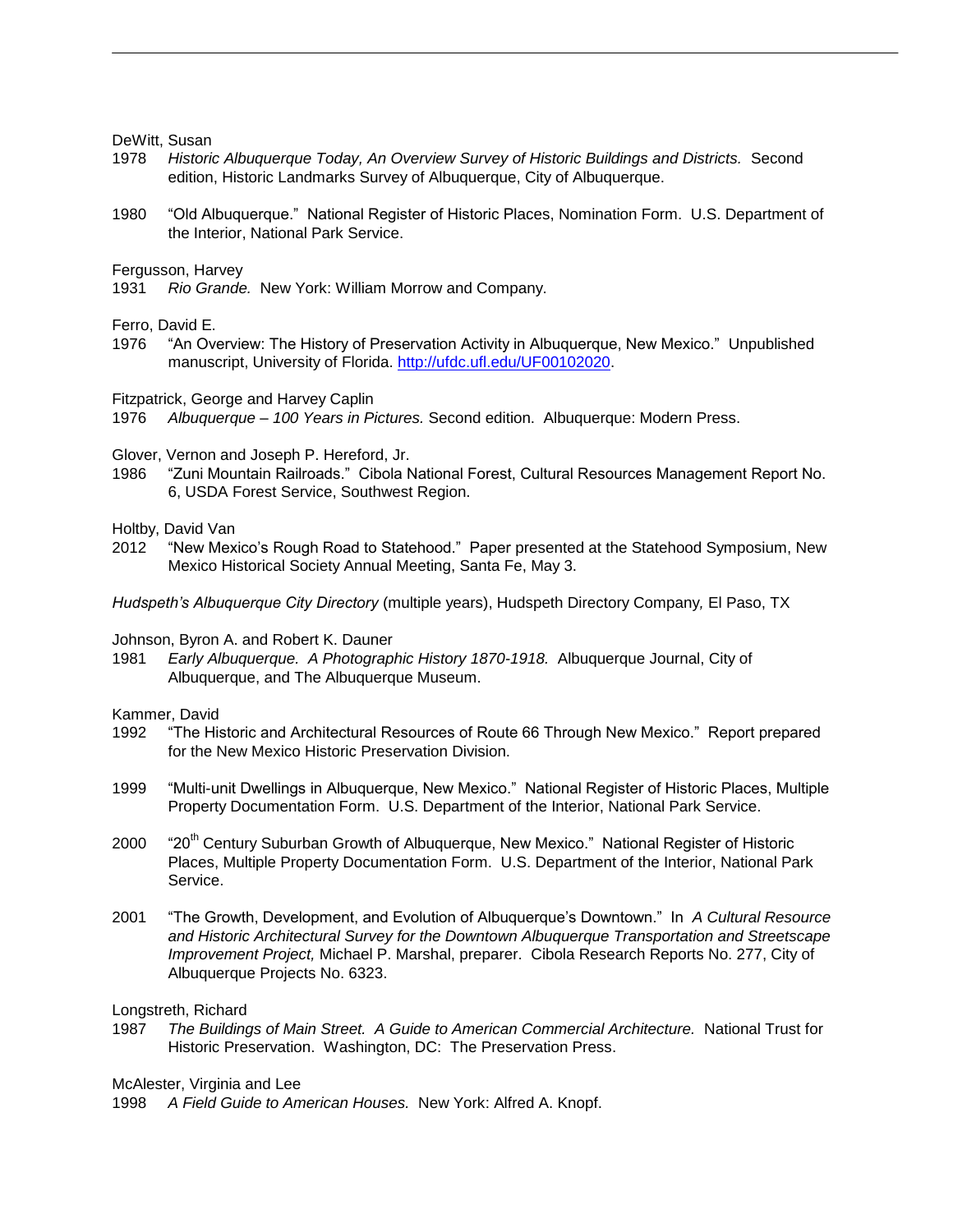DeWitt, Susan

- 1978 *Historic Albuquerque Today, An Overview Survey of Historic Buildings and Districts.* Second edition, Historic Landmarks Survey of Albuquerque, City of Albuquerque.
- 1980 "Old Albuquerque." National Register of Historic Places, Nomination Form. U.S. Department of the Interior, National Park Service.

Fergusson, Harvey

1931 *Rio Grande.* New York: William Morrow and Company.

Ferro, David E.

1976 "An Overview: The History of Preservation Activity in Albuquerque, New Mexico." Unpublished manuscript, University of Florida. [http://ufdc.ufl.edu/UF00102020.](http://ufdc.ufl.edu/UF00102020)

Fitzpatrick, George and Harvey Caplin

1976 *Albuquerque – 100 Years in Pictures.* Second edition. Albuquerque: Modern Press.

Glover, Vernon and Joseph P. Hereford, Jr.

1986 "Zuni Mountain Railroads." Cibola National Forest, Cultural Resources Management Report No. 6, USDA Forest Service, Southwest Region.

Holtby, David Van

2012 "New Mexico's Rough Road to Statehood." Paper presented at the Statehood Symposium, New Mexico Historical Society Annual Meeting, Santa Fe, May 3.

*Hudspeth's Albuquerque City Directory* (multiple years), Hudspeth Directory Company*,* El Paso, TX

Johnson, Byron A. and Robert K. Dauner

1981 *Early Albuquerque. A Photographic History 1870-1918.* Albuquerque Journal, City of Albuquerque, and The Albuquerque Museum.

Kammer, David

- 1992 "The Historic and Architectural Resources of Route 66 Through New Mexico." Report prepared for the New Mexico Historic Preservation Division.
- 1999 "Multi-unit Dwellings in Albuquerque, New Mexico." National Register of Historic Places, Multiple Property Documentation Form. U.S. Department of the Interior, National Park Service.
- 2000 "20<sup>th</sup> Century Suburban Growth of Albuquerque, New Mexico." National Register of Historic Places, Multiple Property Documentation Form. U.S. Department of the Interior, National Park Service.
- 2001 "The Growth, Development, and Evolution of Albuquerque's Downtown." In *A Cultural Resource and Historic Architectural Survey for the Downtown Albuquerque Transportation and Streetscape Improvement Project,* Michael P. Marshal, preparer. Cibola Research Reports No. 277, City of Albuquerque Projects No. 6323.

Longstreth, Richard

1987 *The Buildings of Main Street. A Guide to American Commercial Architecture.* National Trust for Historic Preservation. Washington, DC: The Preservation Press.

McAlester, Virginia and Lee

1998 *A Field Guide to American Houses.* New York: Alfred A. Knopf.